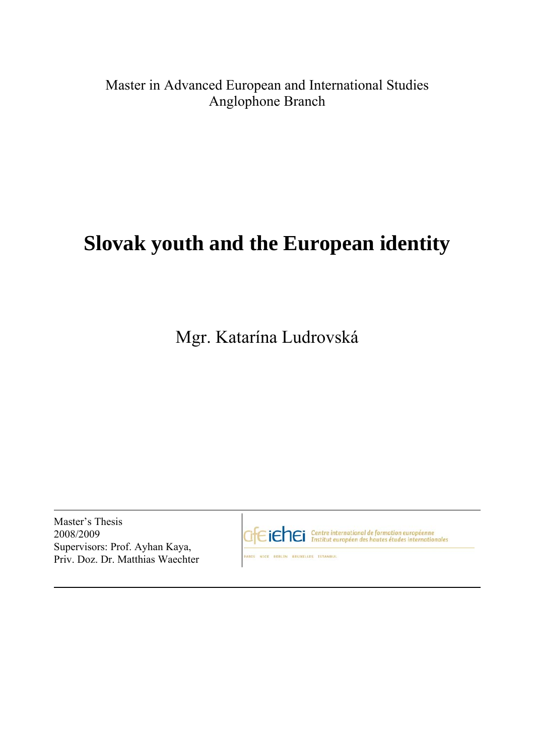## Master in Advanced European and International Studies Anglophone Branch

# **Slovak youth and the European identity**

Mgr. Katarína Ludrovská

Master's Thesis 2008/2009 Supervisors: Prof. Ayhan Kaya, Priv. Doz. Dr. Matthias Waechter

GfEiChEi Centre international de formation européenne

ARIS NICE BERLIN BRUXELLES ISTANDU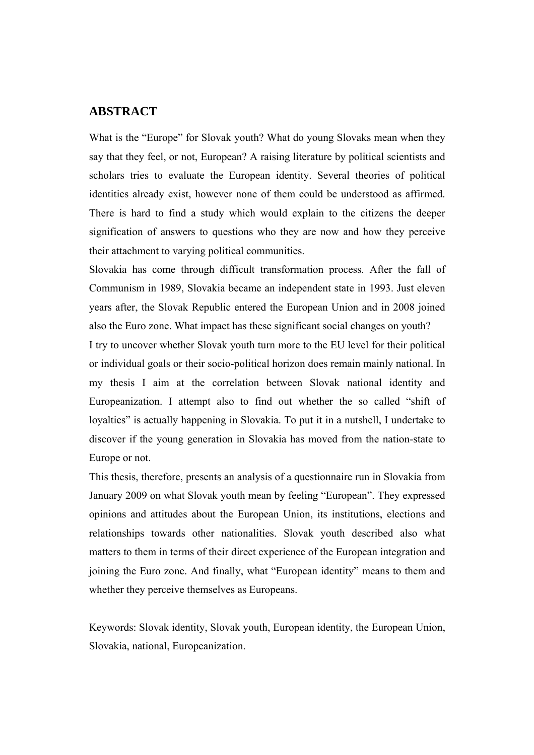#### **ABSTRACT**

What is the "Europe" for Slovak youth? What do young Slovaks mean when they say that they feel, or not, European? A raising literature by political scientists and scholars tries to evaluate the European identity. Several theories of political identities already exist, however none of them could be understood as affirmed. There is hard to find a study which would explain to the citizens the deeper signification of answers to questions who they are now and how they perceive their attachment to varying political communities.

Slovakia has come through difficult transformation process. After the fall of Communism in 1989, Slovakia became an independent state in 1993. Just eleven years after, the Slovak Republic entered the European Union and in 2008 joined also the Euro zone. What impact has these significant social changes on youth?

I try to uncover whether Slovak youth turn more to the EU level for their political or individual goals or their socio-political horizon does remain mainly national. In my thesis I aim at the correlation between Slovak national identity and Europeanization. I attempt also to find out whether the so called "shift of loyalties" is actually happening in Slovakia. To put it in a nutshell, I undertake to discover if the young generation in Slovakia has moved from the nation-state to Europe or not.

This thesis, therefore, presents an analysis of a questionnaire run in Slovakia from January 2009 on what Slovak youth mean by feeling "European". They expressed opinions and attitudes about the European Union, its institutions, elections and relationships towards other nationalities. Slovak youth described also what matters to them in terms of their direct experience of the European integration and joining the Euro zone. And finally, what "European identity" means to them and whether they perceive themselves as Europeans.

Keywords: Slovak identity, Slovak youth, European identity, the European Union, Slovakia, national, Europeanization.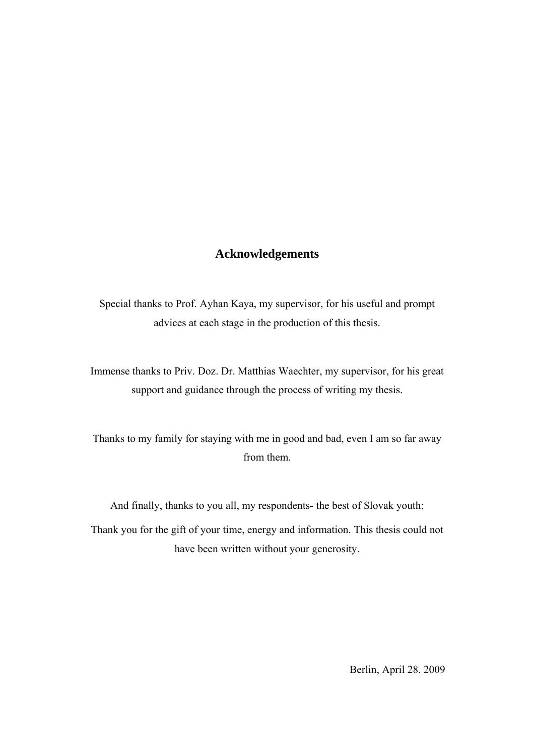#### **Acknowledgements**

Special thanks to Prof. Ayhan Kaya, my supervisor, for his useful and prompt advices at each stage in the production of this thesis.

Immense thanks to Priv. Doz. Dr. Matthias Waechter, my supervisor, for his great support and guidance through the process of writing my thesis.

Thanks to my family for staying with me in good and bad, even I am so far away from them.

And finally, thanks to you all, my respondents- the best of Slovak youth:

Thank you for the gift of your time, energy and information. This thesis could not have been written without your generosity.

Berlin, April 28. 2009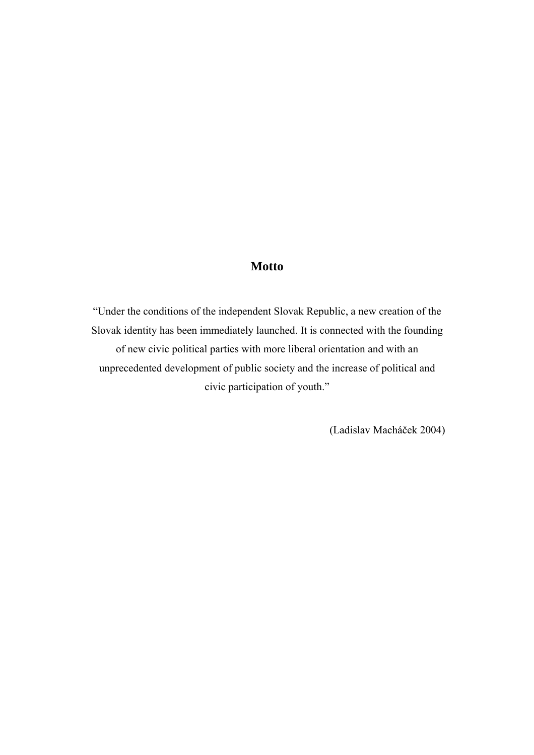#### **Motto**

"Under the conditions of the independent Slovak Republic, a new creation of the Slovak identity has been immediately launched. It is connected with the founding of new civic political parties with more liberal orientation and with an unprecedented development of public society and the increase of political and civic participation of youth."

(Ladislav Macháček 2004)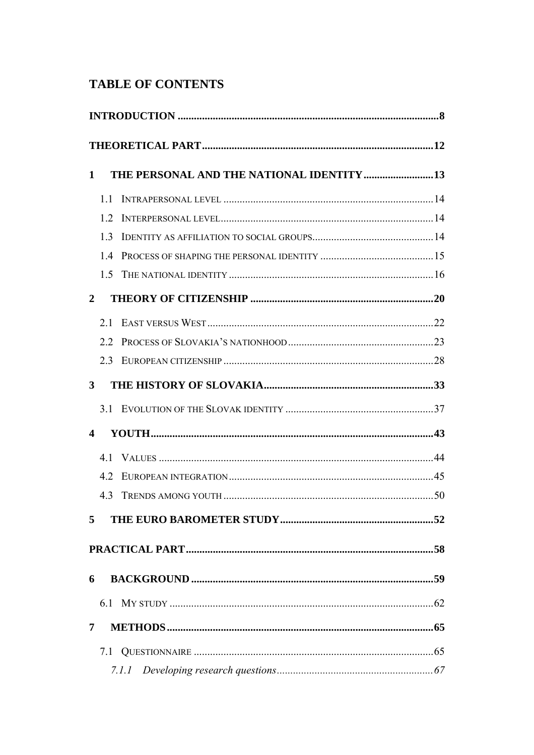### **TABLE OF CONTENTS**

| 1                       |     | THE PERSONAL AND THE NATIONAL IDENTITY 13 |  |  |
|-------------------------|-----|-------------------------------------------|--|--|
|                         | 11  |                                           |  |  |
|                         | 12  |                                           |  |  |
|                         | 1.3 |                                           |  |  |
|                         | 14  |                                           |  |  |
|                         | 1.5 |                                           |  |  |
| $\mathbf{2}$            |     |                                           |  |  |
|                         |     |                                           |  |  |
|                         |     |                                           |  |  |
|                         | 23  |                                           |  |  |
| 3                       |     |                                           |  |  |
|                         |     |                                           |  |  |
| $\overline{\mathbf{4}}$ |     |                                           |  |  |
|                         |     |                                           |  |  |
|                         | 4.2 |                                           |  |  |
|                         | 4.3 |                                           |  |  |
| $5^{\circ}$             |     |                                           |  |  |
|                         |     |                                           |  |  |
| 6                       |     |                                           |  |  |
|                         |     |                                           |  |  |
| 7                       |     |                                           |  |  |
|                         |     |                                           |  |  |
|                         |     |                                           |  |  |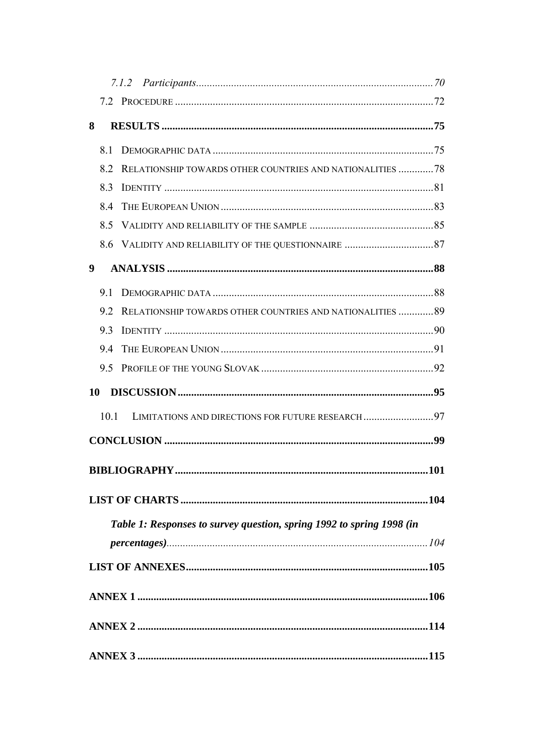| 8    |                                                                       |  |  |  |  |
|------|-----------------------------------------------------------------------|--|--|--|--|
| 81   |                                                                       |  |  |  |  |
| 82   | RELATIONSHIP TOWARDS OTHER COUNTRIES AND NATIONALITIES 78             |  |  |  |  |
| 8.3  |                                                                       |  |  |  |  |
| 8.4  |                                                                       |  |  |  |  |
| 8.5  |                                                                       |  |  |  |  |
|      |                                                                       |  |  |  |  |
| 9    |                                                                       |  |  |  |  |
| 9.1  |                                                                       |  |  |  |  |
| 92   | RELATIONSHIP TOWARDS OTHER COUNTRIES AND NATIONALITIES  89            |  |  |  |  |
| 9.3  |                                                                       |  |  |  |  |
| 9.4  |                                                                       |  |  |  |  |
| 9.5  |                                                                       |  |  |  |  |
|      |                                                                       |  |  |  |  |
|      |                                                                       |  |  |  |  |
| 10.1 | LIMITATIONS AND DIRECTIONS FOR FUTURE RESEARCH97                      |  |  |  |  |
|      |                                                                       |  |  |  |  |
|      |                                                                       |  |  |  |  |
|      |                                                                       |  |  |  |  |
|      |                                                                       |  |  |  |  |
|      | Table 1: Responses to survey question, spring 1992 to spring 1998 (in |  |  |  |  |
|      |                                                                       |  |  |  |  |
|      |                                                                       |  |  |  |  |
|      |                                                                       |  |  |  |  |
|      |                                                                       |  |  |  |  |
|      |                                                                       |  |  |  |  |
|      |                                                                       |  |  |  |  |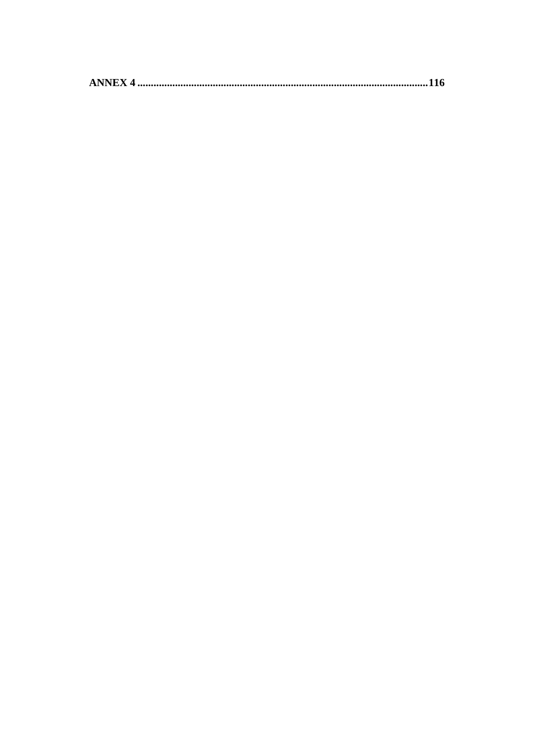|--|--|--|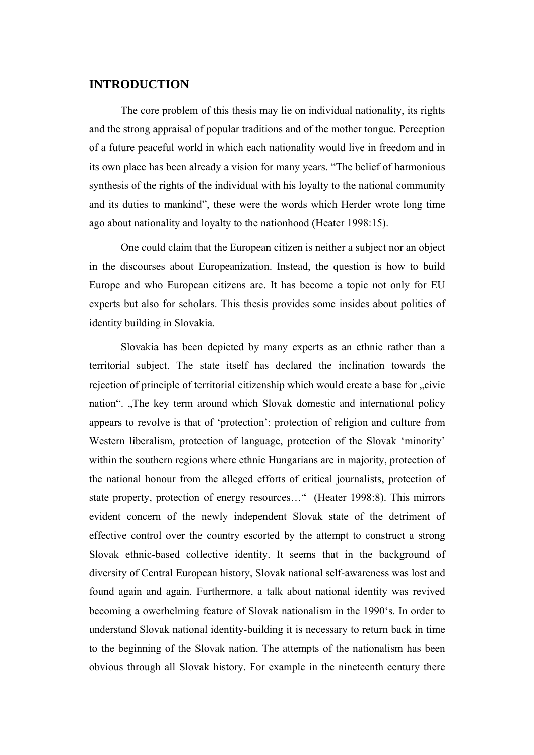#### **INTRODUCTION**

The core problem of this thesis may lie on individual nationality, its rights and the strong appraisal of popular traditions and of the mother tongue. Perception of a future peaceful world in which each nationality would live in freedom and in its own place has been already a vision for many years. "The belief of harmonious synthesis of the rights of the individual with his loyalty to the national community and its duties to mankind", these were the words which Herder wrote long time ago about nationality and loyalty to the nationhood (Heater 1998:15).

One could claim that the European citizen is neither a subject nor an object in the discourses about Europeanization. Instead, the question is how to build Europe and who European citizens are. It has become a topic not only for EU experts but also for scholars. This thesis provides some insides about politics of identity building in Slovakia.

Slovakia has been depicted by many experts as an ethnic rather than a territorial subject. The state itself has declared the inclination towards the rejection of principle of territorial citizenship which would create a base for "civic nation". "The key term around which Slovak domestic and international policy appears to revolve is that of 'protection': protection of religion and culture from Western liberalism, protection of language, protection of the Slovak 'minority' within the southern regions where ethnic Hungarians are in majority, protection of the national honour from the alleged efforts of critical journalists, protection of state property, protection of energy resources…" (Heater 1998:8). This mirrors evident concern of the newly independent Slovak state of the detriment of effective control over the country escorted by the attempt to construct a strong Slovak ethnic-based collective identity. It seems that in the background of diversity of Central European history, Slovak national self-awareness was lost and found again and again. Furthermore, a talk about national identity was revived becoming a owerhelming feature of Slovak nationalism in the 1990's. In order to understand Slovak national identity-building it is necessary to return back in time to the beginning of the Slovak nation. The attempts of the nationalism has been obvious through all Slovak history. For example in the nineteenth century there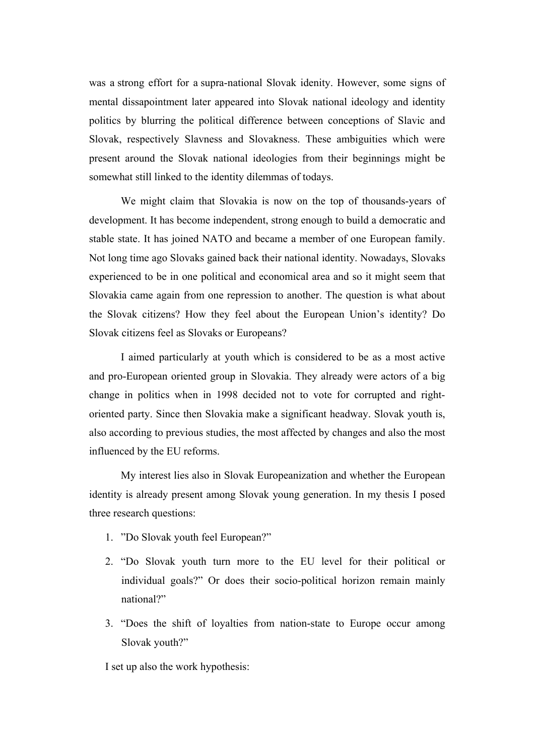was a strong effort for a supra-national Slovak idenity. However, some signs of mental dissapointment later appeared into Slovak national ideology and identity politics by blurring the political difference between conceptions of Slavic and Slovak, respectively Slavness and Slovakness. These ambiguities which were present around the Slovak national ideologies from their beginnings might be somewhat still linked to the identity dilemmas of todays.

We might claim that Slovakia is now on the top of thousands-years of development. It has become independent, strong enough to build a democratic and stable state. It has joined NATO and became a member of one European family. Not long time ago Slovaks gained back their national identity. Nowadays, Slovaks experienced to be in one political and economical area and so it might seem that Slovakia came again from one repression to another. The question is what about the Slovak citizens? How they feel about the European Union's identity? Do Slovak citizens feel as Slovaks or Europeans?

I aimed particularly at youth which is considered to be as a most active and pro-European oriented group in Slovakia. They already were actors of a big change in politics when in 1998 decided not to vote for corrupted and rightoriented party. Since then Slovakia make a significant headway. Slovak youth is, also according to previous studies, the most affected by changes and also the most influenced by the EU reforms.

My interest lies also in Slovak Europeanization and whether the European identity is already present among Slovak young generation. In my thesis I posed three research questions:

- 1. "Do Slovak youth feel European?"
- 2. "Do Slovak youth turn more to the EU level for their political or individual goals?" Or does their socio-political horizon remain mainly national?"
- 3. "Does the shift of loyalties from nation-state to Europe occur among Slovak youth?"

I set up also the work hypothesis: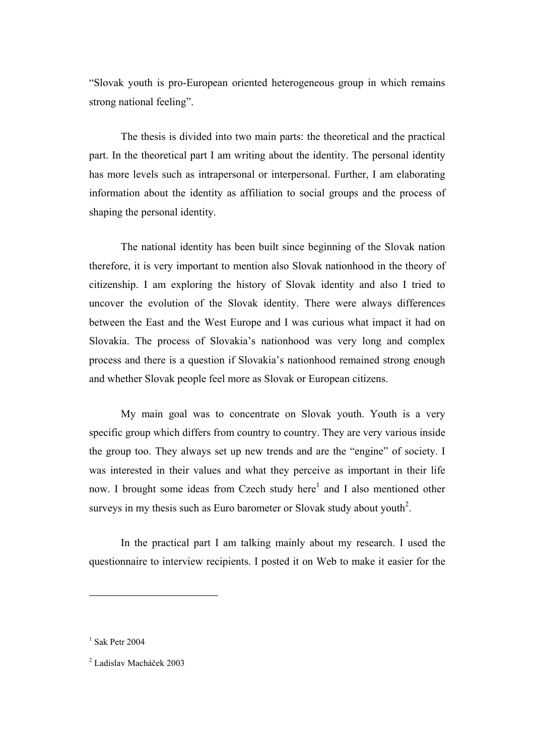"Slovak youth is pro-European oriented heterogeneous group in which remains strong national feeling".

The thesis is divided into two main parts: the theoretical and the practical part. In the theoretical part I am writing about the identity. The personal identity has more levels such as intrapersonal or interpersonal. Further, I am elaborating information about the identity as affiliation to social groups and the process of shaping the personal identity.

The national identity has been built since beginning of the Slovak nation therefore, it is very important to mention also Slovak nationhood in the theory of citizenship. I am exploring the history of Slovak identity and also I tried to uncover the evolution of the Slovak identity. There were always differences between the East and the West Europe and I was curious what impact it had on Slovakia. The process of Slovakia's nationhood was very long and complex process and there is a question if Slovakia's nationhood remained strong enough and whether Slovak people feel more as Slovak or European citizens.

My main goal was to concentrate on Slovak youth. Youth is a very specific group which differs from country to country. They are very various inside the group too. They always set up new trends and are the "engine" of society. I was interested in their values and what they perceive as important in their life now. I brought some ideas from Czech study here<sup>1</sup> and I also mentioned other surveys in my thesis such as Euro barometer or Slovak study about youth<sup>2</sup>.

In the practical part I am talking mainly about my research. I used the questionnaire to interview recipients. I posted it on Web to make it easier for the

 $<sup>1</sup>$  Sak Petr 2004</sup>

<sup>2</sup> Ladislav Macháček 2003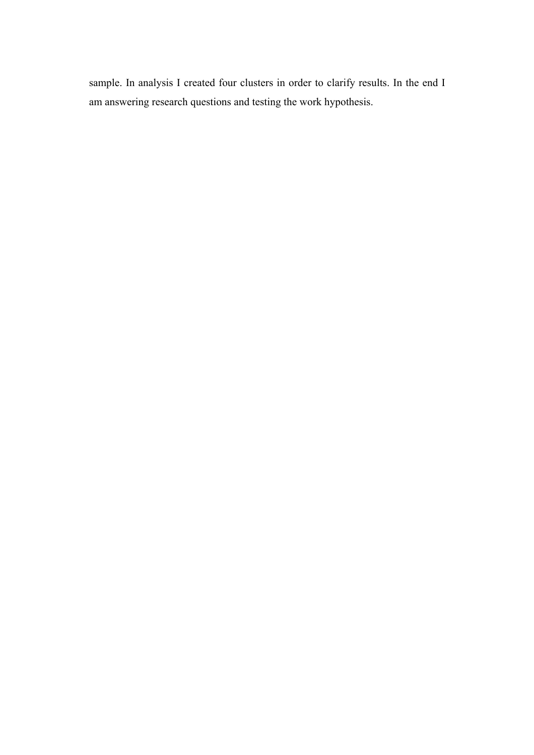sample. In analysis I created four clusters in order to clarify results. In the end I am answering research questions and testing the work hypothesis.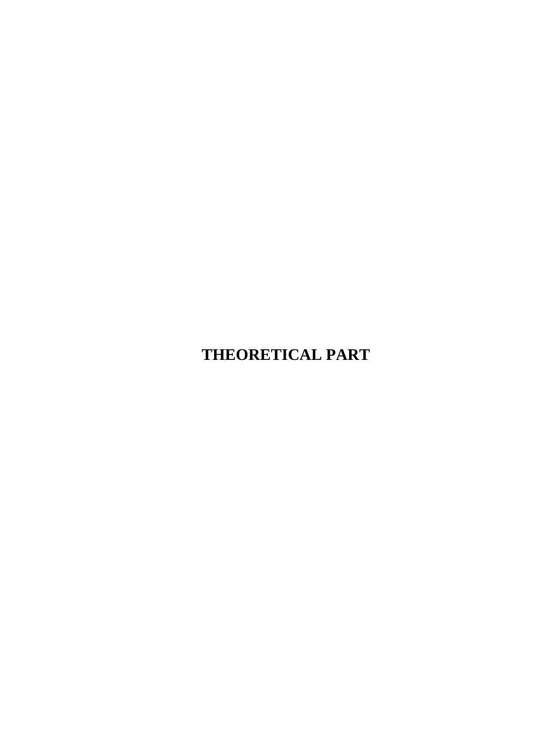## **THEORETICAL PART**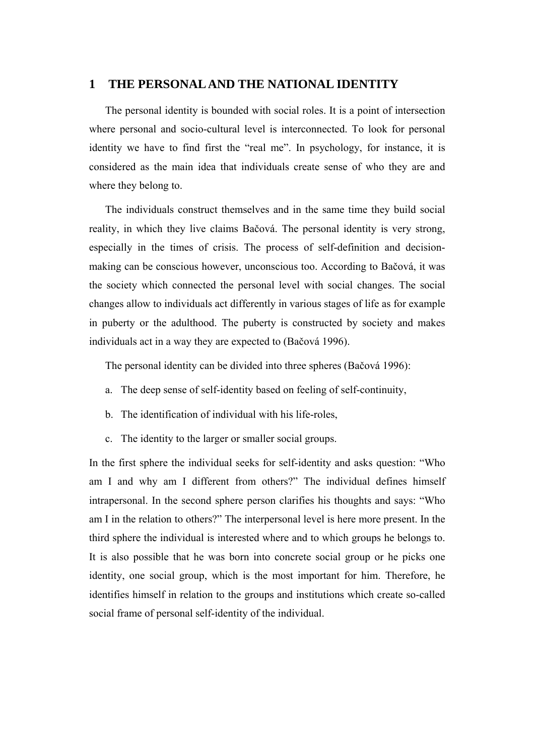#### **1 THE PERSONAL AND THE NATIONAL IDENTITY**

The personal identity is bounded with social roles. It is a point of intersection where personal and socio-cultural level is interconnected. To look for personal identity we have to find first the "real me". In psychology, for instance, it is considered as the main idea that individuals create sense of who they are and where they belong to.

The individuals construct themselves and in the same time they build social reality, in which they live claims Bačová. The personal identity is very strong, especially in the times of crisis. The process of self-definition and decisionmaking can be conscious however, unconscious too. According to Bačová, it was the society which connected the personal level with social changes. The social changes allow to individuals act differently in various stages of life as for example in puberty or the adulthood. The puberty is constructed by society and makes individuals act in a way they are expected to (Bačová 1996).

The personal identity can be divided into three spheres (Bačová 1996):

- a. The deep sense of self-identity based on feeling of self-continuity,
- b. The identification of individual with his life-roles,
- c. The identity to the larger or smaller social groups.

In the first sphere the individual seeks for self-identity and asks question: "Who am I and why am I different from others?" The individual defines himself intrapersonal. In the second sphere person clarifies his thoughts and says: "Who am I in the relation to others?" The interpersonal level is here more present. In the third sphere the individual is interested where and to which groups he belongs to. It is also possible that he was born into concrete social group or he picks one identity, one social group, which is the most important for him. Therefore, he identifies himself in relation to the groups and institutions which create so-called social frame of personal self-identity of the individual.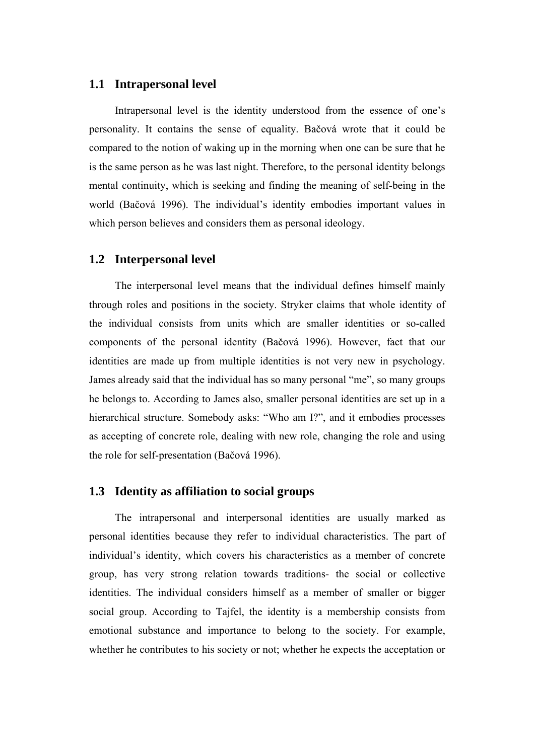#### **1.1 Intrapersonal level**

Intrapersonal level is the identity understood from the essence of one's personality. It contains the sense of equality. Bačová wrote that it could be compared to the notion of waking up in the morning when one can be sure that he is the same person as he was last night. Therefore, to the personal identity belongs mental continuity, which is seeking and finding the meaning of self-being in the world (Bačová 1996). The individual's identity embodies important values in which person believes and considers them as personal ideology.

#### **1.2 Interpersonal level**

The interpersonal level means that the individual defines himself mainly through roles and positions in the society. Stryker claims that whole identity of the individual consists from units which are smaller identities or so-called components of the personal identity (Bačová 1996). However, fact that our identities are made up from multiple identities is not very new in psychology. James already said that the individual has so many personal "me", so many groups he belongs to. According to James also, smaller personal identities are set up in a hierarchical structure. Somebody asks: "Who am I?", and it embodies processes as accepting of concrete role, dealing with new role, changing the role and using the role for self-presentation (Bačová 1996).

#### **1.3 Identity as affiliation to social groups**

The intrapersonal and interpersonal identities are usually marked as personal identities because they refer to individual characteristics. The part of individual's identity, which covers his characteristics as a member of concrete group, has very strong relation towards traditions- the social or collective identities. The individual considers himself as a member of smaller or bigger social group. According to Tajfel, the identity is a membership consists from emotional substance and importance to belong to the society. For example, whether he contributes to his society or not; whether he expects the acceptation or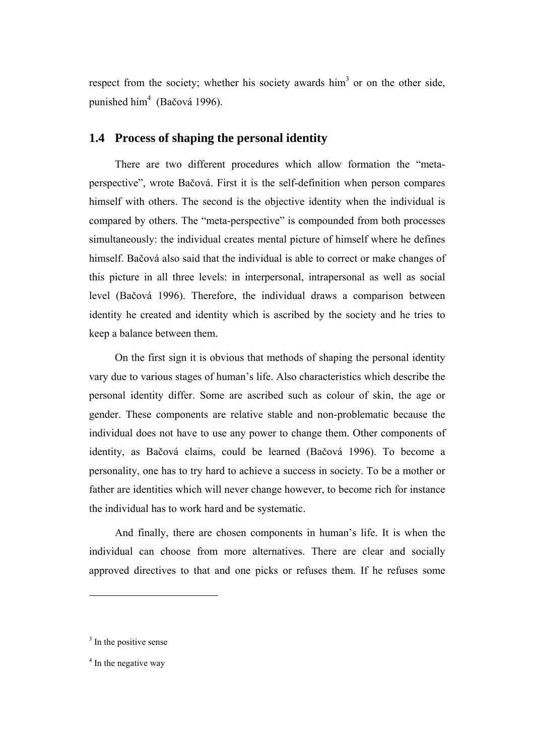respect from the society; whether his society awards  $\text{him}^3$  or on the other side, punished him<sup>4</sup> (Bačová 1996).

#### **1.4 Process of shaping the personal identity**

There are two different procedures which allow formation the "metaperspective", wrote Bačová. First it is the self-definition when person compares himself with others. The second is the objective identity when the individual is compared by others. The "meta-perspective" is compounded from both processes simultaneously: the individual creates mental picture of himself where he defines himself. Bačová also said that the individual is able to correct or make changes of this picture in all three levels: in interpersonal, intrapersonal as well as social level (Bačová 1996). Therefore, the individual draws a comparison between identity he created and identity which is ascribed by the society and he tries to keep a balance between them.

On the first sign it is obvious that methods of shaping the personal identity vary due to various stages of human's life. Also characteristics which describe the personal identity differ. Some are ascribed such as colour of skin, the age or gender. These components are relative stable and non-problematic because the individual does not have to use any power to change them. Other components of identity, as Bačová claims, could be learned (Bačová 1996). To become a personality, one has to try hard to achieve a success in society. To be a mother or father are identities which will never change however, to become rich for instance the individual has to work hard and be systematic.

And finally, there are chosen components in human's life. It is when the individual can choose from more alternatives. There are clear and socially approved directives to that and one picks or refuses them. If he refuses some

 $3$  In the positive sense

<sup>&</sup>lt;sup>4</sup> In the negative way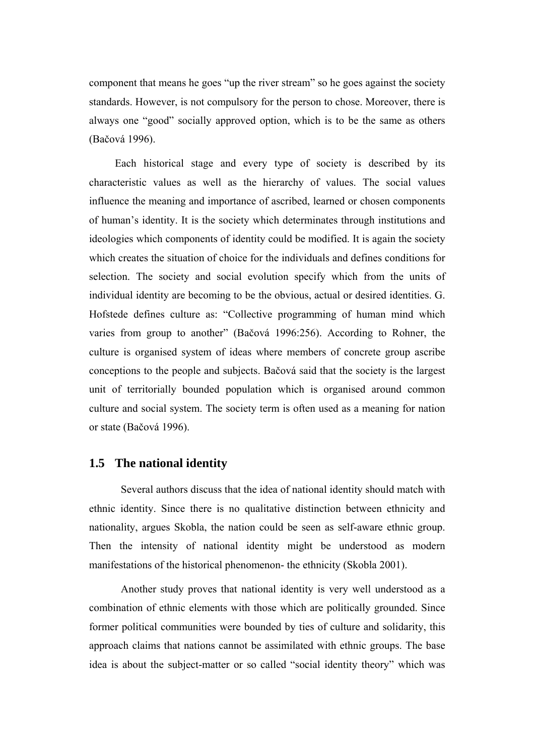component that means he goes "up the river stream" so he goes against the society standards. However, is not compulsory for the person to chose. Moreover, there is always one "good" socially approved option, which is to be the same as others (Bačová 1996).

Each historical stage and every type of society is described by its characteristic values as well as the hierarchy of values. The social values influence the meaning and importance of ascribed, learned or chosen components of human's identity. It is the society which determinates through institutions and ideologies which components of identity could be modified. It is again the society which creates the situation of choice for the individuals and defines conditions for selection. The society and social evolution specify which from the units of individual identity are becoming to be the obvious, actual or desired identities. G. Hofstede defines culture as: "Collective programming of human mind which varies from group to another" (Bačová 1996:256). According to Rohner, the culture is organised system of ideas where members of concrete group ascribe conceptions to the people and subjects. Bačová said that the society is the largest unit of territorially bounded population which is organised around common culture and social system. The society term is often used as a meaning for nation or state (Bačová 1996).

#### **1.5 The national identity**

Several authors discuss that the idea of national identity should match with ethnic identity. Since there is no qualitative distinction between ethnicity and nationality, argues Skobla, the nation could be seen as self-aware ethnic group. Then the intensity of national identity might be understood as modern manifestations of the historical phenomenon- the ethnicity (Skobla 2001).

Another study proves that national identity is very well understood as a combination of ethnic elements with those which are politically grounded. Since former political communities were bounded by ties of culture and solidarity, this approach claims that nations cannot be assimilated with ethnic groups. The base idea is about the subject-matter or so called "social identity theory" which was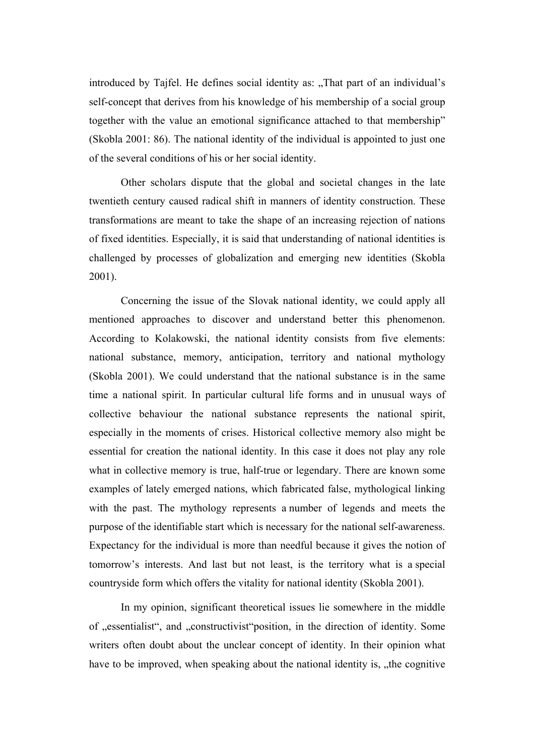introduced by Tajfel. He defines social identity as: "That part of an individual's self-concept that derives from his knowledge of his membership of a social group together with the value an emotional significance attached to that membership" (Skobla 2001: 86). The national identity of the individual is appointed to just one of the several conditions of his or her social identity.

Other scholars dispute that the global and societal changes in the late twentieth century caused radical shift in manners of identity construction. These transformations are meant to take the shape of an increasing rejection of nations of fixed identities. Especially, it is said that understanding of national identities is challenged by processes of globalization and emerging new identities (Skobla 2001).

Concerning the issue of the Slovak national identity, we could apply all mentioned approaches to discover and understand better this phenomenon. According to Kolakowski, the national identity consists from five elements: national substance, memory, anticipation, territory and national mythology (Skobla 2001). We could understand that the national substance is in the same time a national spirit. In particular cultural life forms and in unusual ways of collective behaviour the national substance represents the national spirit, especially in the moments of crises. Historical collective memory also might be essential for creation the national identity. In this case it does not play any role what in collective memory is true, half-true or legendary. There are known some examples of lately emerged nations, which fabricated false, mythological linking with the past. The mythology represents a number of legends and meets the purpose of the identifiable start which is necessary for the national self-awareness. Expectancy for the individual is more than needful because it gives the notion of tomorrow's interests. And last but not least, is the territory what is a special countryside form which offers the vitality for national identity (Skobla 2001).

In my opinion, significant theoretical issues lie somewhere in the middle of "essentialist", and "constructivist" position, in the direction of identity. Some writers often doubt about the unclear concept of identity. In their opinion what have to be improved, when speaking about the national identity is, the cognitive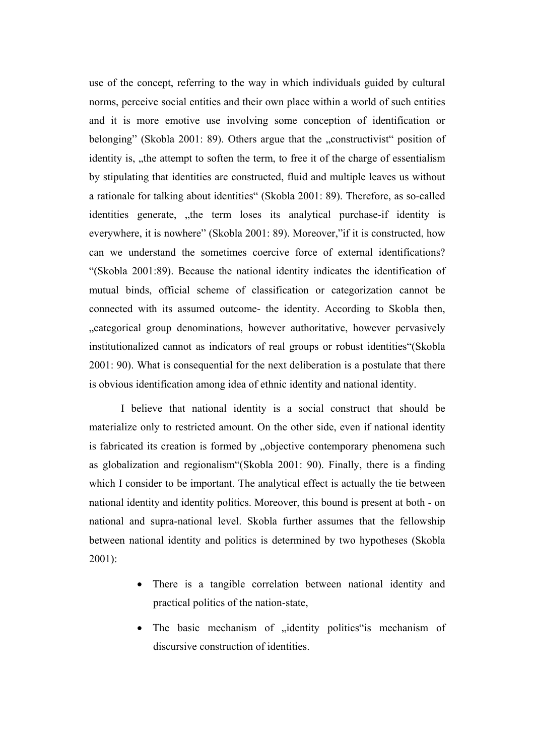use of the concept, referring to the way in which individuals guided by cultural norms, perceive social entities and their own place within a world of such entities and it is more emotive use involving some conception of identification or belonging" (Skobla 2001: 89). Others argue that the "constructivist" position of identity is, , the attempt to soften the term, to free it of the charge of essentialism by stipulating that identities are constructed, fluid and multiple leaves us without a rationale for talking about identities" (Skobla 2001: 89). Therefore, as so-called identities generate, "the term loses its analytical purchase-if identity is everywhere, it is nowhere" (Skobla 2001: 89). Moreover,"if it is constructed, how can we understand the sometimes coercive force of external identifications? "(Skobla 2001:89). Because the national identity indicates the identification of mutual binds, official scheme of classification or categorization cannot be connected with its assumed outcome- the identity. According to Skobla then, "categorical group denominations, however authoritative, however pervasively institutionalized cannot as indicators of real groups or robust identities"(Skobla 2001: 90). What is consequential for the next deliberation is a postulate that there is obvious identification among idea of ethnic identity and national identity.

I believe that national identity is a social construct that should be materialize only to restricted amount. On the other side, even if national identity is fabricated its creation is formed by "objective contemporary phenomena such as globalization and regionalism"(Skobla 2001: 90). Finally, there is a finding which I consider to be important. The analytical effect is actually the tie between national identity and identity politics. Moreover, this bound is present at both - on national and supra-national level. Skobla further assumes that the fellowship between national identity and politics is determined by two hypotheses (Skobla 2001):

- There is a tangible correlation between national identity and practical politics of the nation-state,
- The basic mechanism of "identity politics"is mechanism of discursive construction of identities.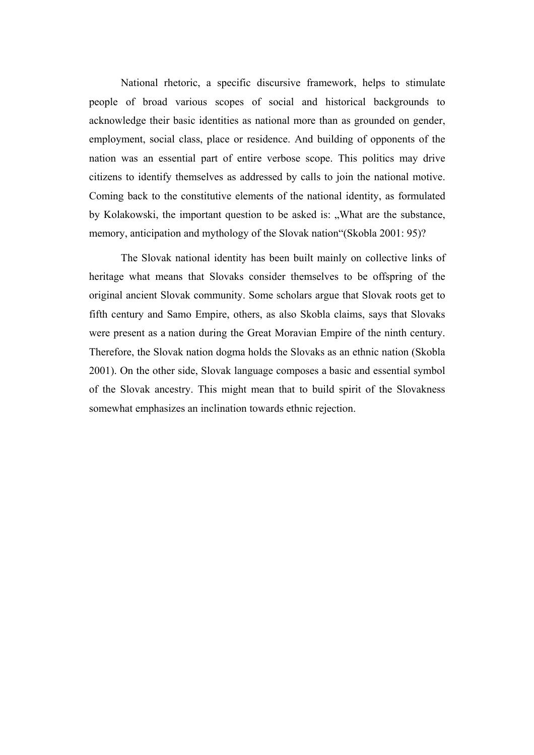National rhetoric, a specific discursive framework, helps to stimulate people of broad various scopes of social and historical backgrounds to acknowledge their basic identities as national more than as grounded on gender, employment, social class, place or residence. And building of opponents of the nation was an essential part of entire verbose scope. This politics may drive citizens to identify themselves as addressed by calls to join the national motive. Coming back to the constitutive elements of the national identity, as formulated by Kolakowski, the important question to be asked is: "What are the substance, memory, anticipation and mythology of the Slovak nation"(Skobla 2001: 95)?

The Slovak national identity has been built mainly on collective links of heritage what means that Slovaks consider themselves to be offspring of the original ancient Slovak community. Some scholars argue that Slovak roots get to fifth century and Samo Empire, others, as also Skobla claims, says that Slovaks were present as a nation during the Great Moravian Empire of the ninth century. Therefore, the Slovak nation dogma holds the Slovaks as an ethnic nation (Skobla 2001). On the other side, Slovak language composes a basic and essential symbol of the Slovak ancestry. This might mean that to build spirit of the Slovakness somewhat emphasizes an inclination towards ethnic rejection.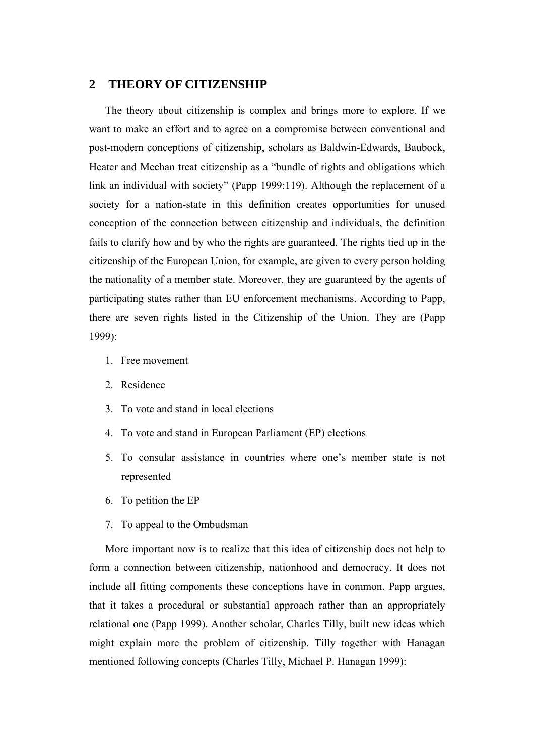#### **2 THEORY OF CITIZENSHIP**

The theory about citizenship is complex and brings more to explore. If we want to make an effort and to agree on a compromise between conventional and post-modern conceptions of citizenship, scholars as Baldwin-Edwards, Baubock, Heater and Meehan treat citizenship as a "bundle of rights and obligations which link an individual with society" (Papp 1999:119). Although the replacement of a society for a nation-state in this definition creates opportunities for unused conception of the connection between citizenship and individuals, the definition fails to clarify how and by who the rights are guaranteed. The rights tied up in the citizenship of the European Union, for example, are given to every person holding the nationality of a member state. Moreover, they are guaranteed by the agents of participating states rather than EU enforcement mechanisms. According to Papp, there are seven rights listed in the Citizenship of the Union. They are (Papp 1999):

- 1. Free movement
- 2. Residence
- 3. To vote and stand in local elections
- 4. To vote and stand in European Parliament (EP) elections
- 5. To consular assistance in countries where one's member state is not represented
- 6. To petition the EP
- 7. To appeal to the Ombudsman

More important now is to realize that this idea of citizenship does not help to form a connection between citizenship, nationhood and democracy. It does not include all fitting components these conceptions have in common. Papp argues, that it takes a procedural or substantial approach rather than an appropriately relational one (Papp 1999). Another scholar, Charles Tilly, built new ideas which might explain more the problem of citizenship. Tilly together with Hanagan mentioned following concepts (Charles Tilly, Michael P. Hanagan 1999):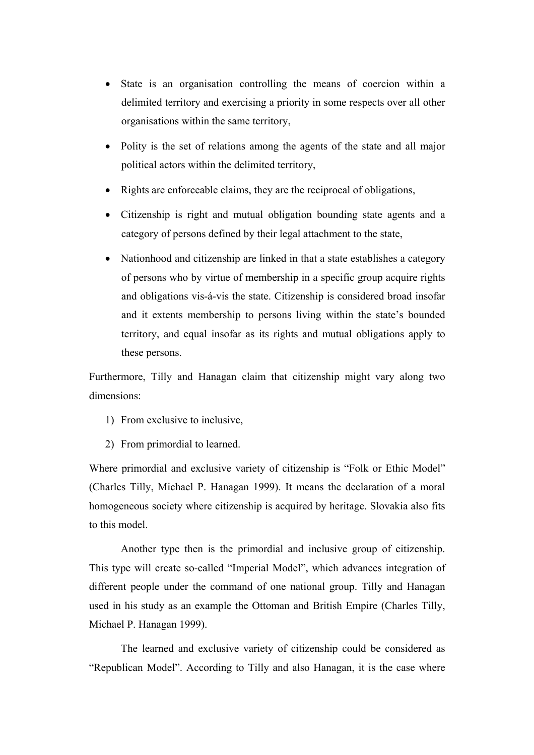- State is an organisation controlling the means of coercion within a delimited territory and exercising a priority in some respects over all other organisations within the same territory,
- Polity is the set of relations among the agents of the state and all major political actors within the delimited territory,
- Rights are enforceable claims, they are the reciprocal of obligations,
- Citizenship is right and mutual obligation bounding state agents and a category of persons defined by their legal attachment to the state,
- Nationhood and citizenship are linked in that a state establishes a category of persons who by virtue of membership in a specific group acquire rights and obligations vis-á-vis the state. Citizenship is considered broad insofar and it extents membership to persons living within the state's bounded territory, and equal insofar as its rights and mutual obligations apply to these persons.

Furthermore, Tilly and Hanagan claim that citizenship might vary along two dimensions:

- 1) From exclusive to inclusive,
- 2) From primordial to learned.

Where primordial and exclusive variety of citizenship is "Folk or Ethic Model" (Charles Tilly, Michael P. Hanagan 1999). It means the declaration of a moral homogeneous society where citizenship is acquired by heritage. Slovakia also fits to this model.

Another type then is the primordial and inclusive group of citizenship. This type will create so-called "Imperial Model", which advances integration of different people under the command of one national group. Tilly and Hanagan used in his study as an example the Ottoman and British Empire (Charles Tilly, Michael P. Hanagan 1999).

The learned and exclusive variety of citizenship could be considered as "Republican Model". According to Tilly and also Hanagan, it is the case where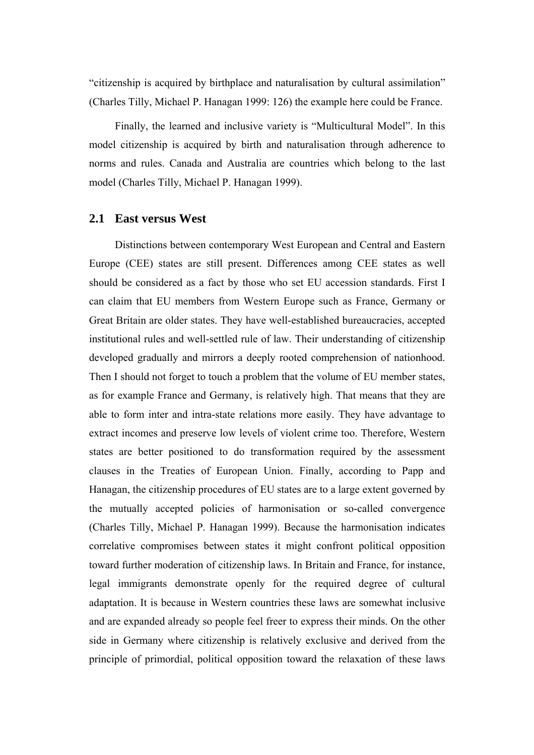"citizenship is acquired by birthplace and naturalisation by cultural assimilation" (Charles Tilly, Michael P. Hanagan 1999: 126) the example here could be France.

Finally, the learned and inclusive variety is "Multicultural Model". In this model citizenship is acquired by birth and naturalisation through adherence to norms and rules. Canada and Australia are countries which belong to the last model (Charles Tilly, Michael P. Hanagan 1999).

#### **2.1 East versus West**

Distinctions between contemporary West European and Central and Eastern Europe (CEE) states are still present. Differences among CEE states as well should be considered as a fact by those who set EU accession standards. First I can claim that EU members from Western Europe such as France, Germany or Great Britain are older states. They have well-established bureaucracies, accepted institutional rules and well-settled rule of law. Their understanding of citizenship developed gradually and mirrors a deeply rooted comprehension of nationhood. Then I should not forget to touch a problem that the volume of EU member states, as for example France and Germany, is relatively high. That means that they are able to form inter and intra-state relations more easily. They have advantage to extract incomes and preserve low levels of violent crime too. Therefore, Western states are better positioned to do transformation required by the assessment clauses in the Treaties of European Union. Finally, according to Papp and Hanagan, the citizenship procedures of EU states are to a large extent governed by the mutually accepted policies of harmonisation or so-called convergence (Charles Tilly, Michael P. Hanagan 1999). Because the harmonisation indicates correlative compromises between states it might confront political opposition toward further moderation of citizenship laws. In Britain and France, for instance, legal immigrants demonstrate openly for the required degree of cultural adaptation. It is because in Western countries these laws are somewhat inclusive and are expanded already so people feel freer to express their minds. On the other side in Germany where citizenship is relatively exclusive and derived from the principle of primordial, political opposition toward the relaxation of these laws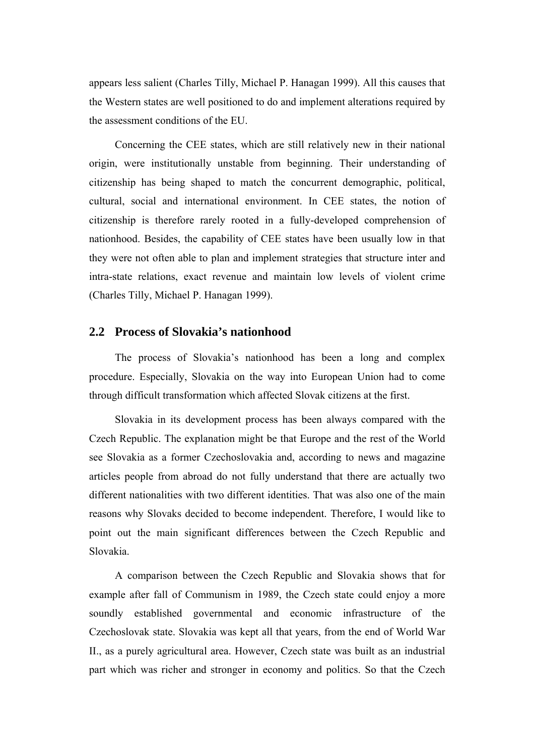appears less salient (Charles Tilly, Michael P. Hanagan 1999). All this causes that the Western states are well positioned to do and implement alterations required by the assessment conditions of the EU.

Concerning the CEE states, which are still relatively new in their national origin, were institutionally unstable from beginning. Their understanding of citizenship has being shaped to match the concurrent demographic, political, cultural, social and international environment. In CEE states, the notion of citizenship is therefore rarely rooted in a fully-developed comprehension of nationhood. Besides, the capability of CEE states have been usually low in that they were not often able to plan and implement strategies that structure inter and intra-state relations, exact revenue and maintain low levels of violent crime (Charles Tilly, Michael P. Hanagan 1999).

#### **2.2 Process of Slovakia's nationhood**

The process of Slovakia's nationhood has been a long and complex procedure. Especially, Slovakia on the way into European Union had to come through difficult transformation which affected Slovak citizens at the first.

Slovakia in its development process has been always compared with the Czech Republic. The explanation might be that Europe and the rest of the World see Slovakia as a former Czechoslovakia and, according to news and magazine articles people from abroad do not fully understand that there are actually two different nationalities with two different identities. That was also one of the main reasons why Slovaks decided to become independent. Therefore, I would like to point out the main significant differences between the Czech Republic and Slovakia.

A comparison between the Czech Republic and Slovakia shows that for example after fall of Communism in 1989, the Czech state could enjoy a more soundly established governmental and economic infrastructure of the Czechoslovak state. Slovakia was kept all that years, from the end of World War II., as a purely agricultural area. However, Czech state was built as an industrial part which was richer and stronger in economy and politics. So that the Czech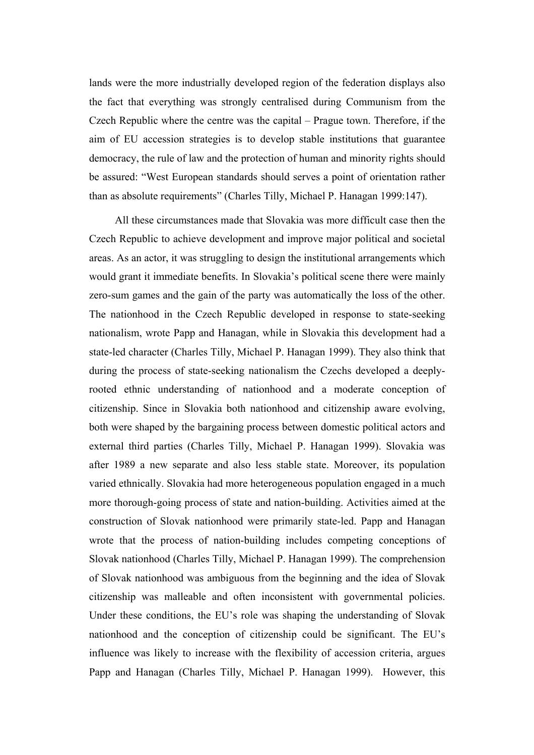lands were the more industrially developed region of the federation displays also the fact that everything was strongly centralised during Communism from the Czech Republic where the centre was the capital – Prague town. Therefore, if the aim of EU accession strategies is to develop stable institutions that guarantee democracy, the rule of law and the protection of human and minority rights should be assured: "West European standards should serves a point of orientation rather than as absolute requirements" (Charles Tilly, Michael P. Hanagan 1999:147).

All these circumstances made that Slovakia was more difficult case then the Czech Republic to achieve development and improve major political and societal areas. As an actor, it was struggling to design the institutional arrangements which would grant it immediate benefits. In Slovakia's political scene there were mainly zero-sum games and the gain of the party was automatically the loss of the other. The nationhood in the Czech Republic developed in response to state-seeking nationalism, wrote Papp and Hanagan, while in Slovakia this development had a state-led character (Charles Tilly, Michael P. Hanagan 1999). They also think that during the process of state-seeking nationalism the Czechs developed a deeplyrooted ethnic understanding of nationhood and a moderate conception of citizenship. Since in Slovakia both nationhood and citizenship aware evolving, both were shaped by the bargaining process between domestic political actors and external third parties (Charles Tilly, Michael P. Hanagan 1999). Slovakia was after 1989 a new separate and also less stable state. Moreover, its population varied ethnically. Slovakia had more heterogeneous population engaged in a much more thorough-going process of state and nation-building. Activities aimed at the construction of Slovak nationhood were primarily state-led. Papp and Hanagan wrote that the process of nation-building includes competing conceptions of Slovak nationhood (Charles Tilly, Michael P. Hanagan 1999). The comprehension of Slovak nationhood was ambiguous from the beginning and the idea of Slovak citizenship was malleable and often inconsistent with governmental policies. Under these conditions, the EU's role was shaping the understanding of Slovak nationhood and the conception of citizenship could be significant. The EU's influence was likely to increase with the flexibility of accession criteria, argues Papp and Hanagan (Charles Tilly, Michael P. Hanagan 1999). However, this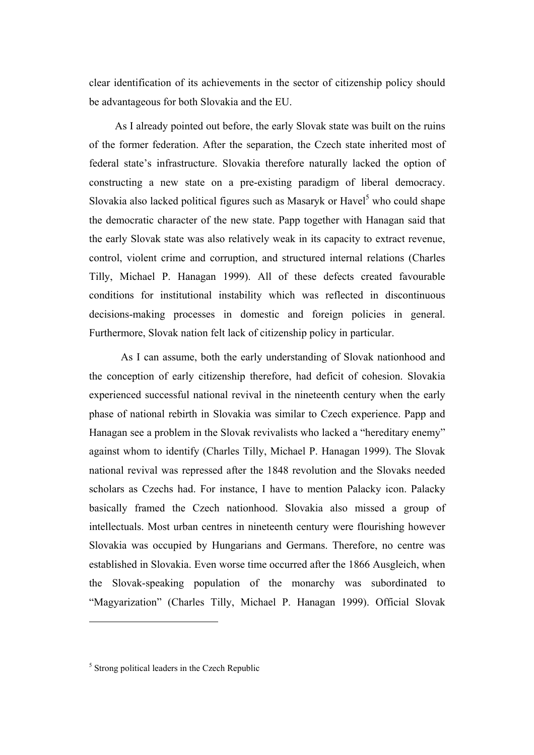clear identification of its achievements in the sector of citizenship policy should be advantageous for both Slovakia and the EU.

As I already pointed out before, the early Slovak state was built on the ruins of the former federation. After the separation, the Czech state inherited most of federal state's infrastructure. Slovakia therefore naturally lacked the option of constructing a new state on a pre-existing paradigm of liberal democracy. Slovakia also lacked political figures such as Masaryk or Havel $<sup>5</sup>$  who could shape</sup> the democratic character of the new state. Papp together with Hanagan said that the early Slovak state was also relatively weak in its capacity to extract revenue, control, violent crime and corruption, and structured internal relations (Charles Tilly, Michael P. Hanagan 1999). All of these defects created favourable conditions for institutional instability which was reflected in discontinuous decisions-making processes in domestic and foreign policies in general. Furthermore, Slovak nation felt lack of citizenship policy in particular.

As I can assume, both the early understanding of Slovak nationhood and the conception of early citizenship therefore, had deficit of cohesion. Slovakia experienced successful national revival in the nineteenth century when the early phase of national rebirth in Slovakia was similar to Czech experience. Papp and Hanagan see a problem in the Slovak revivalists who lacked a "hereditary enemy" against whom to identify (Charles Tilly, Michael P. Hanagan 1999). The Slovak national revival was repressed after the 1848 revolution and the Slovaks needed scholars as Czechs had. For instance, I have to mention Palacky icon. Palacky basically framed the Czech nationhood. Slovakia also missed a group of intellectuals. Most urban centres in nineteenth century were flourishing however Slovakia was occupied by Hungarians and Germans. Therefore, no centre was established in Slovakia. Even worse time occurred after the 1866 Ausgleich, when the Slovak-speaking population of the monarchy was subordinated to "Magyarization" (Charles Tilly, Michael P. Hanagan 1999). Official Slovak

<sup>&</sup>lt;sup>5</sup> Strong political leaders in the Czech Republic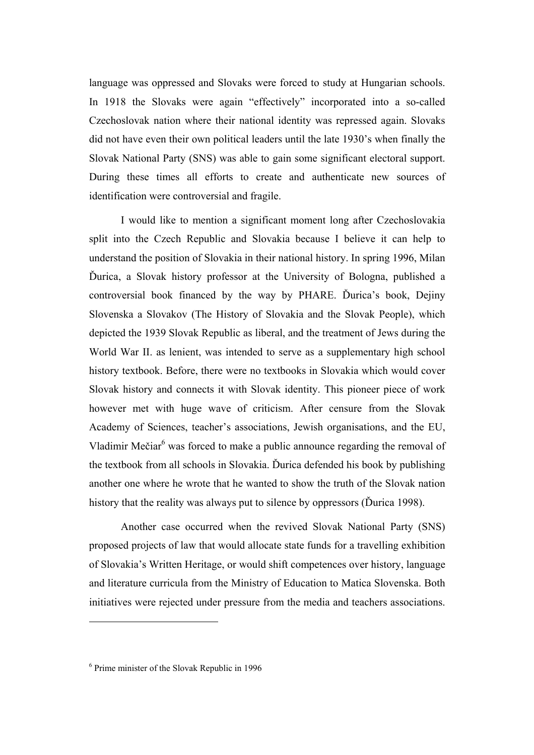language was oppressed and Slovaks were forced to study at Hungarian schools. In 1918 the Slovaks were again "effectively" incorporated into a so-called Czechoslovak nation where their national identity was repressed again. Slovaks did not have even their own political leaders until the late 1930's when finally the Slovak National Party (SNS) was able to gain some significant electoral support. During these times all efforts to create and authenticate new sources of identification were controversial and fragile.

I would like to mention a significant moment long after Czechoslovakia split into the Czech Republic and Slovakia because I believe it can help to understand the position of Slovakia in their national history. In spring 1996, Milan Ďurica, a Slovak history professor at the University of Bologna, published a controversial book financed by the way by PHARE. Ďurica's book, Dejiny Slovenska a Slovakov (The History of Slovakia and the Slovak People), which depicted the 1939 Slovak Republic as liberal, and the treatment of Jews during the World War II. as lenient, was intended to serve as a supplementary high school history textbook. Before, there were no textbooks in Slovakia which would cover Slovak history and connects it with Slovak identity. This pioneer piece of work however met with huge wave of criticism. After censure from the Slovak Academy of Sciences, teacher's associations, Jewish organisations, and the EU, Vladimir Mečiar<sup>6</sup> was forced to make a public announce regarding the removal of the textbook from all schools in Slovakia. Ďurica defended his book by publishing another one where he wrote that he wanted to show the truth of the Slovak nation history that the reality was always put to silence by oppressors (Ďurica 1998).

Another case occurred when the revived Slovak National Party (SNS) proposed projects of law that would allocate state funds for a travelling exhibition of Slovakia's Written Heritage, or would shift competences over history, language and literature curricula from the Ministry of Education to Matica Slovenska. Both initiatives were rejected under pressure from the media and teachers associations.

<sup>6</sup> Prime minister of the Slovak Republic in 1996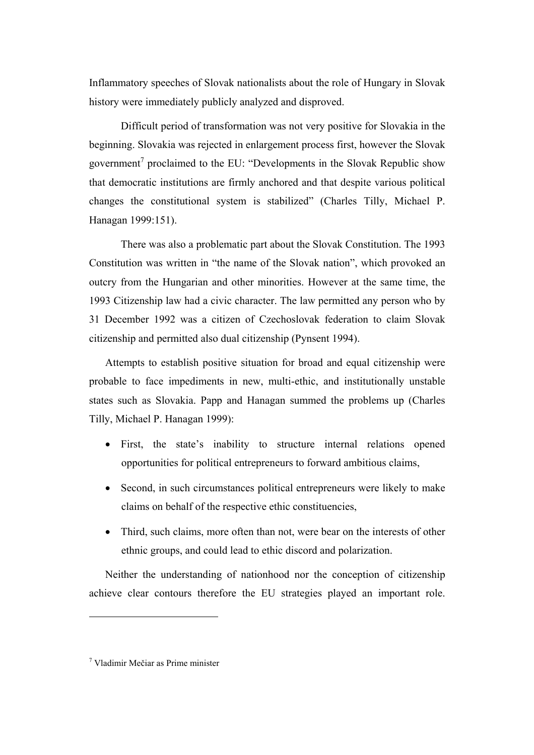Inflammatory speeches of Slovak nationalists about the role of Hungary in Slovak history were immediately publicly analyzed and disproved.

Difficult period of transformation was not very positive for Slovakia in the beginning. Slovakia was rejected in enlargement process first, however the Slovak government<sup>7</sup> proclaimed to the EU: "Developments in the Slovak Republic show that democratic institutions are firmly anchored and that despite various political changes the constitutional system is stabilized" (Charles Tilly, Michael P. Hanagan 1999:151).

There was also a problematic part about the Slovak Constitution. The 1993 Constitution was written in "the name of the Slovak nation", which provoked an outcry from the Hungarian and other minorities. However at the same time, the 1993 Citizenship law had a civic character. The law permitted any person who by 31 December 1992 was a citizen of Czechoslovak federation to claim Slovak citizenship and permitted also dual citizenship (Pynsent 1994).

Attempts to establish positive situation for broad and equal citizenship were probable to face impediments in new, multi-ethic, and institutionally unstable states such as Slovakia. Papp and Hanagan summed the problems up (Charles Tilly, Michael P. Hanagan 1999):

- First, the state's inability to structure internal relations opened opportunities for political entrepreneurs to forward ambitious claims,
- Second, in such circumstances political entrepreneurs were likely to make claims on behalf of the respective ethic constituencies,
- Third, such claims, more often than not, were bear on the interests of other ethnic groups, and could lead to ethic discord and polarization.

Neither the understanding of nationhood nor the conception of citizenship achieve clear contours therefore the EU strategies played an important role.

<sup>7</sup> Vladimir Mečiar as Prime minister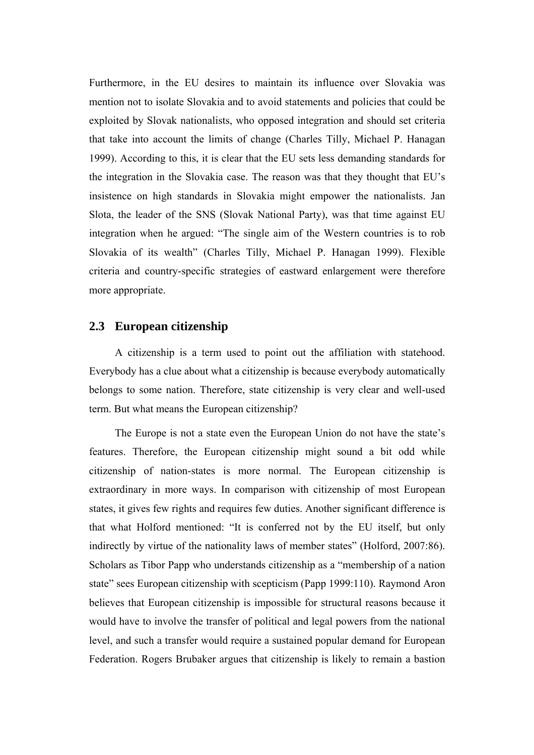Furthermore, in the EU desires to maintain its influence over Slovakia was mention not to isolate Slovakia and to avoid statements and policies that could be exploited by Slovak nationalists, who opposed integration and should set criteria that take into account the limits of change (Charles Tilly, Michael P. Hanagan 1999). According to this, it is clear that the EU sets less demanding standards for the integration in the Slovakia case. The reason was that they thought that EU's insistence on high standards in Slovakia might empower the nationalists. Jan Slota, the leader of the SNS (Slovak National Party), was that time against EU integration when he argued: "The single aim of the Western countries is to rob Slovakia of its wealth" (Charles Tilly, Michael P. Hanagan 1999). Flexible criteria and country-specific strategies of eastward enlargement were therefore more appropriate.

#### **2.3 European citizenship**

A citizenship is a term used to point out the affiliation with statehood. Everybody has a clue about what a citizenship is because everybody automatically belongs to some nation. Therefore, state citizenship is very clear and well-used term. But what means the European citizenship?

The Europe is not a state even the European Union do not have the state's features. Therefore, the European citizenship might sound a bit odd while citizenship of nation-states is more normal. The European citizenship is extraordinary in more ways. In comparison with citizenship of most European states, it gives few rights and requires few duties. Another significant difference is that what Holford mentioned: "It is conferred not by the EU itself, but only indirectly by virtue of the nationality laws of member states" (Holford, 2007:86). Scholars as Tibor Papp who understands citizenship as a "membership of a nation state" sees European citizenship with scepticism (Papp 1999:110). Raymond Aron believes that European citizenship is impossible for structural reasons because it would have to involve the transfer of political and legal powers from the national level, and such a transfer would require a sustained popular demand for European Federation. Rogers Brubaker argues that citizenship is likely to remain a bastion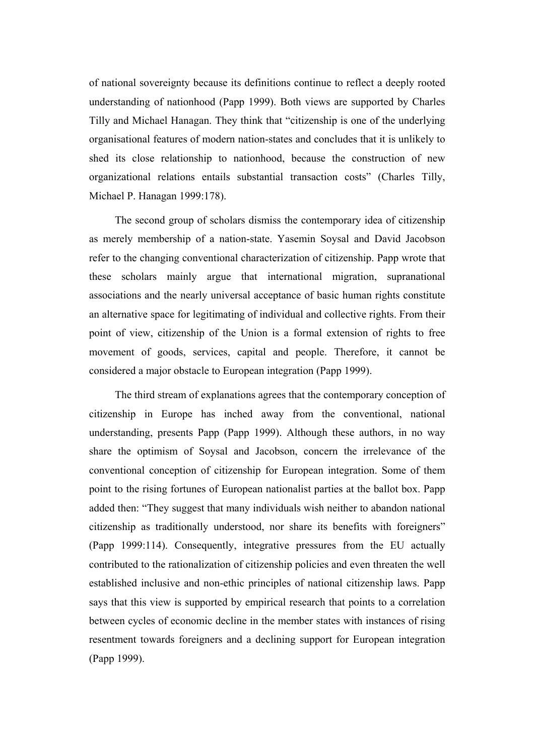of national sovereignty because its definitions continue to reflect a deeply rooted understanding of nationhood (Papp 1999). Both views are supported by Charles Tilly and Michael Hanagan. They think that "citizenship is one of the underlying organisational features of modern nation-states and concludes that it is unlikely to shed its close relationship to nationhood, because the construction of new organizational relations entails substantial transaction costs" (Charles Tilly, Michael P. Hanagan 1999:178).

The second group of scholars dismiss the contemporary idea of citizenship as merely membership of a nation-state. Yasemin Soysal and David Jacobson refer to the changing conventional characterization of citizenship. Papp wrote that these scholars mainly argue that international migration, supranational associations and the nearly universal acceptance of basic human rights constitute an alternative space for legitimating of individual and collective rights. From their point of view, citizenship of the Union is a formal extension of rights to free movement of goods, services, capital and people. Therefore, it cannot be considered a major obstacle to European integration (Papp 1999).

The third stream of explanations agrees that the contemporary conception of citizenship in Europe has inched away from the conventional, national understanding, presents Papp (Papp 1999). Although these authors, in no way share the optimism of Soysal and Jacobson, concern the irrelevance of the conventional conception of citizenship for European integration. Some of them point to the rising fortunes of European nationalist parties at the ballot box. Papp added then: "They suggest that many individuals wish neither to abandon national citizenship as traditionally understood, nor share its benefits with foreigners" (Papp 1999:114). Consequently, integrative pressures from the EU actually contributed to the rationalization of citizenship policies and even threaten the well established inclusive and non-ethic principles of national citizenship laws. Papp says that this view is supported by empirical research that points to a correlation between cycles of economic decline in the member states with instances of rising resentment towards foreigners and a declining support for European integration (Papp 1999).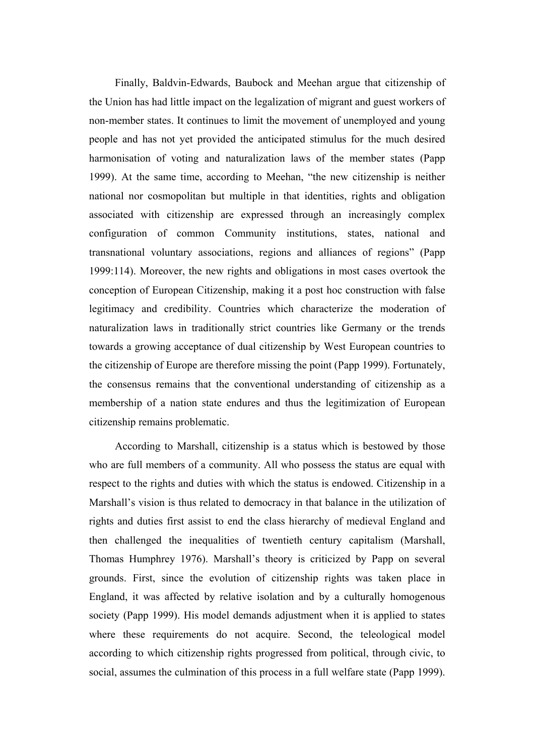Finally, Baldvin-Edwards, Baubock and Meehan argue that citizenship of the Union has had little impact on the legalization of migrant and guest workers of non-member states. It continues to limit the movement of unemployed and young people and has not yet provided the anticipated stimulus for the much desired harmonisation of voting and naturalization laws of the member states (Papp 1999). At the same time, according to Meehan, "the new citizenship is neither national nor cosmopolitan but multiple in that identities, rights and obligation associated with citizenship are expressed through an increasingly complex configuration of common Community institutions, states, national and transnational voluntary associations, regions and alliances of regions" (Papp 1999:114). Moreover, the new rights and obligations in most cases overtook the conception of European Citizenship, making it a post hoc construction with false legitimacy and credibility. Countries which characterize the moderation of naturalization laws in traditionally strict countries like Germany or the trends towards a growing acceptance of dual citizenship by West European countries to the citizenship of Europe are therefore missing the point (Papp 1999). Fortunately, the consensus remains that the conventional understanding of citizenship as a membership of a nation state endures and thus the legitimization of European citizenship remains problematic.

According to Marshall, citizenship is a status which is bestowed by those who are full members of a community. All who possess the status are equal with respect to the rights and duties with which the status is endowed. Citizenship in a Marshall's vision is thus related to democracy in that balance in the utilization of rights and duties first assist to end the class hierarchy of medieval England and then challenged the inequalities of twentieth century capitalism (Marshall, Thomas Humphrey 1976). Marshall's theory is criticized by Papp on several grounds. First, since the evolution of citizenship rights was taken place in England, it was affected by relative isolation and by a culturally homogenous society (Papp 1999). His model demands adjustment when it is applied to states where these requirements do not acquire. Second, the teleological model according to which citizenship rights progressed from political, through civic, to social, assumes the culmination of this process in a full welfare state (Papp 1999).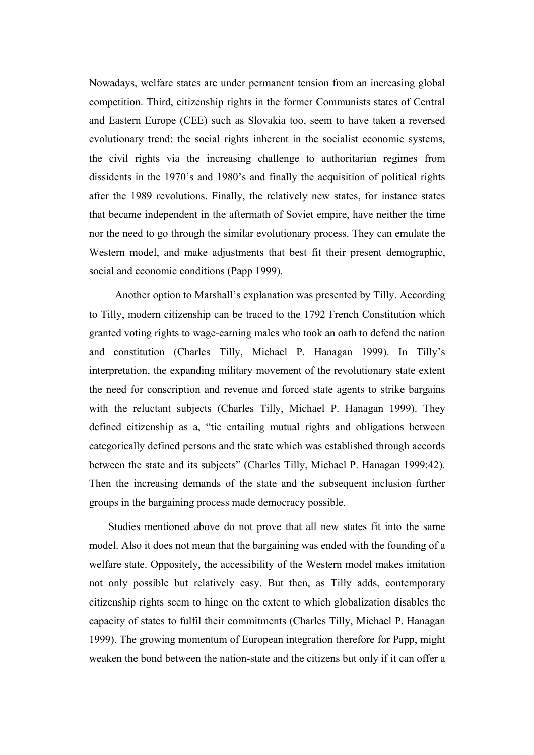Nowadays, welfare states are under permanent tension from an increasing global competition. Third, citizenship rights in the former Communists states of Central and Eastern Europe (CEE) such as Slovakia too, seem to have taken a reversed evolutionary trend: the social rights inherent in the socialist economic systems, the civil rights via the increasing challenge to authoritarian regimes from dissidents in the 1970's and 1980's and finally the acquisition of political rights after the 1989 revolutions. Finally, the relatively new states, for instance states that became independent in the aftermath of Soviet empire, have neither the time nor the need to go through the similar evolutionary process. They can emulate the Western model, and make adjustments that best fit their present demographic, social and economic conditions (Papp 1999).

Another option to Marshall's explanation was presented by Tilly. According to Tilly, modern citizenship can be traced to the 1792 French Constitution which granted voting rights to wage-earning males who took an oath to defend the nation and constitution (Charles Tilly, Michael P. Hanagan 1999). In Tilly's interpretation, the expanding military movement of the revolutionary state extent the need for conscription and revenue and forced state agents to strike bargains with the reluctant subjects (Charles Tilly, Michael P. Hanagan 1999). They defined citizenship as a, "tie entailing mutual rights and obligations between categorically defined persons and the state which was established through accords between the state and its subjects" (Charles Tilly, Michael P. Hanagan 1999:42). Then the increasing demands of the state and the subsequent inclusion further groups in the bargaining process made democracy possible.

Studies mentioned above do not prove that all new states fit into the same model. Also it does not mean that the bargaining was ended with the founding of a welfare state. Oppositely, the accessibility of the Western model makes imitation not only possible but relatively easy. But then, as Tilly adds, contemporary citizenship rights seem to hinge on the extent to which globalization disables the capacity of states to fulfil their commitments (Charles Tilly, Michael P. Hanagan 1999). The growing momentum of European integration therefore for Papp, might weaken the bond between the nation-state and the citizens but only if it can offer a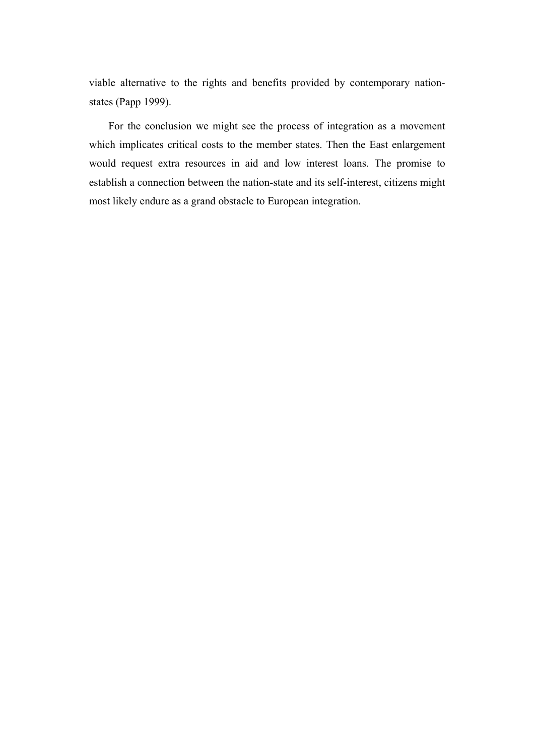viable alternative to the rights and benefits provided by contemporary nationstates (Papp 1999).

For the conclusion we might see the process of integration as a movement which implicates critical costs to the member states. Then the East enlargement would request extra resources in aid and low interest loans. The promise to establish a connection between the nation-state and its self-interest, citizens might most likely endure as a grand obstacle to European integration.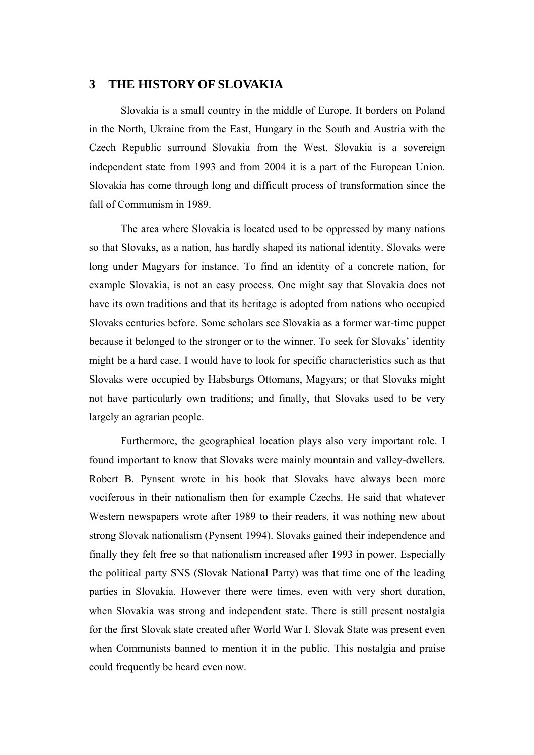#### **3 THE HISTORY OF SLOVAKIA**

Slovakia is a small country in the middle of Europe. It borders on Poland in the North, Ukraine from the East, Hungary in the South and Austria with the Czech Republic surround Slovakia from the West. Slovakia is a sovereign independent state from 1993 and from 2004 it is a part of the European Union. Slovakia has come through long and difficult process of transformation since the fall of Communism in 1989.

The area where Slovakia is located used to be oppressed by many nations so that Slovaks, as a nation, has hardly shaped its national identity. Slovaks were long under Magyars for instance. To find an identity of a concrete nation, for example Slovakia, is not an easy process. One might say that Slovakia does not have its own traditions and that its heritage is adopted from nations who occupied Slovaks centuries before. Some scholars see Slovakia as a former war-time puppet because it belonged to the stronger or to the winner. To seek for Slovaks' identity might be a hard case. I would have to look for specific characteristics such as that Slovaks were occupied by Habsburgs Ottomans, Magyars; or that Slovaks might not have particularly own traditions; and finally, that Slovaks used to be very largely an agrarian people.

Furthermore, the geographical location plays also very important role. I found important to know that Slovaks were mainly mountain and valley-dwellers. Robert B. Pynsent wrote in his book that Slovaks have always been more vociferous in their nationalism then for example Czechs. He said that whatever Western newspapers wrote after 1989 to their readers, it was nothing new about strong Slovak nationalism (Pynsent 1994). Slovaks gained their independence and finally they felt free so that nationalism increased after 1993 in power. Especially the political party SNS (Slovak National Party) was that time one of the leading parties in Slovakia. However there were times, even with very short duration, when Slovakia was strong and independent state. There is still present nostalgia for the first Slovak state created after World War I. Slovak State was present even when Communists banned to mention it in the public. This nostalgia and praise could frequently be heard even now.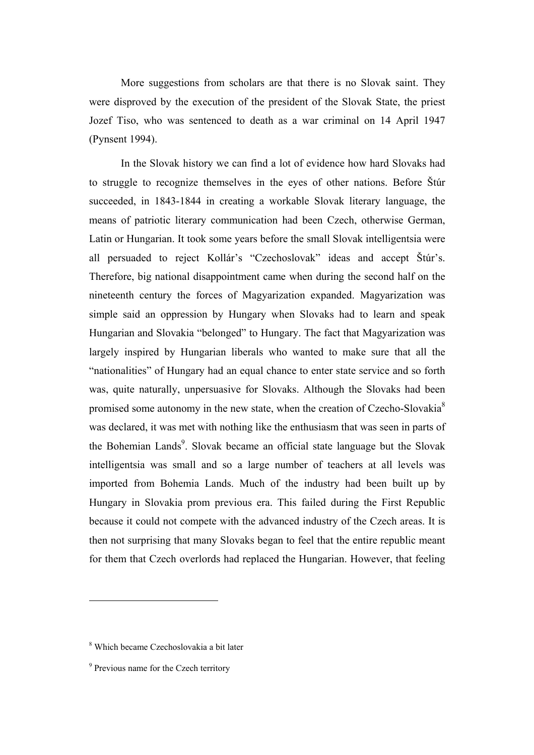More suggestions from scholars are that there is no Slovak saint. They were disproved by the execution of the president of the Slovak State, the priest Jozef Tiso, who was sentenced to death as a war criminal on 14 April 1947 (Pynsent 1994).

In the Slovak history we can find a lot of evidence how hard Slovaks had to struggle to recognize themselves in the eyes of other nations. Before Štúr succeeded, in 1843-1844 in creating a workable Slovak literary language, the means of patriotic literary communication had been Czech, otherwise German, Latin or Hungarian. It took some years before the small Slovak intelligentsia were all persuaded to reject Kollár's "Czechoslovak" ideas and accept Štúr's. Therefore, big national disappointment came when during the second half on the nineteenth century the forces of Magyarization expanded. Magyarization was simple said an oppression by Hungary when Slovaks had to learn and speak Hungarian and Slovakia "belonged" to Hungary. The fact that Magyarization was largely inspired by Hungarian liberals who wanted to make sure that all the "nationalities" of Hungary had an equal chance to enter state service and so forth was, quite naturally, unpersuasive for Slovaks. Although the Slovaks had been promised some autonomy in the new state, when the creation of Czecho-Slovakia<sup>8</sup> was declared, it was met with nothing like the enthusiasm that was seen in parts of the Bohemian Lands<sup>9</sup>. Slovak became an official state language but the Slovak intelligentsia was small and so a large number of teachers at all levels was imported from Bohemia Lands. Much of the industry had been built up by Hungary in Slovakia prom previous era. This failed during the First Republic because it could not compete with the advanced industry of the Czech areas. It is then not surprising that many Slovaks began to feel that the entire republic meant for them that Czech overlords had replaced the Hungarian. However, that feeling

<sup>8</sup> Which became Czechoslovakia a bit later

<sup>&</sup>lt;sup>9</sup> Previous name for the Czech territory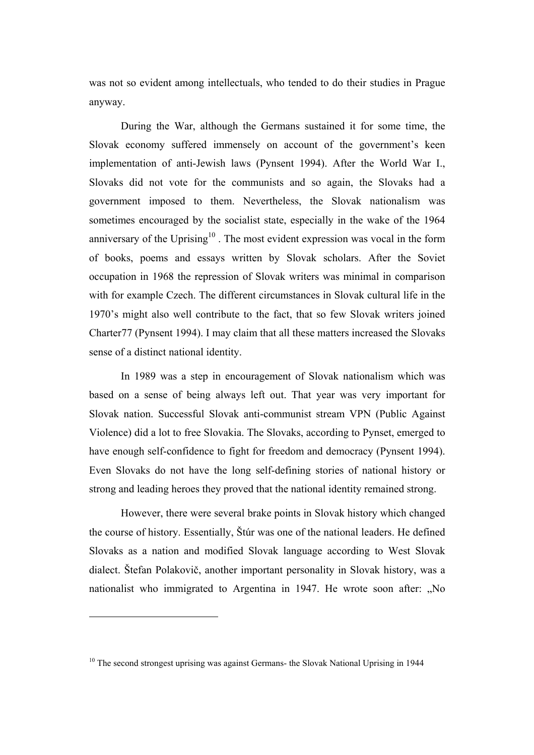was not so evident among intellectuals, who tended to do their studies in Prague anyway.

During the War, although the Germans sustained it for some time, the Slovak economy suffered immensely on account of the government's keen implementation of anti-Jewish laws (Pynsent 1994). After the World War I., Slovaks did not vote for the communists and so again, the Slovaks had a government imposed to them. Nevertheless, the Slovak nationalism was sometimes encouraged by the socialist state, especially in the wake of the 1964 anniversary of the Uprising<sup>10</sup>. The most evident expression was vocal in the form of books, poems and essays written by Slovak scholars. After the Soviet occupation in 1968 the repression of Slovak writers was minimal in comparison with for example Czech. The different circumstances in Slovak cultural life in the 1970's might also well contribute to the fact, that so few Slovak writers joined Charter77 (Pynsent 1994). I may claim that all these matters increased the Slovaks sense of a distinct national identity.

In 1989 was a step in encouragement of Slovak nationalism which was based on a sense of being always left out. That year was very important for Slovak nation. Successful Slovak anti-communist stream VPN (Public Against Violence) did a lot to free Slovakia. The Slovaks, according to Pynset, emerged to have enough self-confidence to fight for freedom and democracy (Pynsent 1994). Even Slovaks do not have the long self-defining stories of national history or strong and leading heroes they proved that the national identity remained strong.

However, there were several brake points in Slovak history which changed the course of history. Essentially, Štúr was one of the national leaders. He defined Slovaks as a nation and modified Slovak language according to West Slovak dialect. Štefan Polakovič, another important personality in Slovak history, was a nationalist who immigrated to Argentina in 1947. He wrote soon after: "No

<sup>&</sup>lt;sup>10</sup> The second strongest uprising was against Germans- the Slovak National Uprising in 1944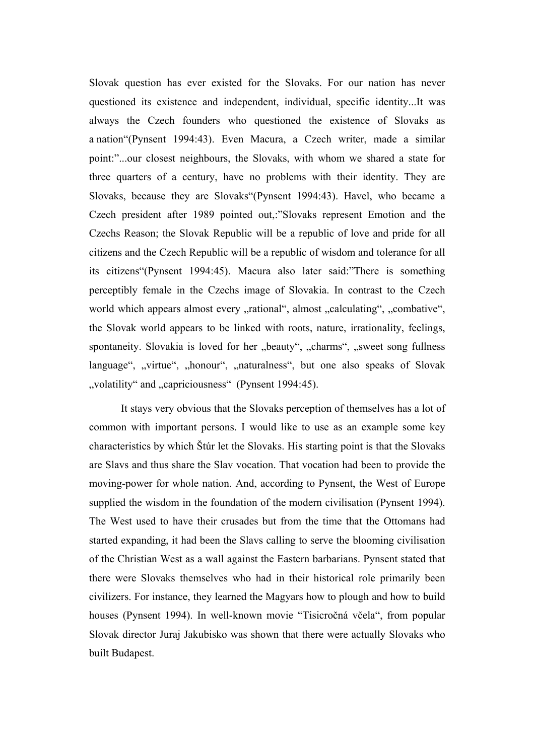Slovak question has ever existed for the Slovaks. For our nation has never questioned its existence and independent, individual, specific identity...It was always the Czech founders who questioned the existence of Slovaks as a nation"(Pynsent 1994:43). Even Macura, a Czech writer, made a similar point:"...our closest neighbours, the Slovaks, with whom we shared a state for three quarters of a century, have no problems with their identity. They are Slovaks, because they are Slovaks"(Pynsent 1994:43). Havel, who became a Czech president after 1989 pointed out,:"Slovaks represent Emotion and the Czechs Reason; the Slovak Republic will be a republic of love and pride for all citizens and the Czech Republic will be a republic of wisdom and tolerance for all its citizens"(Pynsent 1994:45). Macura also later said:"There is something perceptibly female in the Czechs image of Slovakia. In contrast to the Czech world which appears almost every "rational", almost "calculating", "combative", the Slovak world appears to be linked with roots, nature, irrationality, feelings, spontaneity. Slovakia is loved for her "beauty", "charms", "sweet song fullness language", "virtue", "honour", "naturalness", but one also speaks of Slovak "volatility" and "capriciousness" (Pynsent 1994:45).

It stays very obvious that the Slovaks perception of themselves has a lot of common with important persons. I would like to use as an example some key characteristics by which Štúr let the Slovaks. His starting point is that the Slovaks are Slavs and thus share the Slav vocation. That vocation had been to provide the moving-power for whole nation. And, according to Pynsent, the West of Europe supplied the wisdom in the foundation of the modern civilisation (Pynsent 1994). The West used to have their crusades but from the time that the Ottomans had started expanding, it had been the Slavs calling to serve the blooming civilisation of the Christian West as a wall against the Eastern barbarians. Pynsent stated that there were Slovaks themselves who had in their historical role primarily been civilizers. For instance, they learned the Magyars how to plough and how to build houses (Pynsent 1994). In well-known movie "Tisicročná včela", from popular Slovak director Juraj Jakubisko was shown that there were actually Slovaks who built Budapest.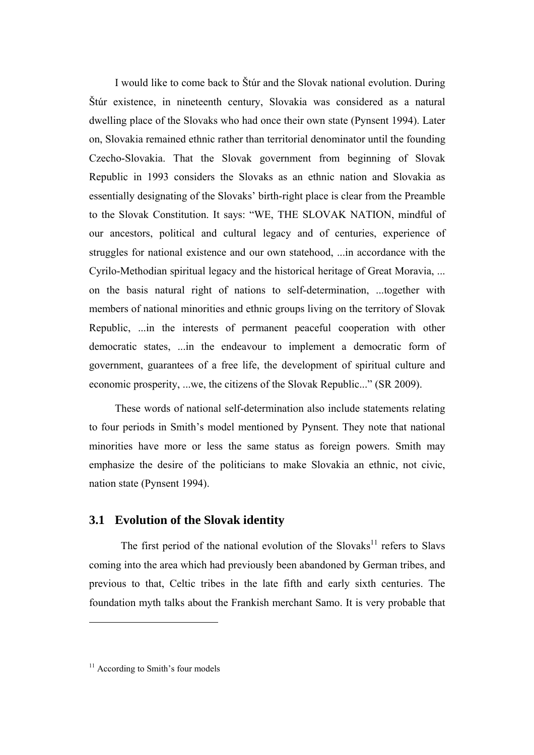I would like to come back to Štúr and the Slovak national evolution. During Štúr existence, in nineteenth century, Slovakia was considered as a natural dwelling place of the Slovaks who had once their own state (Pynsent 1994). Later on, Slovakia remained ethnic rather than territorial denominator until the founding Czecho-Slovakia. That the Slovak government from beginning of Slovak Republic in 1993 considers the Slovaks as an ethnic nation and Slovakia as essentially designating of the Slovaks' birth-right place is clear from the Preamble to the Slovak Constitution. It says: "WE, THE SLOVAK NATION, mindful of our ancestors, political and cultural legacy and of centuries, experience of struggles for national existence and our own statehood, ...in accordance with the Cyrilo-Methodian spiritual legacy and the historical heritage of Great Moravia, ... on the basis natural right of nations to self-determination, ...together with members of national minorities and ethnic groups living on the territory of Slovak Republic, ...in the interests of permanent peaceful cooperation with other democratic states, ...in the endeavour to implement a democratic form of government, guarantees of a free life, the development of spiritual culture and economic prosperity, ...we, the citizens of the Slovak Republic..." (SR 2009).

These words of national self-determination also include statements relating to four periods in Smith's model mentioned by Pynsent. They note that national minorities have more or less the same status as foreign powers. Smith may emphasize the desire of the politicians to make Slovakia an ethnic, not civic, nation state (Pynsent 1994).

### **3.1 Evolution of the Slovak identity**

The first period of the national evolution of the Slovaks $^{11}$  refers to Slavs coming into the area which had previously been abandoned by German tribes, and previous to that, Celtic tribes in the late fifth and early sixth centuries. The foundation myth talks about the Frankish merchant Samo. It is very probable that

 $11$  According to Smith's four models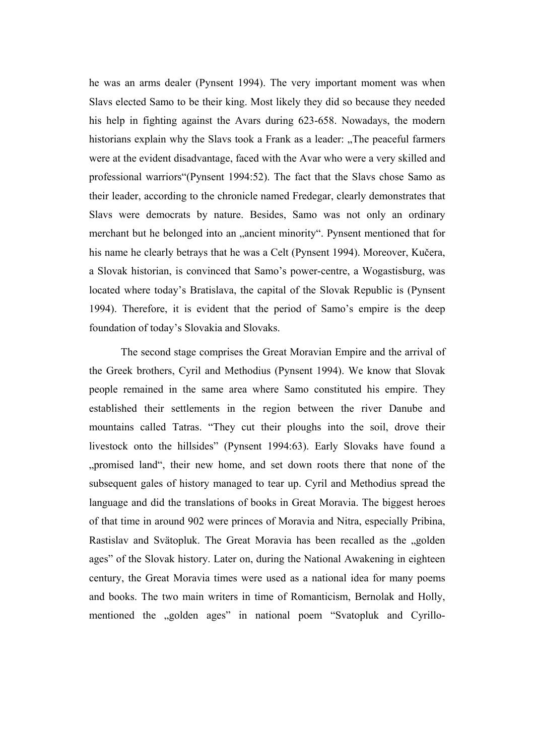he was an arms dealer (Pynsent 1994). The very important moment was when Slavs elected Samo to be their king. Most likely they did so because they needed his help in fighting against the Avars during 623-658. Nowadays, the modern historians explain why the Slavs took a Frank as a leader: "The peaceful farmers" were at the evident disadvantage, faced with the Avar who were a very skilled and professional warriors"(Pynsent 1994:52). The fact that the Slavs chose Samo as their leader, according to the chronicle named Fredegar, clearly demonstrates that Slavs were democrats by nature. Besides, Samo was not only an ordinary merchant but he belonged into an "ancient minority". Pynsent mentioned that for his name he clearly betrays that he was a Celt (Pynsent 1994). Moreover, Kučera, a Slovak historian, is convinced that Samo's power-centre, a Wogastisburg, was located where today's Bratislava, the capital of the Slovak Republic is (Pynsent 1994). Therefore, it is evident that the period of Samo's empire is the deep foundation of today's Slovakia and Slovaks.

The second stage comprises the Great Moravian Empire and the arrival of the Greek brothers, Cyril and Methodius (Pynsent 1994). We know that Slovak people remained in the same area where Samo constituted his empire. They established their settlements in the region between the river Danube and mountains called Tatras. "They cut their ploughs into the soil, drove their livestock onto the hillsides" (Pynsent 1994:63). Early Slovaks have found a ", promised land", their new home, and set down roots there that none of the subsequent gales of history managed to tear up. Cyril and Methodius spread the language and did the translations of books in Great Moravia. The biggest heroes of that time in around 902 were princes of Moravia and Nitra, especially Pribina, Rastislav and Svätopluk. The Great Moravia has been recalled as the "golden ages" of the Slovak history. Later on, during the National Awakening in eighteen century, the Great Moravia times were used as a national idea for many poems and books. The two main writers in time of Romanticism, Bernolak and Holly, mentioned the "golden ages" in national poem "Svatopluk and Cyrillo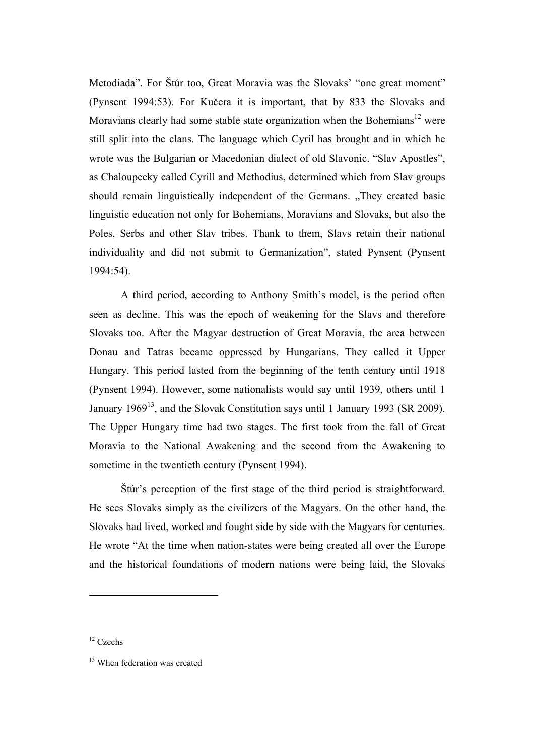Metodiada". For Štúr too, Great Moravia was the Slovaks' "one great moment" (Pynsent 1994:53). For Kučera it is important, that by 833 the Slovaks and Moravians clearly had some stable state organization when the Bohemians<sup>12</sup> were still split into the clans. The language which Cyril has brought and in which he wrote was the Bulgarian or Macedonian dialect of old Slavonic. "Slav Apostles", as Chaloupecky called Cyrill and Methodius, determined which from Slav groups should remain linguistically independent of the Germans. "They created basic linguistic education not only for Bohemians, Moravians and Slovaks, but also the Poles, Serbs and other Slav tribes. Thank to them, Slavs retain their national individuality and did not submit to Germanization", stated Pynsent (Pynsent 1994:54).

A third period, according to Anthony Smith's model, is the period often seen as decline. This was the epoch of weakening for the Slavs and therefore Slovaks too. After the Magyar destruction of Great Moravia, the area between Donau and Tatras became oppressed by Hungarians. They called it Upper Hungary. This period lasted from the beginning of the tenth century until 1918 (Pynsent 1994). However, some nationalists would say until 1939, others until 1 January 1969<sup>13</sup>, and the Slovak Constitution says until 1 January 1993 (SR 2009). The Upper Hungary time had two stages. The first took from the fall of Great Moravia to the National Awakening and the second from the Awakening to sometime in the twentieth century (Pynsent 1994).

Štúr's perception of the first stage of the third period is straightforward. He sees Slovaks simply as the civilizers of the Magyars. On the other hand, the Slovaks had lived, worked and fought side by side with the Magyars for centuries. He wrote "At the time when nation-states were being created all over the Europe and the historical foundations of modern nations were being laid, the Slovaks

<sup>&</sup>lt;sup>12</sup> Czechs

<sup>&</sup>lt;sup>13</sup> When federation was created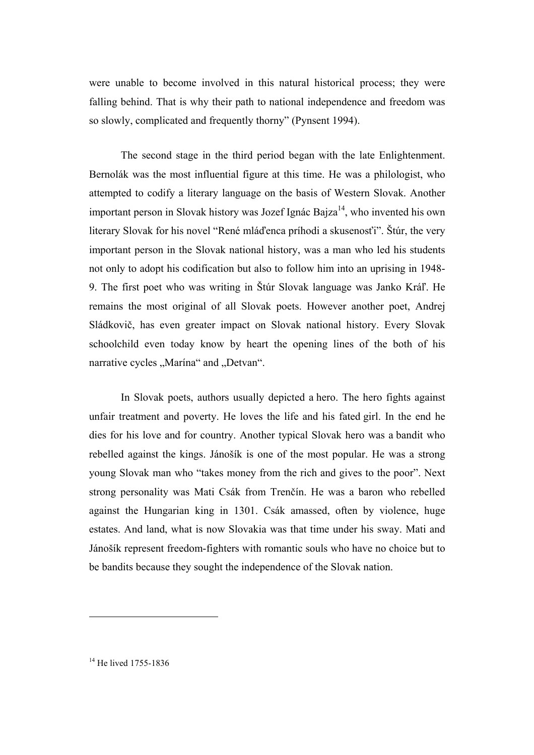were unable to become involved in this natural historical process; they were falling behind. That is why their path to national independence and freedom was so slowly, complicated and frequently thorny" (Pynsent 1994).

The second stage in the third period began with the late Enlightenment. Bernolák was the most influential figure at this time. He was a philologist, who attempted to codify a literary language on the basis of Western Slovak. Another important person in Slovak history was Jozef Ignác Bajza $^{14}$ , who invented his own literary Slovak for his novel "René mláďenca príhodi a skusenosťi". Štúr, the very important person in the Slovak national history, was a man who led his students not only to adopt his codification but also to follow him into an uprising in 1948- 9. The first poet who was writing in Štúr Slovak language was Janko Kráľ. He remains the most original of all Slovak poets. However another poet, Andrej Sládkovič, has even greater impact on Slovak national history. Every Slovak schoolchild even today know by heart the opening lines of the both of his narrative cycles "Marína" and "Detvan".

In Slovak poets, authors usually depicted a hero. The hero fights against unfair treatment and poverty. He loves the life and his fated girl. In the end he dies for his love and for country. Another typical Slovak hero was a bandit who rebelled against the kings. Jánošík is one of the most popular. He was a strong young Slovak man who "takes money from the rich and gives to the poor". Next strong personality was Mati Csák from Trenčín. He was a baron who rebelled against the Hungarian king in 1301. Csák amassed, often by violence, huge estates. And land, what is now Slovakia was that time under his sway. Mati and Jánošík represent freedom-fighters with romantic souls who have no choice but to be bandits because they sought the independence of the Slovak nation.

<sup>14</sup> He lived 1755-1836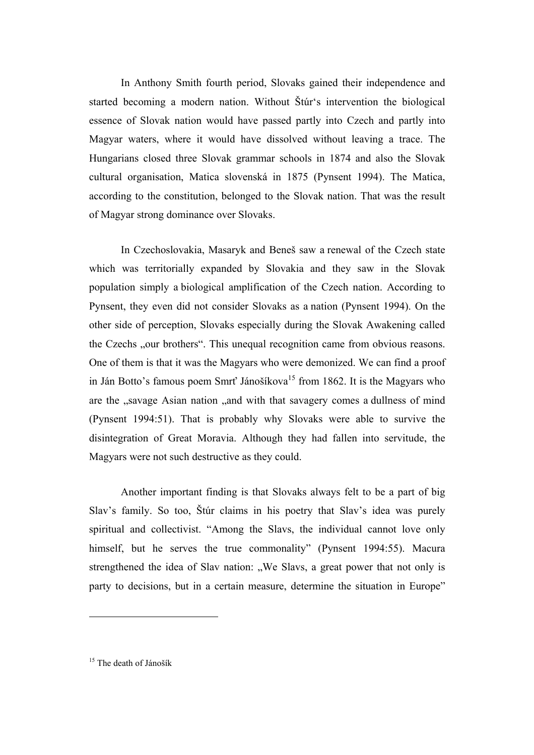In Anthony Smith fourth period, Slovaks gained their independence and started becoming a modern nation. Without Štúr's intervention the biological essence of Slovak nation would have passed partly into Czech and partly into Magyar waters, where it would have dissolved without leaving a trace. The Hungarians closed three Slovak grammar schools in 1874 and also the Slovak cultural organisation, Matica slovenská in 1875 (Pynsent 1994). The Matica, according to the constitution, belonged to the Slovak nation. That was the result of Magyar strong dominance over Slovaks.

In Czechoslovakia, Masaryk and Beneš saw a renewal of the Czech state which was territorially expanded by Slovakia and they saw in the Slovak population simply a biological amplification of the Czech nation. According to Pynsent, they even did not consider Slovaks as a nation (Pynsent 1994). On the other side of perception, Slovaks especially during the Slovak Awakening called the Czechs "our brothers". This unequal recognition came from obvious reasons. One of them is that it was the Magyars who were demonized. We can find a proof in Ján Botto's famous poem Smrt' Jánošíkova $15$  from 1862. It is the Magyars who are the "savage Asian nation "and with that savagery comes a dullness of mind (Pynsent 1994:51). That is probably why Slovaks were able to survive the disintegration of Great Moravia. Although they had fallen into servitude, the Magyars were not such destructive as they could.

Another important finding is that Slovaks always felt to be a part of big Slav's family. So too, Štúr claims in his poetry that Slav's idea was purely spiritual and collectivist. "Among the Slavs, the individual cannot love only himself, but he serves the true commonality" (Pynsent 1994:55). Macura strengthened the idea of Slav nation: "We Slavs, a great power that not only is party to decisions, but in a certain measure, determine the situation in Europe"

<sup>&</sup>lt;sup>15</sup> The death of Jánošík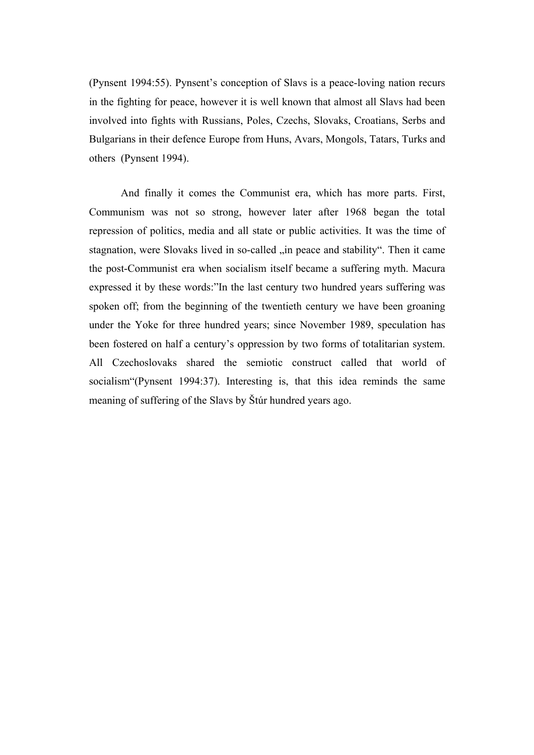(Pynsent 1994:55). Pynsent's conception of Slavs is a peace-loving nation recurs in the fighting for peace, however it is well known that almost all Slavs had been involved into fights with Russians, Poles, Czechs, Slovaks, Croatians, Serbs and Bulgarians in their defence Europe from Huns, Avars, Mongols, Tatars, Turks and others (Pynsent 1994).

And finally it comes the Communist era, which has more parts. First, Communism was not so strong, however later after 1968 began the total repression of politics, media and all state or public activities. It was the time of stagnation, were Slovaks lived in so-called "in peace and stability". Then it came the post-Communist era when socialism itself became a suffering myth. Macura expressed it by these words:"In the last century two hundred years suffering was spoken off; from the beginning of the twentieth century we have been groaning under the Yoke for three hundred years; since November 1989, speculation has been fostered on half a century's oppression by two forms of totalitarian system. All Czechoslovaks shared the semiotic construct called that world of socialism"(Pynsent 1994:37). Interesting is, that this idea reminds the same meaning of suffering of the Slavs by Štúr hundred years ago.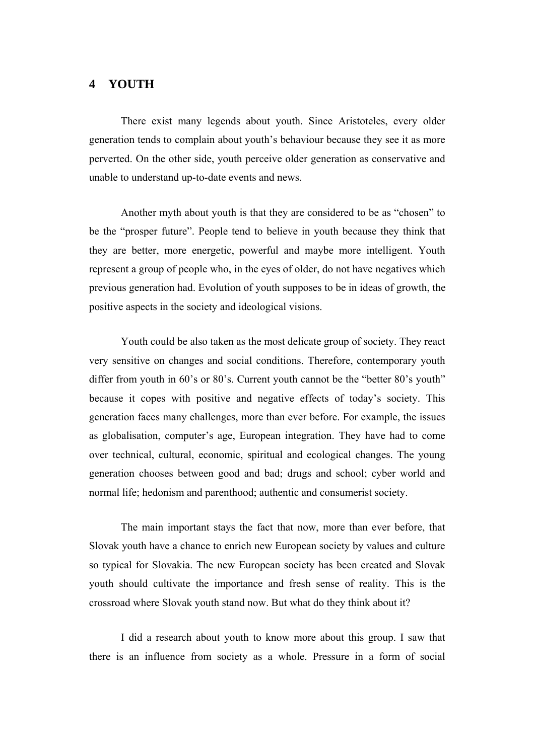### **4 YOUTH**

There exist many legends about youth. Since Aristoteles, every older generation tends to complain about youth's behaviour because they see it as more perverted. On the other side, youth perceive older generation as conservative and unable to understand up-to-date events and news.

Another myth about youth is that they are considered to be as "chosen" to be the "prosper future". People tend to believe in youth because they think that they are better, more energetic, powerful and maybe more intelligent. Youth represent a group of people who, in the eyes of older, do not have negatives which previous generation had. Evolution of youth supposes to be in ideas of growth, the positive aspects in the society and ideological visions.

Youth could be also taken as the most delicate group of society. They react very sensitive on changes and social conditions. Therefore, contemporary youth differ from youth in 60's or 80's. Current youth cannot be the "better 80's youth" because it copes with positive and negative effects of today's society. This generation faces many challenges, more than ever before. For example, the issues as globalisation, computer's age, European integration. They have had to come over technical, cultural, economic, spiritual and ecological changes. The young generation chooses between good and bad; drugs and school; cyber world and normal life; hedonism and parenthood; authentic and consumerist society.

The main important stays the fact that now, more than ever before, that Slovak youth have a chance to enrich new European society by values and culture so typical for Slovakia. The new European society has been created and Slovak youth should cultivate the importance and fresh sense of reality. This is the crossroad where Slovak youth stand now. But what do they think about it?

I did a research about youth to know more about this group. I saw that there is an influence from society as a whole. Pressure in a form of social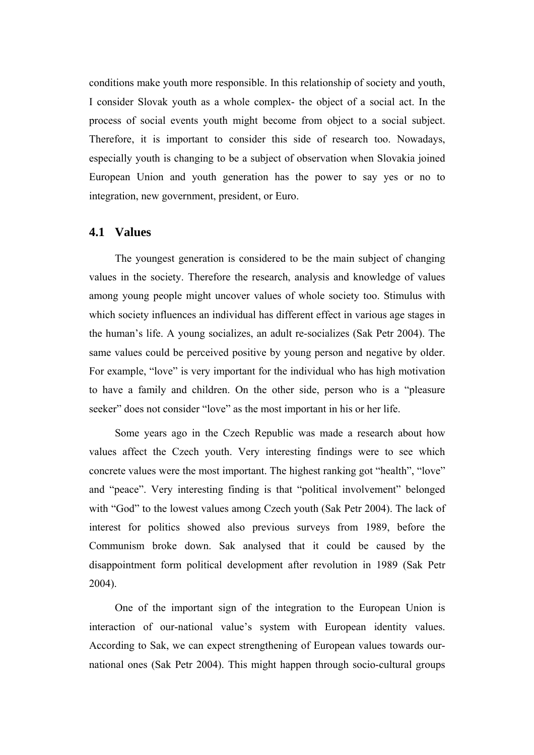conditions make youth more responsible. In this relationship of society and youth, I consider Slovak youth as a whole complex- the object of a social act. In the process of social events youth might become from object to a social subject. Therefore, it is important to consider this side of research too. Nowadays, especially youth is changing to be a subject of observation when Slovakia joined European Union and youth generation has the power to say yes or no to integration, new government, president, or Euro.

#### **4.1 Values**

The youngest generation is considered to be the main subject of changing values in the society. Therefore the research, analysis and knowledge of values among young people might uncover values of whole society too. Stimulus with which society influences an individual has different effect in various age stages in the human's life. A young socializes, an adult re-socializes (Sak Petr 2004). The same values could be perceived positive by young person and negative by older. For example, "love" is very important for the individual who has high motivation to have a family and children. On the other side, person who is a "pleasure seeker" does not consider "love" as the most important in his or her life.

Some years ago in the Czech Republic was made a research about how values affect the Czech youth. Very interesting findings were to see which concrete values were the most important. The highest ranking got "health", "love" and "peace". Very interesting finding is that "political involvement" belonged with "God" to the lowest values among Czech youth (Sak Petr 2004). The lack of interest for politics showed also previous surveys from 1989, before the Communism broke down. Sak analysed that it could be caused by the disappointment form political development after revolution in 1989 (Sak Petr 2004).

One of the important sign of the integration to the European Union is interaction of our-national value's system with European identity values. According to Sak, we can expect strengthening of European values towards ournational ones (Sak Petr 2004). This might happen through socio-cultural groups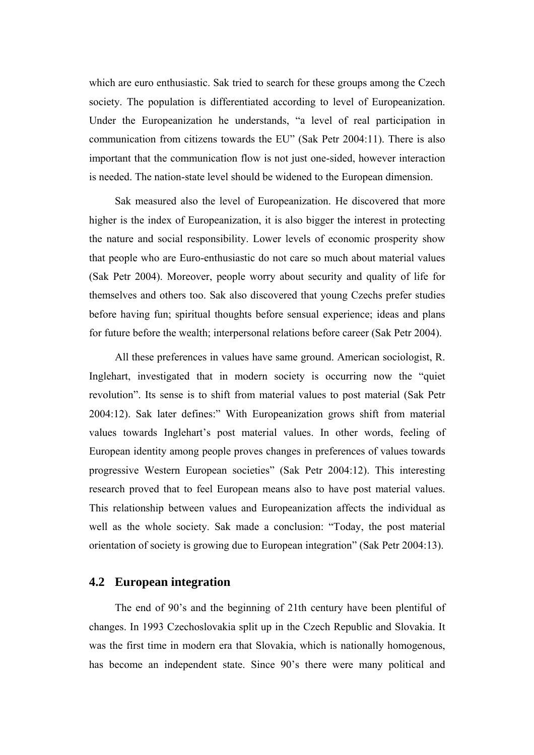which are euro enthusiastic. Sak tried to search for these groups among the Czech society. The population is differentiated according to level of Europeanization. Under the Europeanization he understands, "a level of real participation in communication from citizens towards the EU" (Sak Petr 2004:11). There is also important that the communication flow is not just one-sided, however interaction is needed. The nation-state level should be widened to the European dimension.

Sak measured also the level of Europeanization. He discovered that more higher is the index of Europeanization, it is also bigger the interest in protecting the nature and social responsibility. Lower levels of economic prosperity show that people who are Euro-enthusiastic do not care so much about material values (Sak Petr 2004). Moreover, people worry about security and quality of life for themselves and others too. Sak also discovered that young Czechs prefer studies before having fun; spiritual thoughts before sensual experience; ideas and plans for future before the wealth; interpersonal relations before career (Sak Petr 2004).

All these preferences in values have same ground. American sociologist, R. Inglehart, investigated that in modern society is occurring now the "quiet revolution". Its sense is to shift from material values to post material (Sak Petr 2004:12). Sak later defines:" With Europeanization grows shift from material values towards Inglehart's post material values. In other words, feeling of European identity among people proves changes in preferences of values towards progressive Western European societies" (Sak Petr 2004:12). This interesting research proved that to feel European means also to have post material values. This relationship between values and Europeanization affects the individual as well as the whole society. Sak made a conclusion: "Today, the post material orientation of society is growing due to European integration" (Sak Petr 2004:13).

#### **4.2 European integration**

The end of 90's and the beginning of 21th century have been plentiful of changes. In 1993 Czechoslovakia split up in the Czech Republic and Slovakia. It was the first time in modern era that Slovakia, which is nationally homogenous, has become an independent state. Since 90's there were many political and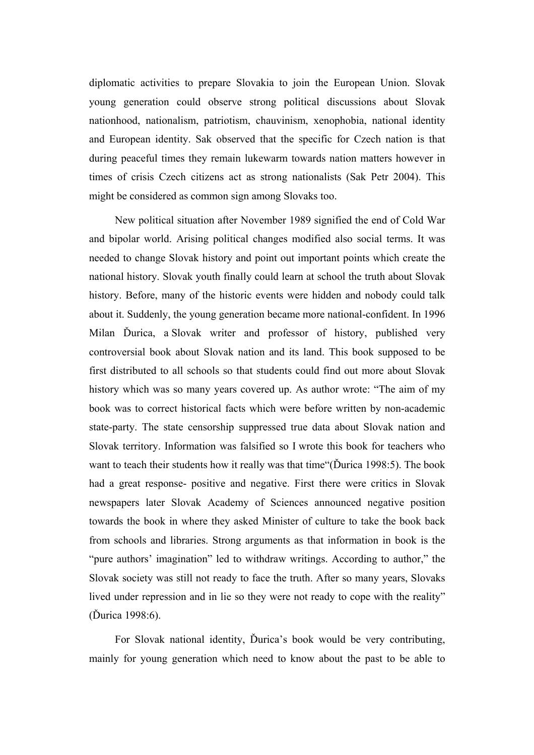diplomatic activities to prepare Slovakia to join the European Union. Slovak young generation could observe strong political discussions about Slovak nationhood, nationalism, patriotism, chauvinism, xenophobia, national identity and European identity. Sak observed that the specific for Czech nation is that during peaceful times they remain lukewarm towards nation matters however in times of crisis Czech citizens act as strong nationalists (Sak Petr 2004). This might be considered as common sign among Slovaks too.

New political situation after November 1989 signified the end of Cold War and bipolar world. Arising political changes modified also social terms. It was needed to change Slovak history and point out important points which create the national history. Slovak youth finally could learn at school the truth about Slovak history. Before, many of the historic events were hidden and nobody could talk about it. Suddenly, the young generation became more national-confident. In 1996 Milan Ďurica, a Slovak writer and professor of history, published very controversial book about Slovak nation and its land. This book supposed to be first distributed to all schools so that students could find out more about Slovak history which was so many years covered up. As author wrote: "The aim of my book was to correct historical facts which were before written by non-academic state-party. The state censorship suppressed true data about Slovak nation and Slovak territory. Information was falsified so I wrote this book for teachers who want to teach their students how it really was that time"(Ďurica 1998:5). The book had a great response- positive and negative. First there were critics in Slovak newspapers later Slovak Academy of Sciences announced negative position towards the book in where they asked Minister of culture to take the book back from schools and libraries. Strong arguments as that information in book is the "pure authors' imagination" led to withdraw writings. According to author," the Slovak society was still not ready to face the truth. After so many years, Slovaks lived under repression and in lie so they were not ready to cope with the reality" (Ďurica 1998:6).

For Slovak national identity, Ďurica's book would be very contributing, mainly for young generation which need to know about the past to be able to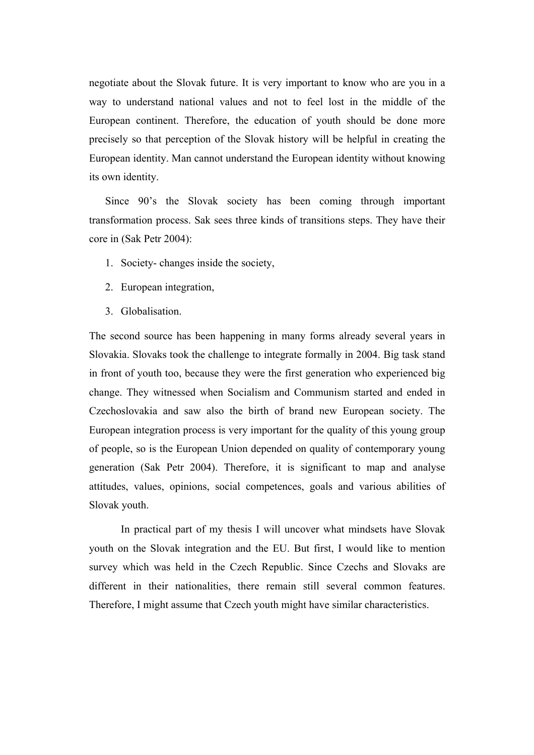negotiate about the Slovak future. It is very important to know who are you in a way to understand national values and not to feel lost in the middle of the European continent. Therefore, the education of youth should be done more precisely so that perception of the Slovak history will be helpful in creating the European identity. Man cannot understand the European identity without knowing its own identity.

Since 90's the Slovak society has been coming through important transformation process. Sak sees three kinds of transitions steps. They have their core in (Sak Petr 2004):

- 1. Society- changes inside the society,
- 2. European integration,
- 3. Globalisation.

The second source has been happening in many forms already several years in Slovakia. Slovaks took the challenge to integrate formally in 2004. Big task stand in front of youth too, because they were the first generation who experienced big change. They witnessed when Socialism and Communism started and ended in Czechoslovakia and saw also the birth of brand new European society. The European integration process is very important for the quality of this young group of people, so is the European Union depended on quality of contemporary young generation (Sak Petr 2004). Therefore, it is significant to map and analyse attitudes, values, opinions, social competences, goals and various abilities of Slovak youth.

In practical part of my thesis I will uncover what mindsets have Slovak youth on the Slovak integration and the EU. But first, I would like to mention survey which was held in the Czech Republic. Since Czechs and Slovaks are different in their nationalities, there remain still several common features. Therefore, I might assume that Czech youth might have similar characteristics.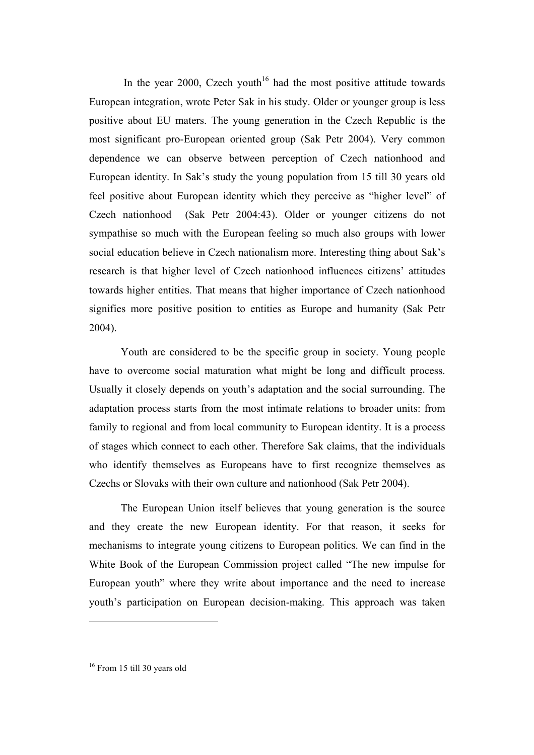In the year 2000, Czech youth<sup>16</sup> had the most positive attitude towards European integration, wrote Peter Sak in his study. Older or younger group is less positive about EU maters. The young generation in the Czech Republic is the most significant pro-European oriented group (Sak Petr 2004). Very common dependence we can observe between perception of Czech nationhood and European identity. In Sak's study the young population from 15 till 30 years old feel positive about European identity which they perceive as "higher level" of Czech nationhood (Sak Petr 2004:43). Older or younger citizens do not sympathise so much with the European feeling so much also groups with lower social education believe in Czech nationalism more. Interesting thing about Sak's research is that higher level of Czech nationhood influences citizens' attitudes towards higher entities. That means that higher importance of Czech nationhood signifies more positive position to entities as Europe and humanity (Sak Petr 2004).

Youth are considered to be the specific group in society. Young people have to overcome social maturation what might be long and difficult process. Usually it closely depends on youth's adaptation and the social surrounding. The adaptation process starts from the most intimate relations to broader units: from family to regional and from local community to European identity. It is a process of stages which connect to each other. Therefore Sak claims, that the individuals who identify themselves as Europeans have to first recognize themselves as Czechs or Slovaks with their own culture and nationhood (Sak Petr 2004).

The European Union itself believes that young generation is the source and they create the new European identity. For that reason, it seeks for mechanisms to integrate young citizens to European politics. We can find in the White Book of the European Commission project called "The new impulse for European youth" where they write about importance and the need to increase youth's participation on European decision-making. This approach was taken

<sup>16</sup> From 15 till 30 years old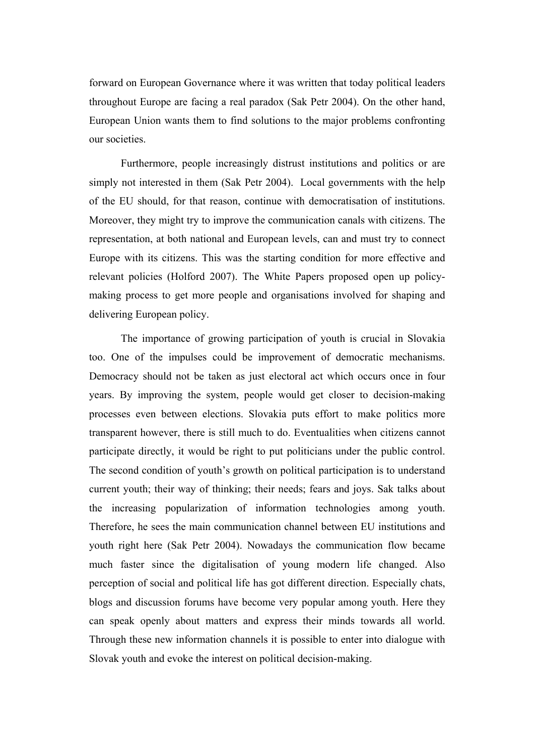forward on European Governance where it was written that today political leaders throughout Europe are facing a real paradox (Sak Petr 2004). On the other hand, European Union wants them to find solutions to the major problems confronting our societies.

Furthermore, people increasingly distrust institutions and politics or are simply not interested in them (Sak Petr 2004). Local governments with the help of the EU should, for that reason, continue with democratisation of institutions. Moreover, they might try to improve the communication canals with citizens. The representation, at both national and European levels, can and must try to connect Europe with its citizens. This was the starting condition for more effective and relevant policies (Holford 2007). The White Papers proposed open up policymaking process to get more people and organisations involved for shaping and delivering European policy.

The importance of growing participation of youth is crucial in Slovakia too. One of the impulses could be improvement of democratic mechanisms. Democracy should not be taken as just electoral act which occurs once in four years. By improving the system, people would get closer to decision-making processes even between elections. Slovakia puts effort to make politics more transparent however, there is still much to do. Eventualities when citizens cannot participate directly, it would be right to put politicians under the public control. The second condition of youth's growth on political participation is to understand current youth; their way of thinking; their needs; fears and joys. Sak talks about the increasing popularization of information technologies among youth. Therefore, he sees the main communication channel between EU institutions and youth right here (Sak Petr 2004). Nowadays the communication flow became much faster since the digitalisation of young modern life changed. Also perception of social and political life has got different direction. Especially chats, blogs and discussion forums have become very popular among youth. Here they can speak openly about matters and express their minds towards all world. Through these new information channels it is possible to enter into dialogue with Slovak youth and evoke the interest on political decision-making.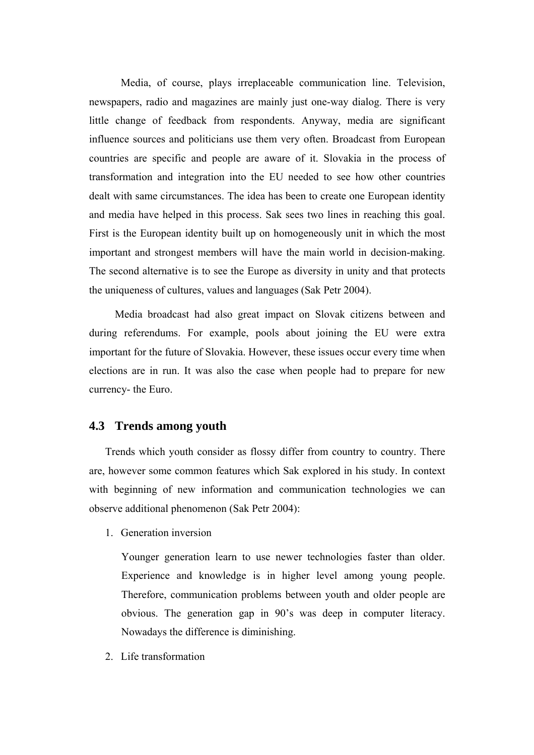Media, of course, plays irreplaceable communication line. Television, newspapers, radio and magazines are mainly just one-way dialog. There is very little change of feedback from respondents. Anyway, media are significant influence sources and politicians use them very often. Broadcast from European countries are specific and people are aware of it. Slovakia in the process of transformation and integration into the EU needed to see how other countries dealt with same circumstances. The idea has been to create one European identity and media have helped in this process. Sak sees two lines in reaching this goal. First is the European identity built up on homogeneously unit in which the most important and strongest members will have the main world in decision-making. The second alternative is to see the Europe as diversity in unity and that protects the uniqueness of cultures, values and languages (Sak Petr 2004).

Media broadcast had also great impact on Slovak citizens between and during referendums. For example, pools about joining the EU were extra important for the future of Slovakia. However, these issues occur every time when elections are in run. It was also the case when people had to prepare for new currency- the Euro.

#### **4.3 Trends among youth**

Trends which youth consider as flossy differ from country to country. There are, however some common features which Sak explored in his study. In context with beginning of new information and communication technologies we can observe additional phenomenon (Sak Petr 2004):

1. Generation inversion

Younger generation learn to use newer technologies faster than older. Experience and knowledge is in higher level among young people. Therefore, communication problems between youth and older people are obvious. The generation gap in 90's was deep in computer literacy. Nowadays the difference is diminishing.

2. Life transformation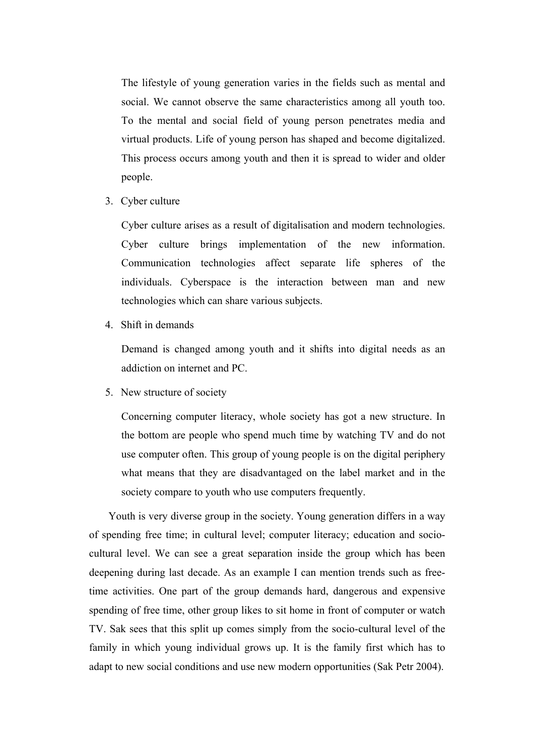The lifestyle of young generation varies in the fields such as mental and social. We cannot observe the same characteristics among all youth too. To the mental and social field of young person penetrates media and virtual products. Life of young person has shaped and become digitalized. This process occurs among youth and then it is spread to wider and older people.

3. Cyber culture

Cyber culture arises as a result of digitalisation and modern technologies. Cyber culture brings implementation of the new information. Communication technologies affect separate life spheres of the individuals. Cyberspace is the interaction between man and new technologies which can share various subjects.

4. Shift in demands

Demand is changed among youth and it shifts into digital needs as an addiction on internet and PC.

5. New structure of society

Concerning computer literacy, whole society has got a new structure. In the bottom are people who spend much time by watching TV and do not use computer often. This group of young people is on the digital periphery what means that they are disadvantaged on the label market and in the society compare to youth who use computers frequently.

Youth is very diverse group in the society. Young generation differs in a way of spending free time; in cultural level; computer literacy; education and sociocultural level. We can see a great separation inside the group which has been deepening during last decade. As an example I can mention trends such as freetime activities. One part of the group demands hard, dangerous and expensive spending of free time, other group likes to sit home in front of computer or watch TV. Sak sees that this split up comes simply from the socio-cultural level of the family in which young individual grows up. It is the family first which has to adapt to new social conditions and use new modern opportunities (Sak Petr 2004).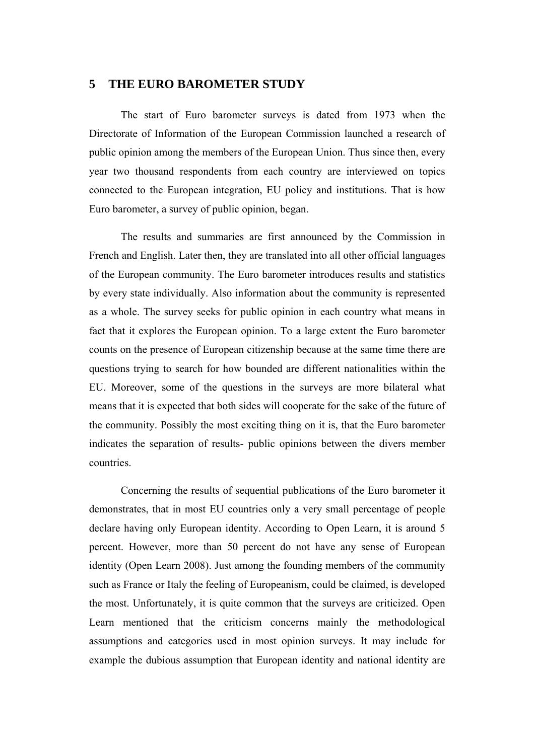#### **5 THE EURO BAROMETER STUDY**

The start of Euro barometer surveys is dated from 1973 when the Directorate of Information of the European Commission launched a research of public opinion among the members of the European Union. Thus since then, every year two thousand respondents from each country are interviewed on topics connected to the European integration, EU policy and institutions. That is how Euro barometer, a survey of public opinion, began.

The results and summaries are first announced by the Commission in French and English. Later then, they are translated into all other official languages of the European community. The Euro barometer introduces results and statistics by every state individually. Also information about the community is represented as a whole. The survey seeks for public opinion in each country what means in fact that it explores the European opinion. To a large extent the Euro barometer counts on the presence of European citizenship because at the same time there are questions trying to search for how bounded are different nationalities within the EU. Moreover, some of the questions in the surveys are more bilateral what means that it is expected that both sides will cooperate for the sake of the future of the community. Possibly the most exciting thing on it is, that the Euro barometer indicates the separation of results- public opinions between the divers member countries.

Concerning the results of sequential publications of the Euro barometer it demonstrates, that in most EU countries only a very small percentage of people declare having only European identity. According to Open Learn, it is around 5 percent. However, more than 50 percent do not have any sense of European identity (Open Learn 2008). Just among the founding members of the community such as France or Italy the feeling of Europeanism, could be claimed, is developed the most. Unfortunately, it is quite common that the surveys are criticized. Open Learn mentioned that the criticism concerns mainly the methodological assumptions and categories used in most opinion surveys. It may include for example the dubious assumption that European identity and national identity are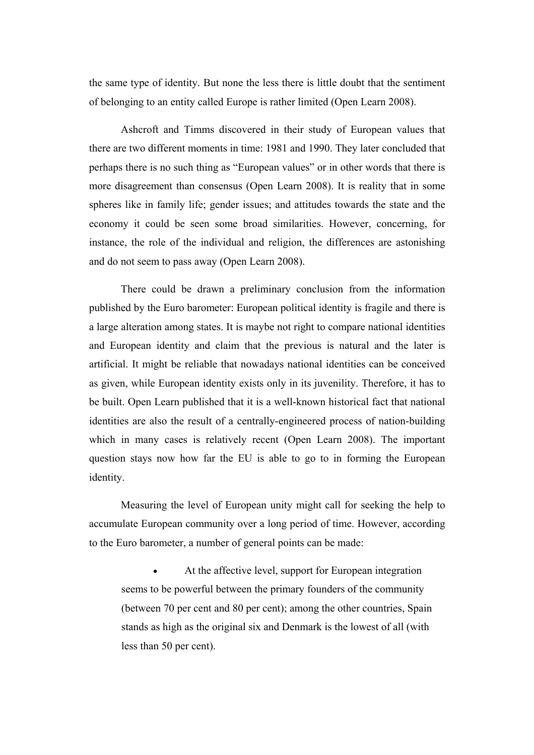the same type of identity. But none the less there is little doubt that the sentiment of belonging to an entity called Europe is rather limited (Open Learn 2008).

Ashcroft and Timms discovered in their study of European values that there are two different moments in time: 1981 and 1990. They later concluded that perhaps there is no such thing as "European values" or in other words that there is more disagreement than consensus (Open Learn 2008). It is reality that in some spheres like in family life; gender issues; and attitudes towards the state and the economy it could be seen some broad similarities. However, concerning, for instance, the role of the individual and religion, the differences are astonishing and do not seem to pass away (Open Learn 2008).

There could be drawn a preliminary conclusion from the information published by the Euro barometer: European political identity is fragile and there is a large alteration among states. It is maybe not right to compare national identities and European identity and claim that the previous is natural and the later is artificial. It might be reliable that nowadays national identities can be conceived as given, while European identity exists only in its juvenility. Therefore, it has to be built. Open Learn published that it is a well-known historical fact that national identities are also the result of a centrally-engineered process of nation-building which in many cases is relatively recent (Open Learn 2008). The important question stays now how far the EU is able to go to in forming the European identity.

Measuring the level of European unity might call for seeking the help to accumulate European community over a long period of time. However, according to the Euro barometer, a number of general points can be made:

At the affective level, support for European integration seems to be powerful between the primary founders of the community (between 70 per cent and 80 per cent); among the other countries, Spain stands as high as the original six and Denmark is the lowest of all (with less than 50 per cent).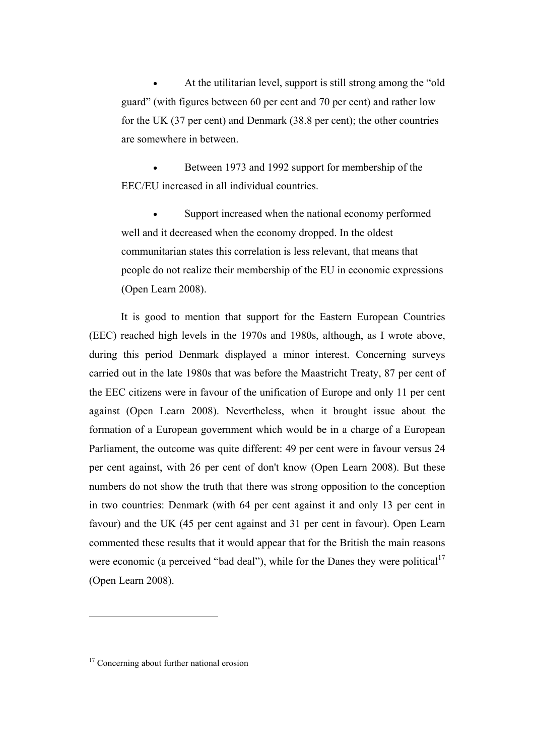• At the utilitarian level, support is still strong among the "old guard" (with figures between 60 per cent and 70 per cent) and rather low for the UK (37 per cent) and Denmark (38.8 per cent); the other countries are somewhere in between.

• Between 1973 and 1992 support for membership of the EEC/EU increased in all individual countries.

Support increased when the national economy performed well and it decreased when the economy dropped. In the oldest communitarian states this correlation is less relevant, that means that people do not realize their membership of the EU in economic expressions (Open Learn 2008).

It is good to mention that support for the Eastern European Countries (EEC) reached high levels in the 1970s and 1980s, although, as I wrote above, during this period Denmark displayed a minor interest. Concerning surveys carried out in the late 1980s that was before the Maastricht Treaty, 87 per cent of the EEC citizens were in favour of the unification of Europe and only 11 per cent against (Open Learn 2008). Nevertheless, when it brought issue about the formation of a European government which would be in a charge of a European Parliament, the outcome was quite different: 49 per cent were in favour versus 24 per cent against, with 26 per cent of don't know (Open Learn 2008). But these numbers do not show the truth that there was strong opposition to the conception in two countries: Denmark (with 64 per cent against it and only 13 per cent in favour) and the UK (45 per cent against and 31 per cent in favour). Open Learn commented these results that it would appear that for the British the main reasons were economic (a perceived "bad deal"), while for the Danes they were political $17$ (Open Learn 2008).

<sup>&</sup>lt;sup>17</sup> Concerning about further national erosion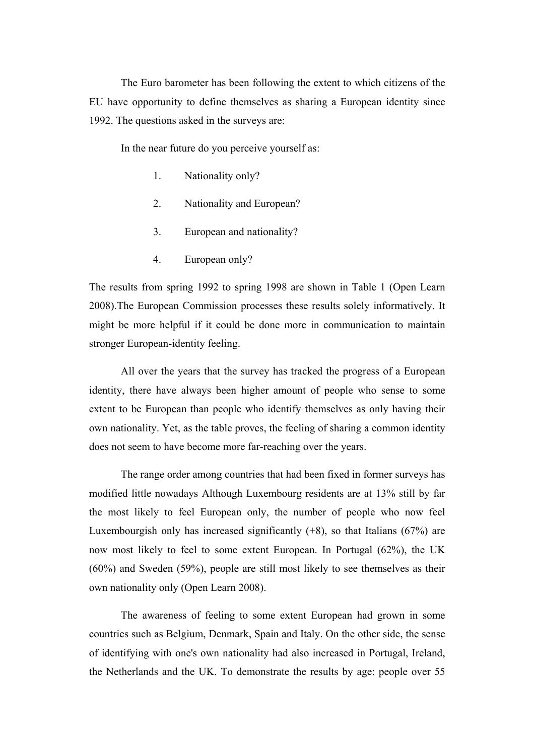The Euro barometer has been following the extent to which citizens of the EU have opportunity to define themselves as sharing a European identity since 1992. The questions asked in the surveys are:

In the near future do you perceive yourself as:

- 1. Nationality only?
- 2. Nationality and European?
- 3. European and nationality?
- 4. European only?

The results from spring 1992 to spring 1998 are shown in Table 1 (Open Learn 2008).The European Commission processes these results solely informatively. It might be more helpful if it could be done more in communication to maintain stronger European-identity feeling.

All over the years that the survey has tracked the progress of a European identity, there have always been higher amount of people who sense to some extent to be European than people who identify themselves as only having their own nationality. Yet, as the table proves, the feeling of sharing a common identity does not seem to have become more far-reaching over the years.

The range order among countries that had been fixed in former surveys has modified little nowadays Although Luxembourg residents are at 13% still by far the most likely to feel European only, the number of people who now feel Luxembourgish only has increased significantly  $(+8)$ , so that Italians  $(67%)$  are now most likely to feel to some extent European. In Portugal (62%), the UK (60%) and Sweden (59%), people are still most likely to see themselves as their own nationality only (Open Learn 2008).

The awareness of feeling to some extent European had grown in some countries such as Belgium, Denmark, Spain and Italy. On the other side, the sense of identifying with one's own nationality had also increased in Portugal, Ireland, the Netherlands and the UK. To demonstrate the results by age: people over 55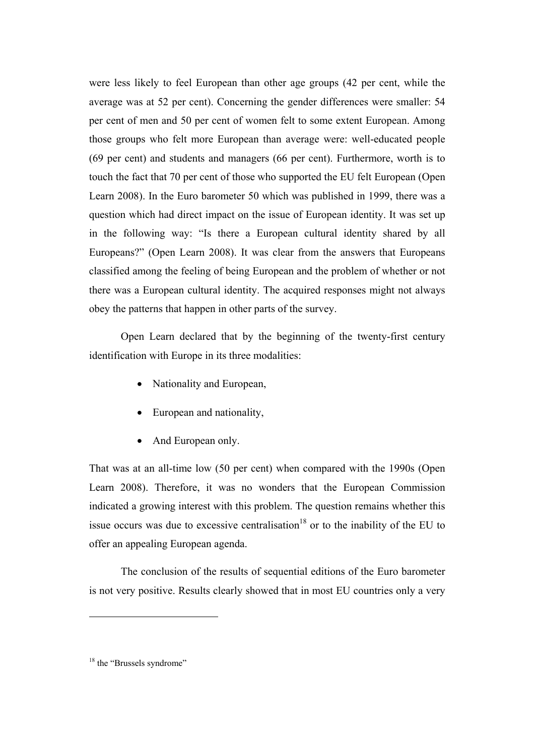were less likely to feel European than other age groups (42 per cent, while the average was at 52 per cent). Concerning the gender differences were smaller: 54 per cent of men and 50 per cent of women felt to some extent European. Among those groups who felt more European than average were: well-educated people (69 per cent) and students and managers (66 per cent). Furthermore, worth is to touch the fact that 70 per cent of those who supported the EU felt European (Open Learn 2008). In the Euro barometer 50 which was published in 1999, there was a question which had direct impact on the issue of European identity. It was set up in the following way: "Is there a European cultural identity shared by all Europeans?" (Open Learn 2008). It was clear from the answers that Europeans classified among the feeling of being European and the problem of whether or not there was a European cultural identity. The acquired responses might not always obey the patterns that happen in other parts of the survey.

Open Learn declared that by the beginning of the twenty-first century identification with Europe in its three modalities:

- Nationality and European,
- European and nationality,
- And European only.

That was at an all-time low (50 per cent) when compared with the 1990s (Open Learn 2008). Therefore, it was no wonders that the European Commission indicated a growing interest with this problem. The question remains whether this issue occurs was due to excessive centralisation<sup>18</sup> or to the inability of the EU to offer an appealing European agenda.

The conclusion of the results of sequential editions of the Euro barometer is not very positive. Results clearly showed that in most EU countries only a very

<sup>&</sup>lt;sup>18</sup> the "Brussels syndrome"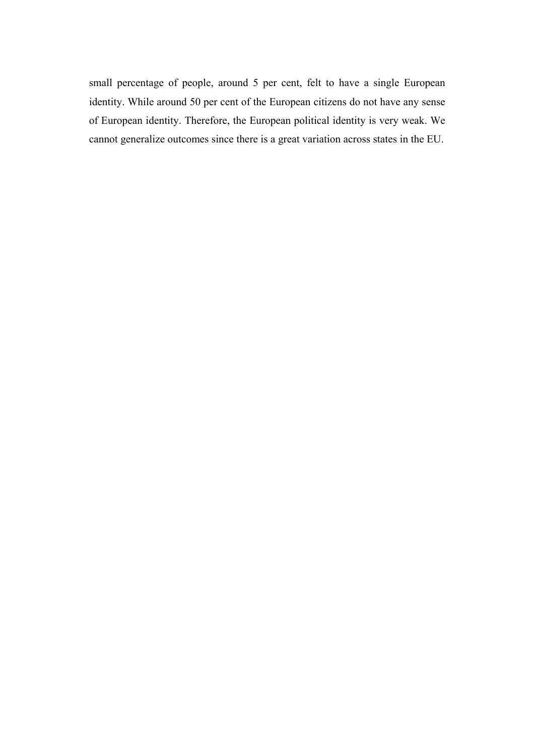small percentage of people, around 5 per cent, felt to have a single European identity. While around 50 per cent of the European citizens do not have any sense of European identity. Therefore, the European political identity is very weak. We cannot generalize outcomes since there is a great variation across states in the EU.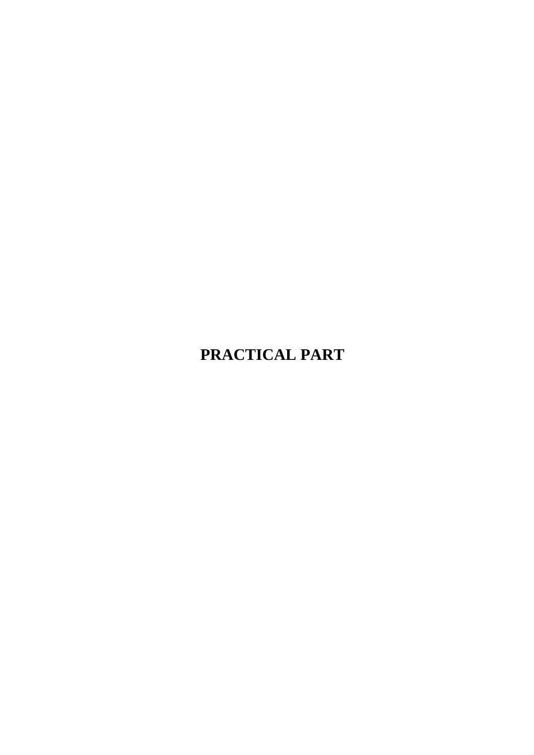# **PRACTICAL PART**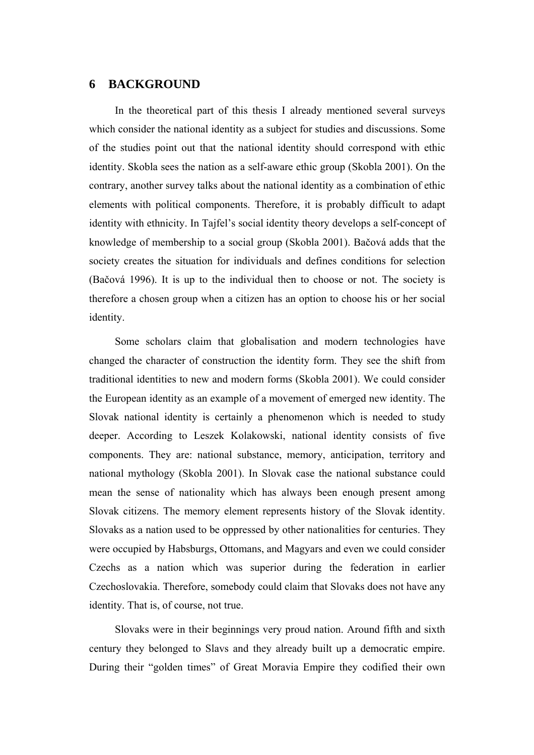## **6 BACKGROUND**

In the theoretical part of this thesis I already mentioned several surveys which consider the national identity as a subject for studies and discussions. Some of the studies point out that the national identity should correspond with ethic identity. Skobla sees the nation as a self-aware ethic group (Skobla 2001). On the contrary, another survey talks about the national identity as a combination of ethic elements with political components. Therefore, it is probably difficult to adapt identity with ethnicity. In Tajfel's social identity theory develops a self-concept of knowledge of membership to a social group (Skobla 2001). Bačová adds that the society creates the situation for individuals and defines conditions for selection (Bačová 1996). It is up to the individual then to choose or not. The society is therefore a chosen group when a citizen has an option to choose his or her social identity.

Some scholars claim that globalisation and modern technologies have changed the character of construction the identity form. They see the shift from traditional identities to new and modern forms (Skobla 2001). We could consider the European identity as an example of a movement of emerged new identity. The Slovak national identity is certainly a phenomenon which is needed to study deeper. According to Leszek Kolakowski, national identity consists of five components. They are: national substance, memory, anticipation, territory and national mythology (Skobla 2001). In Slovak case the national substance could mean the sense of nationality which has always been enough present among Slovak citizens. The memory element represents history of the Slovak identity. Slovaks as a nation used to be oppressed by other nationalities for centuries. They were occupied by Habsburgs, Ottomans, and Magyars and even we could consider Czechs as a nation which was superior during the federation in earlier Czechoslovakia. Therefore, somebody could claim that Slovaks does not have any identity. That is, of course, not true.

Slovaks were in their beginnings very proud nation. Around fifth and sixth century they belonged to Slavs and they already built up a democratic empire. During their "golden times" of Great Moravia Empire they codified their own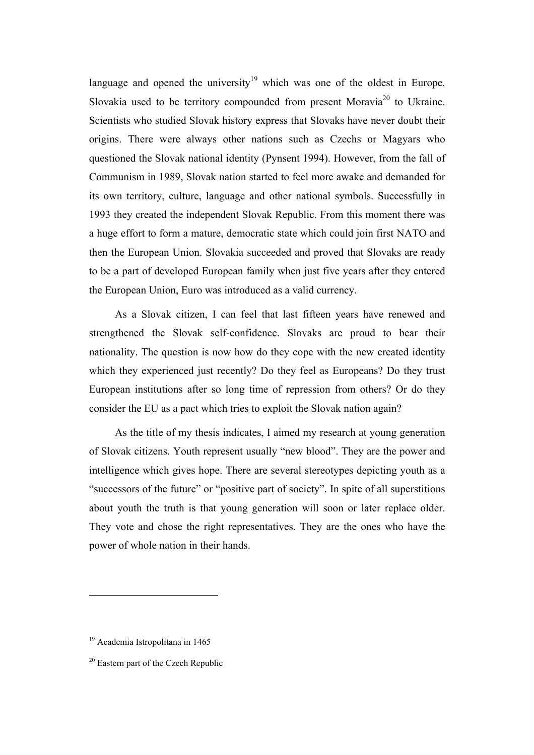language and opened the university<sup>19</sup> which was one of the oldest in Europe. Slovakia used to be territory compounded from present Moravia<sup>20</sup> to Ukraine. Scientists who studied Slovak history express that Slovaks have never doubt their origins. There were always other nations such as Czechs or Magyars who questioned the Slovak national identity (Pynsent 1994). However, from the fall of Communism in 1989, Slovak nation started to feel more awake and demanded for its own territory, culture, language and other national symbols. Successfully in 1993 they created the independent Slovak Republic. From this moment there was a huge effort to form a mature, democratic state which could join first NATO and then the European Union. Slovakia succeeded and proved that Slovaks are ready to be a part of developed European family when just five years after they entered the European Union, Euro was introduced as a valid currency.

As a Slovak citizen, I can feel that last fifteen years have renewed and strengthened the Slovak self-confidence. Slovaks are proud to bear their nationality. The question is now how do they cope with the new created identity which they experienced just recently? Do they feel as Europeans? Do they trust European institutions after so long time of repression from others? Or do they consider the EU as a pact which tries to exploit the Slovak nation again?

As the title of my thesis indicates, I aimed my research at young generation of Slovak citizens. Youth represent usually "new blood". They are the power and intelligence which gives hope. There are several stereotypes depicting youth as a "successors of the future" or "positive part of society". In spite of all superstitions about youth the truth is that young generation will soon or later replace older. They vote and chose the right representatives. They are the ones who have the power of whole nation in their hands.

<sup>19</sup> Academia Istropolitana in 1465

<sup>&</sup>lt;sup>20</sup> Eastern part of the Czech Republic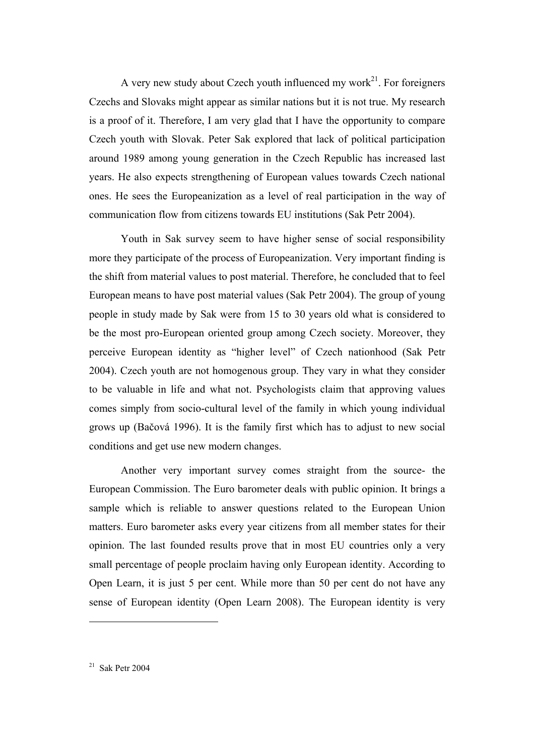A very new study about Czech youth influenced my work $^{21}$ . For foreigners Czechs and Slovaks might appear as similar nations but it is not true. My research is a proof of it. Therefore, I am very glad that I have the opportunity to compare Czech youth with Slovak. Peter Sak explored that lack of political participation around 1989 among young generation in the Czech Republic has increased last years. He also expects strengthening of European values towards Czech national ones. He sees the Europeanization as a level of real participation in the way of communication flow from citizens towards EU institutions (Sak Petr 2004).

Youth in Sak survey seem to have higher sense of social responsibility more they participate of the process of Europeanization. Very important finding is the shift from material values to post material. Therefore, he concluded that to feel European means to have post material values (Sak Petr 2004). The group of young people in study made by Sak were from 15 to 30 years old what is considered to be the most pro-European oriented group among Czech society. Moreover, they perceive European identity as "higher level" of Czech nationhood (Sak Petr 2004). Czech youth are not homogenous group. They vary in what they consider to be valuable in life and what not. Psychologists claim that approving values comes simply from socio-cultural level of the family in which young individual grows up (Bačová 1996). It is the family first which has to adjust to new social conditions and get use new modern changes.

Another very important survey comes straight from the source- the European Commission. The Euro barometer deals with public opinion. It brings a sample which is reliable to answer questions related to the European Union matters. Euro barometer asks every year citizens from all member states for their opinion. The last founded results prove that in most EU countries only a very small percentage of people proclaim having only European identity. According to Open Learn, it is just 5 per cent. While more than 50 per cent do not have any sense of European identity (Open Learn 2008). The European identity is very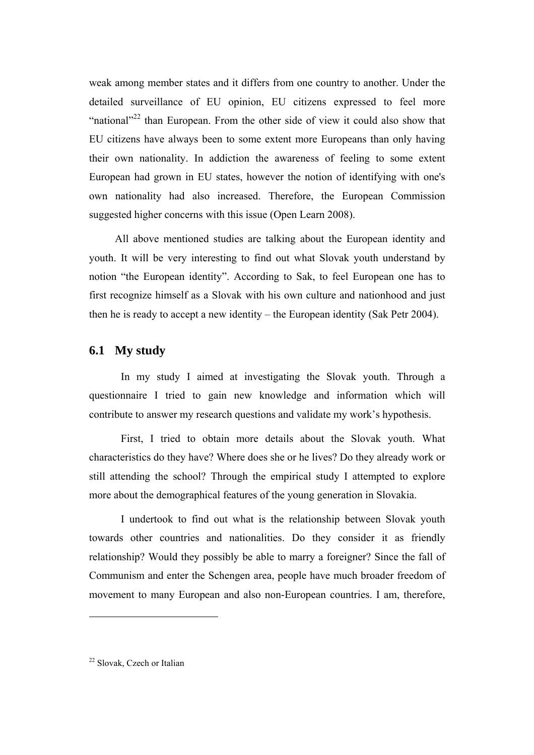weak among member states and it differs from one country to another. Under the detailed surveillance of EU opinion, EU citizens expressed to feel more "national"<sup>22</sup> than European. From the other side of view it could also show that EU citizens have always been to some extent more Europeans than only having their own nationality. In addiction the awareness of feeling to some extent European had grown in EU states, however the notion of identifying with one's own nationality had also increased. Therefore, the European Commission suggested higher concerns with this issue (Open Learn 2008).

All above mentioned studies are talking about the European identity and youth. It will be very interesting to find out what Slovak youth understand by notion "the European identity". According to Sak, to feel European one has to first recognize himself as a Slovak with his own culture and nationhood and just then he is ready to accept a new identity – the European identity (Sak Petr 2004).

# **6.1 My study**

In my study I aimed at investigating the Slovak youth. Through a questionnaire I tried to gain new knowledge and information which will contribute to answer my research questions and validate my work's hypothesis.

First, I tried to obtain more details about the Slovak youth. What characteristics do they have? Where does she or he lives? Do they already work or still attending the school? Through the empirical study I attempted to explore more about the demographical features of the young generation in Slovakia.

I undertook to find out what is the relationship between Slovak youth towards other countries and nationalities. Do they consider it as friendly relationship? Would they possibly be able to marry a foreigner? Since the fall of Communism and enter the Schengen area, people have much broader freedom of movement to many European and also non-European countries. I am, therefore,

<sup>22</sup> Slovak, Czech or Italian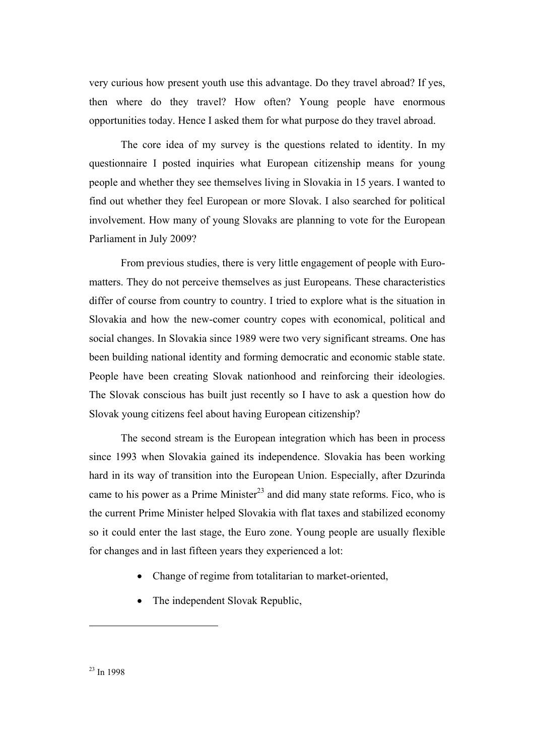very curious how present youth use this advantage. Do they travel abroad? If yes, then where do they travel? How often? Young people have enormous opportunities today. Hence I asked them for what purpose do they travel abroad.

The core idea of my survey is the questions related to identity. In my questionnaire I posted inquiries what European citizenship means for young people and whether they see themselves living in Slovakia in 15 years. I wanted to find out whether they feel European or more Slovak. I also searched for political involvement. How many of young Slovaks are planning to vote for the European Parliament in July 2009?

From previous studies, there is very little engagement of people with Euromatters. They do not perceive themselves as just Europeans. These characteristics differ of course from country to country. I tried to explore what is the situation in Slovakia and how the new-comer country copes with economical, political and social changes. In Slovakia since 1989 were two very significant streams. One has been building national identity and forming democratic and economic stable state. People have been creating Slovak nationhood and reinforcing their ideologies. The Slovak conscious has built just recently so I have to ask a question how do Slovak young citizens feel about having European citizenship?

The second stream is the European integration which has been in process since 1993 when Slovakia gained its independence. Slovakia has been working hard in its way of transition into the European Union. Especially, after Dzurinda came to his power as a Prime Minister<sup>23</sup> and did many state reforms. Fico, who is the current Prime Minister helped Slovakia with flat taxes and stabilized economy so it could enter the last stage, the Euro zone. Young people are usually flexible for changes and in last fifteen years they experienced a lot:

- Change of regime from totalitarian to market-oriented,
- The independent Slovak Republic,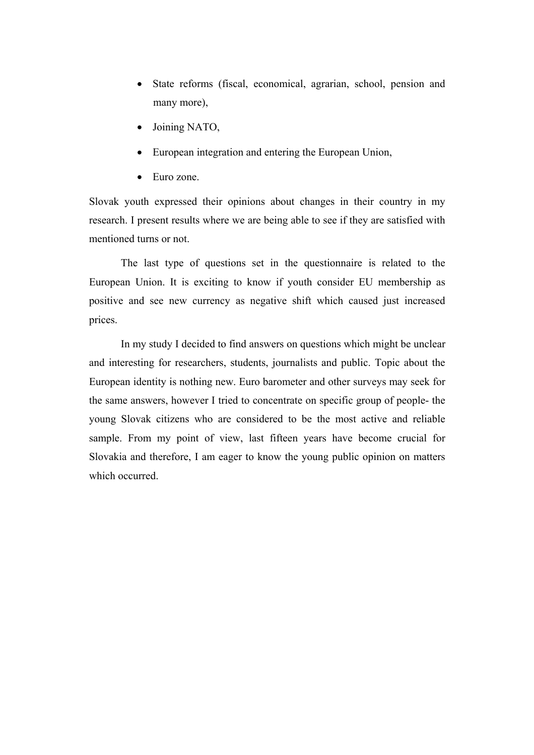- State reforms (fiscal, economical, agrarian, school, pension and many more),
- Joining NATO,
- European integration and entering the European Union,
- Euro zone.

Slovak youth expressed their opinions about changes in their country in my research. I present results where we are being able to see if they are satisfied with mentioned turns or not.

The last type of questions set in the questionnaire is related to the European Union. It is exciting to know if youth consider EU membership as positive and see new currency as negative shift which caused just increased prices.

In my study I decided to find answers on questions which might be unclear and interesting for researchers, students, journalists and public. Topic about the European identity is nothing new. Euro barometer and other surveys may seek for the same answers, however I tried to concentrate on specific group of people- the young Slovak citizens who are considered to be the most active and reliable sample. From my point of view, last fifteen years have become crucial for Slovakia and therefore, I am eager to know the young public opinion on matters which occurred.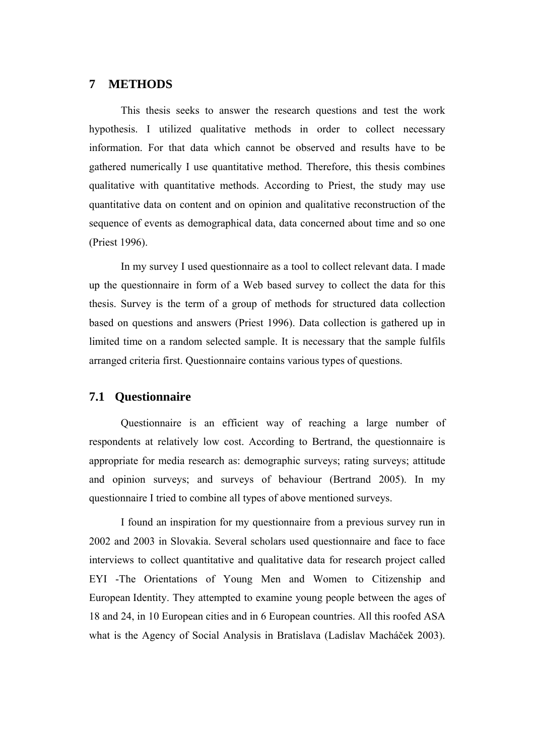# **7 METHODS**

This thesis seeks to answer the research questions and test the work hypothesis. I utilized qualitative methods in order to collect necessary information. For that data which cannot be observed and results have to be gathered numerically I use quantitative method. Therefore, this thesis combines qualitative with quantitative methods. According to Priest, the study may use quantitative data on content and on opinion and qualitative reconstruction of the sequence of events as demographical data, data concerned about time and so one (Priest 1996).

In my survey I used questionnaire as a tool to collect relevant data. I made up the questionnaire in form of a Web based survey to collect the data for this thesis. Survey is the term of a group of methods for structured data collection based on questions and answers (Priest 1996). Data collection is gathered up in limited time on a random selected sample. It is necessary that the sample fulfils arranged criteria first. Questionnaire contains various types of questions.

### **7.1 Questionnaire**

Questionnaire is an efficient way of reaching a large number of respondents at relatively low cost. According to Bertrand, the questionnaire is appropriate for media research as: demographic surveys; rating surveys; attitude and opinion surveys; and surveys of behaviour (Bertrand 2005). In my questionnaire I tried to combine all types of above mentioned surveys.

I found an inspiration for my questionnaire from a previous survey run in 2002 and 2003 in Slovakia. Several scholars used questionnaire and face to face interviews to collect quantitative and qualitative data for research project called EYI -The Orientations of Young Men and Women to Citizenship and European Identity. They attempted to examine young people between the ages of 18 and 24, in 10 European cities and in 6 European countries. All this roofed ASA what is the Agency of Social Analysis in Bratislava (Ladislav Macháček 2003).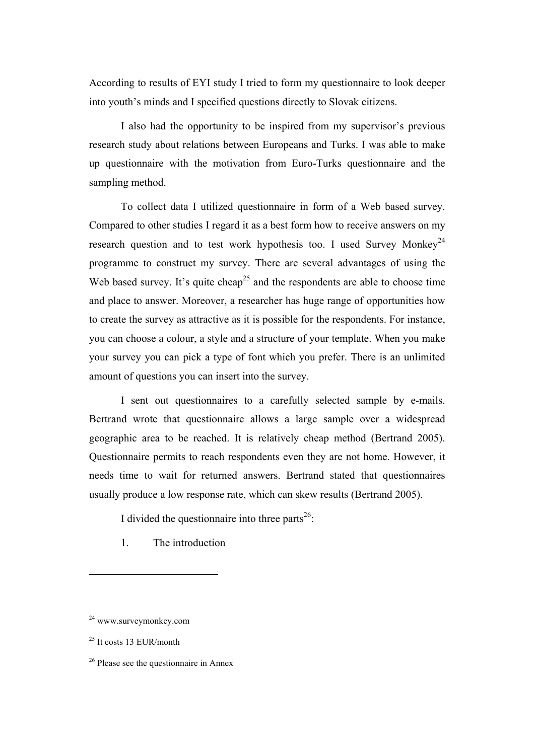According to results of EYI study I tried to form my questionnaire to look deeper into youth's minds and I specified questions directly to Slovak citizens.

I also had the opportunity to be inspired from my supervisor's previous research study about relations between Europeans and Turks. I was able to make up questionnaire with the motivation from Euro-Turks questionnaire and the sampling method.

To collect data I utilized questionnaire in form of a Web based survey. Compared to other studies I regard it as a best form how to receive answers on my research question and to test work hypothesis too. I used Survey Monkey<sup>24</sup> programme to construct my survey. There are several advantages of using the Web based survey. It's quite cheap<sup>25</sup> and the respondents are able to choose time and place to answer. Moreover, a researcher has huge range of opportunities how to create the survey as attractive as it is possible for the respondents. For instance, you can choose a colour, a style and a structure of your template. When you make your survey you can pick a type of font which you prefer. There is an unlimited amount of questions you can insert into the survey.

I sent out questionnaires to a carefully selected sample by e-mails. Bertrand wrote that questionnaire allows a large sample over a widespread geographic area to be reached. It is relatively cheap method (Bertrand 2005). Questionnaire permits to reach respondents even they are not home. However, it needs time to wait for returned answers. Bertrand stated that questionnaires usually produce a low response rate, which can skew results (Bertrand 2005).

I divided the questionnaire into three parts $^{26}$ :

1. The introduction

<sup>24</sup> www.surveymonkey.com

 $25$  It costs 13 EUR/month

 $26$  Please see the questionnaire in Annex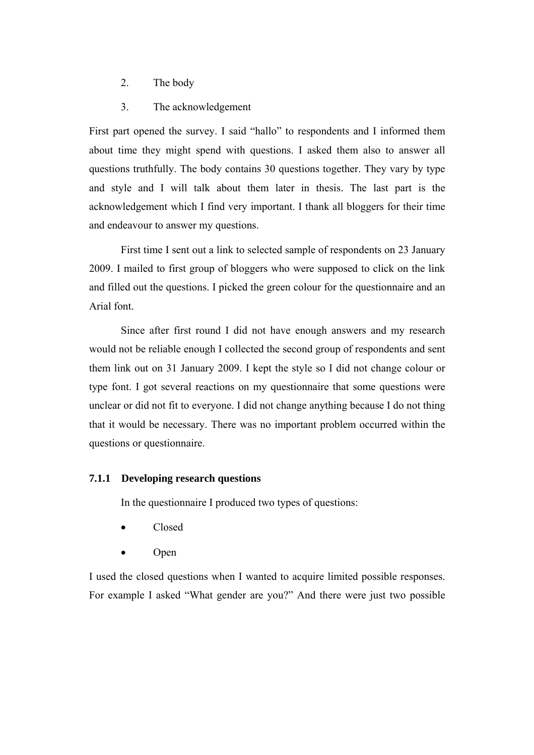- 2. The body
- 3. The acknowledgement

First part opened the survey. I said "hallo" to respondents and I informed them about time they might spend with questions. I asked them also to answer all questions truthfully. The body contains 30 questions together. They vary by type and style and I will talk about them later in thesis. The last part is the acknowledgement which I find very important. I thank all bloggers for their time and endeavour to answer my questions.

First time I sent out a link to selected sample of respondents on 23 January 2009. I mailed to first group of bloggers who were supposed to click on the link and filled out the questions. I picked the green colour for the questionnaire and an Arial font.

Since after first round I did not have enough answers and my research would not be reliable enough I collected the second group of respondents and sent them link out on 31 January 2009. I kept the style so I did not change colour or type font. I got several reactions on my questionnaire that some questions were unclear or did not fit to everyone. I did not change anything because I do not thing that it would be necessary. There was no important problem occurred within the questions or questionnaire.

#### **7.1.1 Developing research questions**

In the questionnaire I produced two types of questions:

- Closed
- Open

I used the closed questions when I wanted to acquire limited possible responses. For example I asked "What gender are you?" And there were just two possible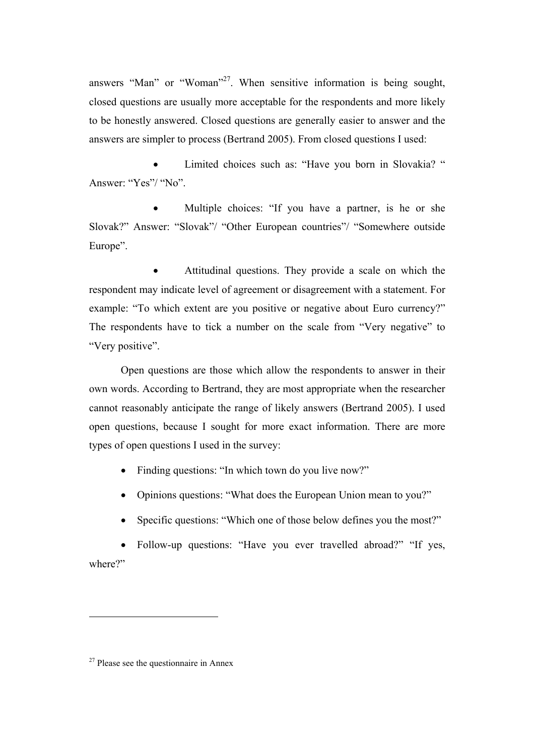answers "Man" or "Woman"<sup>27</sup>. When sensitive information is being sought, closed questions are usually more acceptable for the respondents and more likely to be honestly answered. Closed questions are generally easier to answer and the answers are simpler to process (Bertrand 2005). From closed questions I used:

Limited choices such as: "Have you born in Slovakia? " Answer: "Yes"/ "No".

Multiple choices: "If you have a partner, is he or she Slovak?" Answer: "Slovak"/ "Other European countries"/ "Somewhere outside Europe".

• Attitudinal questions. They provide a scale on which the respondent may indicate level of agreement or disagreement with a statement. For example: "To which extent are you positive or negative about Euro currency?" The respondents have to tick a number on the scale from "Very negative" to "Very positive".

Open questions are those which allow the respondents to answer in their own words. According to Bertrand, they are most appropriate when the researcher cannot reasonably anticipate the range of likely answers (Bertrand 2005). I used open questions, because I sought for more exact information. There are more types of open questions I used in the survey:

- Finding questions: "In which town do you live now?"
- Opinions questions: "What does the European Union mean to you?"
- Specific questions: "Which one of those below defines you the most?"

• Follow-up questions: "Have you ever travelled abroad?" "If yes, where?"

 $27$  Please see the questionnaire in Annex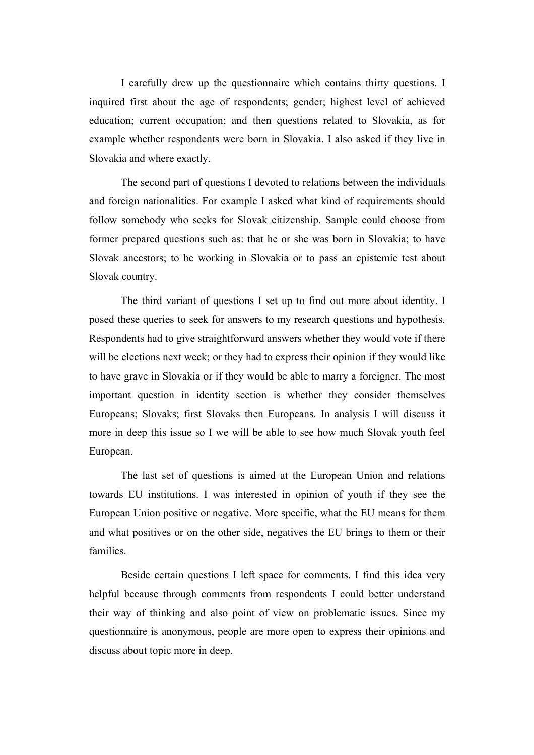I carefully drew up the questionnaire which contains thirty questions. I inquired first about the age of respondents; gender; highest level of achieved education; current occupation; and then questions related to Slovakia, as for example whether respondents were born in Slovakia. I also asked if they live in Slovakia and where exactly.

The second part of questions I devoted to relations between the individuals and foreign nationalities. For example I asked what kind of requirements should follow somebody who seeks for Slovak citizenship. Sample could choose from former prepared questions such as: that he or she was born in Slovakia; to have Slovak ancestors; to be working in Slovakia or to pass an epistemic test about Slovak country.

The third variant of questions I set up to find out more about identity. I posed these queries to seek for answers to my research questions and hypothesis. Respondents had to give straightforward answers whether they would vote if there will be elections next week; or they had to express their opinion if they would like to have grave in Slovakia or if they would be able to marry a foreigner. The most important question in identity section is whether they consider themselves Europeans; Slovaks; first Slovaks then Europeans. In analysis I will discuss it more in deep this issue so I we will be able to see how much Slovak youth feel European.

The last set of questions is aimed at the European Union and relations towards EU institutions. I was interested in opinion of youth if they see the European Union positive or negative. More specific, what the EU means for them and what positives or on the other side, negatives the EU brings to them or their families.

Beside certain questions I left space for comments. I find this idea very helpful because through comments from respondents I could better understand their way of thinking and also point of view on problematic issues. Since my questionnaire is anonymous, people are more open to express their opinions and discuss about topic more in deep.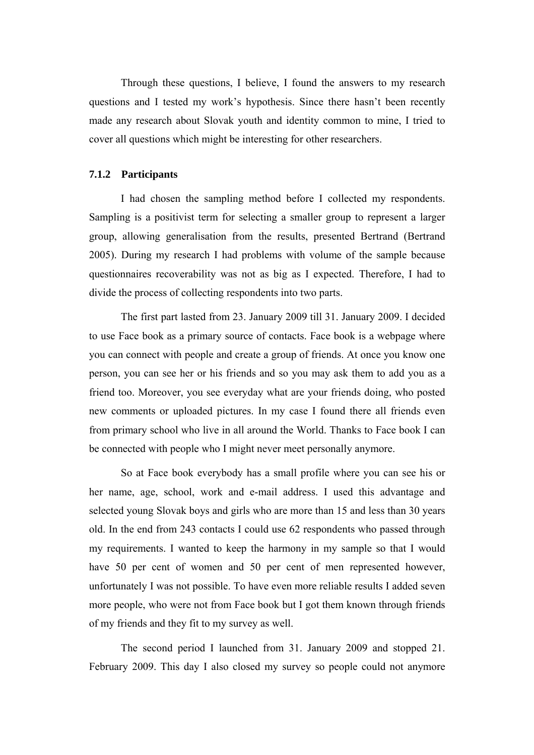Through these questions, I believe, I found the answers to my research questions and I tested my work's hypothesis. Since there hasn't been recently made any research about Slovak youth and identity common to mine, I tried to cover all questions which might be interesting for other researchers.

#### **7.1.2 Participants**

I had chosen the sampling method before I collected my respondents. Sampling is a positivist term for selecting a smaller group to represent a larger group, allowing generalisation from the results, presented Bertrand (Bertrand 2005). During my research I had problems with volume of the sample because questionnaires recoverability was not as big as I expected. Therefore, I had to divide the process of collecting respondents into two parts.

The first part lasted from 23. January 2009 till 31. January 2009. I decided to use Face book as a primary source of contacts. Face book is a webpage where you can connect with people and create a group of friends. At once you know one person, you can see her or his friends and so you may ask them to add you as a friend too. Moreover, you see everyday what are your friends doing, who posted new comments or uploaded pictures. In my case I found there all friends even from primary school who live in all around the World. Thanks to Face book I can be connected with people who I might never meet personally anymore.

So at Face book everybody has a small profile where you can see his or her name, age, school, work and e-mail address. I used this advantage and selected young Slovak boys and girls who are more than 15 and less than 30 years old. In the end from 243 contacts I could use 62 respondents who passed through my requirements. I wanted to keep the harmony in my sample so that I would have 50 per cent of women and 50 per cent of men represented however, unfortunately I was not possible. To have even more reliable results I added seven more people, who were not from Face book but I got them known through friends of my friends and they fit to my survey as well.

The second period I launched from 31. January 2009 and stopped 21. February 2009. This day I also closed my survey so people could not anymore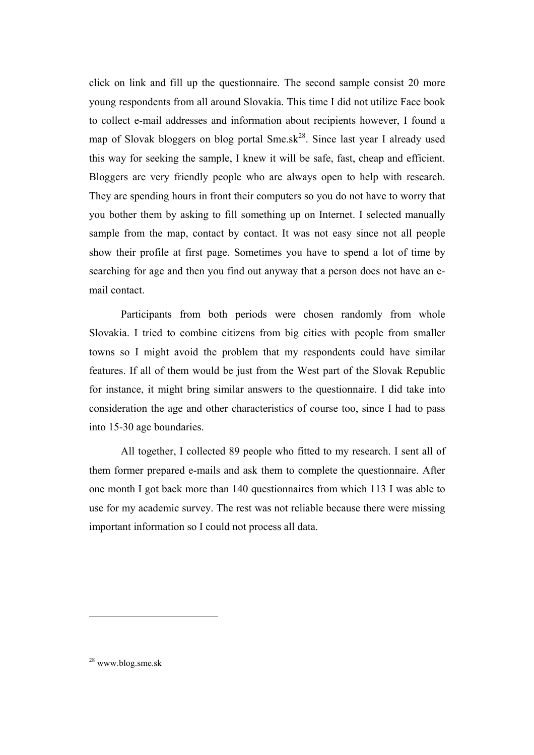click on link and fill up the questionnaire. The second sample consist 20 more young respondents from all around Slovakia. This time I did not utilize Face book to collect e-mail addresses and information about recipients however, I found a map of Slovak bloggers on blog portal  $Sme.sk^{28}$ . Since last year I already used this way for seeking the sample, I knew it will be safe, fast, cheap and efficient. Bloggers are very friendly people who are always open to help with research. They are spending hours in front their computers so you do not have to worry that you bother them by asking to fill something up on Internet. I selected manually sample from the map, contact by contact. It was not easy since not all people show their profile at first page. Sometimes you have to spend a lot of time by searching for age and then you find out anyway that a person does not have an email contact.

Participants from both periods were chosen randomly from whole Slovakia. I tried to combine citizens from big cities with people from smaller towns so I might avoid the problem that my respondents could have similar features. If all of them would be just from the West part of the Slovak Republic for instance, it might bring similar answers to the questionnaire. I did take into consideration the age and other characteristics of course too, since I had to pass into 15-30 age boundaries.

All together, I collected 89 people who fitted to my research. I sent all of them former prepared e-mails and ask them to complete the questionnaire. After one month I got back more than 140 questionnaires from which 113 I was able to use for my academic survey. The rest was not reliable because there were missing important information so I could not process all data.

<sup>28</sup> www.blog.sme.sk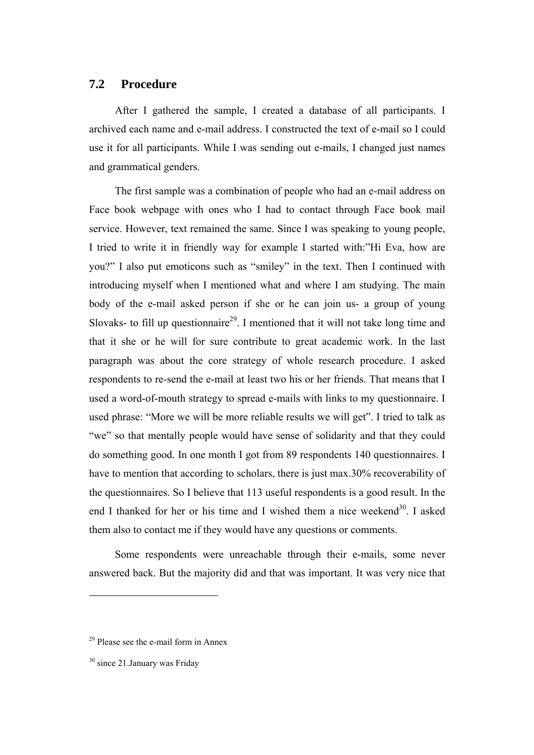# **7.2 Procedure**

After I gathered the sample, I created a database of all participants. I archived each name and e-mail address. I constructed the text of e-mail so I could use it for all participants. While I was sending out e-mails, I changed just names and grammatical genders.

The first sample was a combination of people who had an e-mail address on Face book webpage with ones who I had to contact through Face book mail service. However, text remained the same. Since I was speaking to young people, I tried to write it in friendly way for example I started with:"Hi Eva, how are you?" I also put emoticons such as "smiley" in the text. Then I continued with introducing myself when I mentioned what and where I am studying. The main body of the e-mail asked person if she or he can join us- a group of young Slovaks- to fill up questionnaire<sup>29</sup>. I mentioned that it will not take long time and that it she or he will for sure contribute to great academic work. In the last paragraph was about the core strategy of whole research procedure. I asked respondents to re-send the e-mail at least two his or her friends. That means that I used a word-of-mouth strategy to spread e-mails with links to my questionnaire. I used phrase: "More we will be more reliable results we will get". I tried to talk as "we" so that mentally people would have sense of solidarity and that they could do something good. In one month I got from 89 respondents 140 questionnaires. I have to mention that according to scholars, there is just max.30% recoverability of the questionnaires. So I believe that 113 useful respondents is a good result. In the end I thanked for her or his time and I wished them a nice weekend<sup>30</sup>. I asked them also to contact me if they would have any questions or comments.

Some respondents were unreachable through their e-mails, some never answered back. But the majority did and that was important. It was very nice that

 $29$  Please see the e-mail form in Annex

<sup>&</sup>lt;sup>30</sup> since 21.January was Friday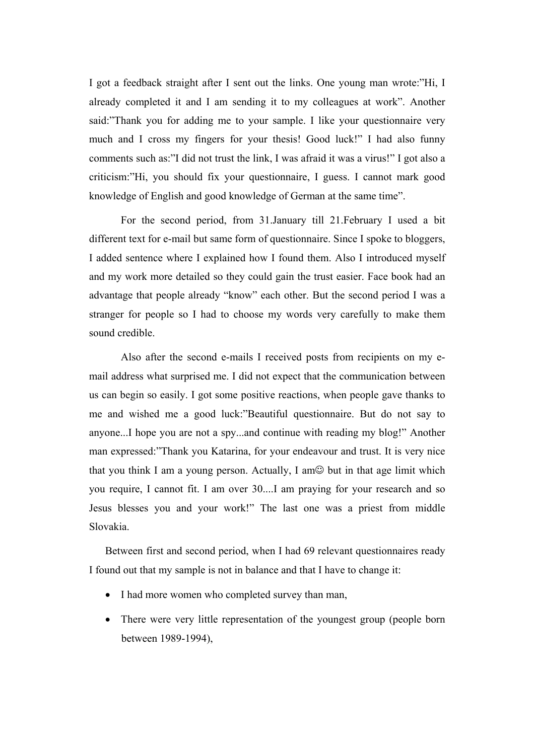I got a feedback straight after I sent out the links. One young man wrote:"Hi, I already completed it and I am sending it to my colleagues at work". Another said:"Thank you for adding me to your sample. I like your questionnaire very much and I cross my fingers for your thesis! Good luck!" I had also funny comments such as:"I did not trust the link, I was afraid it was a virus!" I got also a criticism:"Hi, you should fix your questionnaire, I guess. I cannot mark good knowledge of English and good knowledge of German at the same time".

For the second period, from 31.January till 21.February I used a bit different text for e-mail but same form of questionnaire. Since I spoke to bloggers, I added sentence where I explained how I found them. Also I introduced myself and my work more detailed so they could gain the trust easier. Face book had an advantage that people already "know" each other. But the second period I was a stranger for people so I had to choose my words very carefully to make them sound credible.

Also after the second e-mails I received posts from recipients on my email address what surprised me. I did not expect that the communication between us can begin so easily. I got some positive reactions, when people gave thanks to me and wished me a good luck:"Beautiful questionnaire. But do not say to anyone...I hope you are not a spy...and continue with reading my blog!" Another man expressed:"Thank you Katarina, for your endeavour and trust. It is very nice that you think I am a young person. Actually, I am $\odot$  but in that age limit which you require, I cannot fit. I am over 30....I am praying for your research and so Jesus blesses you and your work!" The last one was a priest from middle Slovakia.

Between first and second period, when I had 69 relevant questionnaires ready I found out that my sample is not in balance and that I have to change it:

- I had more women who completed survey than man,
- There were very little representation of the youngest group (people born between 1989-1994),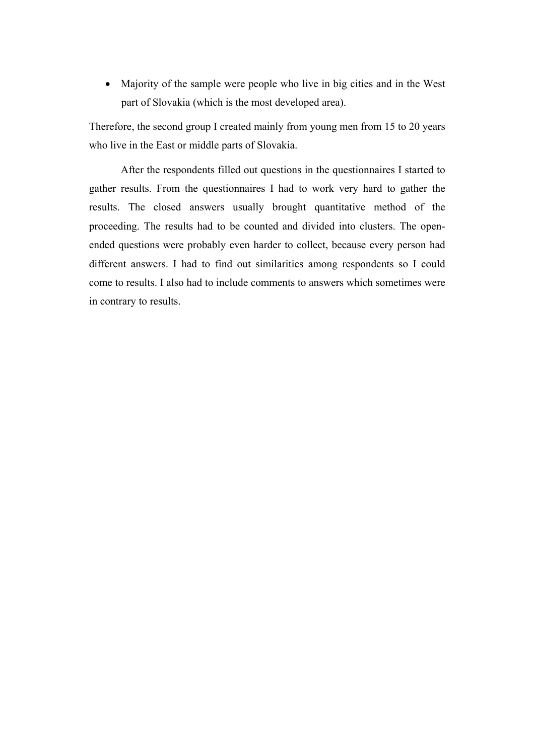• Majority of the sample were people who live in big cities and in the West part of Slovakia (which is the most developed area).

Therefore, the second group I created mainly from young men from 15 to 20 years who live in the East or middle parts of Slovakia.

After the respondents filled out questions in the questionnaires I started to gather results. From the questionnaires I had to work very hard to gather the results. The closed answers usually brought quantitative method of the proceeding. The results had to be counted and divided into clusters. The openended questions were probably even harder to collect, because every person had different answers. I had to find out similarities among respondents so I could come to results. I also had to include comments to answers which sometimes were in contrary to results.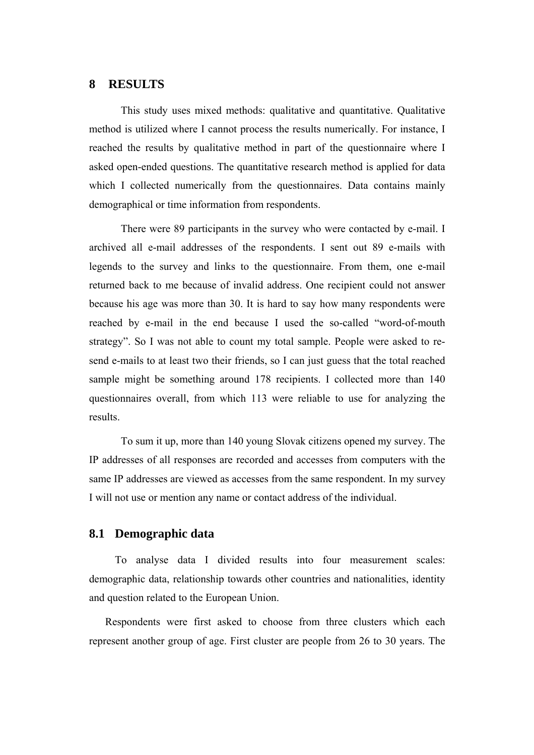## **8 RESULTS**

This study uses mixed methods: qualitative and quantitative. Qualitative method is utilized where I cannot process the results numerically. For instance, I reached the results by qualitative method in part of the questionnaire where I asked open-ended questions. The quantitative research method is applied for data which I collected numerically from the questionnaires. Data contains mainly demographical or time information from respondents.

There were 89 participants in the survey who were contacted by e-mail. I archived all e-mail addresses of the respondents. I sent out 89 e-mails with legends to the survey and links to the questionnaire. From them, one e-mail returned back to me because of invalid address. One recipient could not answer because his age was more than 30. It is hard to say how many respondents were reached by e-mail in the end because I used the so-called "word-of-mouth strategy". So I was not able to count my total sample. People were asked to resend e-mails to at least two their friends, so I can just guess that the total reached sample might be something around 178 recipients. I collected more than 140 questionnaires overall, from which 113 were reliable to use for analyzing the results.

To sum it up, more than 140 young Slovak citizens opened my survey. The IP addresses of all responses are recorded and accesses from computers with the same IP addresses are viewed as accesses from the same respondent. In my survey I will not use or mention any name or contact address of the individual.

### **8.1 Demographic data**

To analyse data I divided results into four measurement scales: demographic data, relationship towards other countries and nationalities, identity and question related to the European Union.

Respondents were first asked to choose from three clusters which each represent another group of age. First cluster are people from 26 to 30 years. The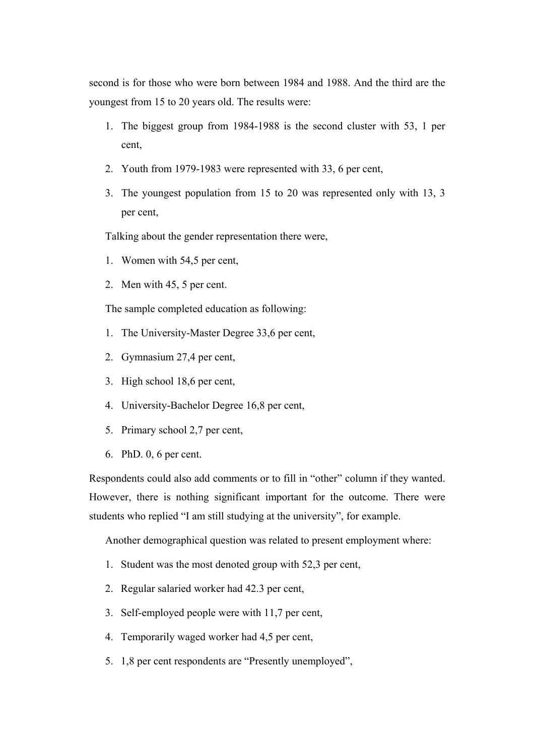second is for those who were born between 1984 and 1988. And the third are the youngest from 15 to 20 years old. The results were:

- 1. The biggest group from 1984-1988 is the second cluster with 53, 1 per cent,
- 2. Youth from 1979-1983 were represented with 33, 6 per cent,
- 3. The youngest population from 15 to 20 was represented only with 13, 3 per cent,

Talking about the gender representation there were,

- 1. Women with 54,5 per cent,
- 2. Men with 45, 5 per cent.

The sample completed education as following:

- 1. The University-Master Degree 33,6 per cent,
- 2. Gymnasium 27,4 per cent,
- 3. High school 18,6 per cent,
- 4. University-Bachelor Degree 16,8 per cent,
- 5. Primary school 2,7 per cent,
- 6. PhD. 0, 6 per cent.

Respondents could also add comments or to fill in "other" column if they wanted. However, there is nothing significant important for the outcome. There were students who replied "I am still studying at the university", for example.

Another demographical question was related to present employment where:

- 1. Student was the most denoted group with 52,3 per cent,
- 2. Regular salaried worker had 42.3 per cent,
- 3. Self-employed people were with 11,7 per cent,
- 4. Temporarily waged worker had 4,5 per cent,
- 5. 1,8 per cent respondents are "Presently unemployed",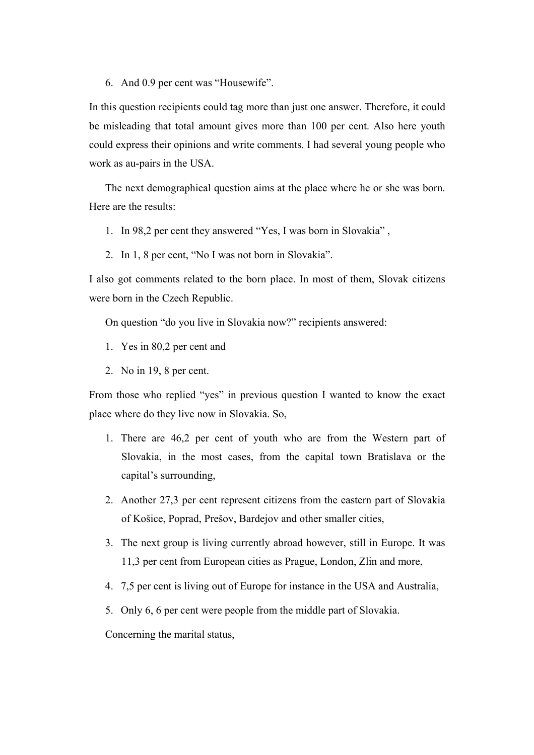6. And 0.9 per cent was "Housewife".

In this question recipients could tag more than just one answer. Therefore, it could be misleading that total amount gives more than 100 per cent. Also here youth could express their opinions and write comments. I had several young people who work as au-pairs in the USA.

The next demographical question aims at the place where he or she was born. Here are the results:

1. In 98,2 per cent they answered "Yes, I was born in Slovakia" ,

2. In 1, 8 per cent, "No I was not born in Slovakia".

I also got comments related to the born place. In most of them, Slovak citizens were born in the Czech Republic.

On question "do you live in Slovakia now?" recipients answered:

- 1. Yes in 80,2 per cent and
- 2. No in 19, 8 per cent.

From those who replied "yes" in previous question I wanted to know the exact place where do they live now in Slovakia. So,

- 1. There are 46,2 per cent of youth who are from the Western part of Slovakia, in the most cases, from the capital town Bratislava or the capital's surrounding,
- 2. Another 27,3 per cent represent citizens from the eastern part of Slovakia of Košice, Poprad, Prešov, Bardejov and other smaller cities,
- 3. The next group is living currently abroad however, still in Europe. It was 11,3 per cent from European cities as Prague, London, Zlin and more,
- 4. 7,5 per cent is living out of Europe for instance in the USA and Australia,
- 5. Only 6, 6 per cent were people from the middle part of Slovakia.

Concerning the marital status,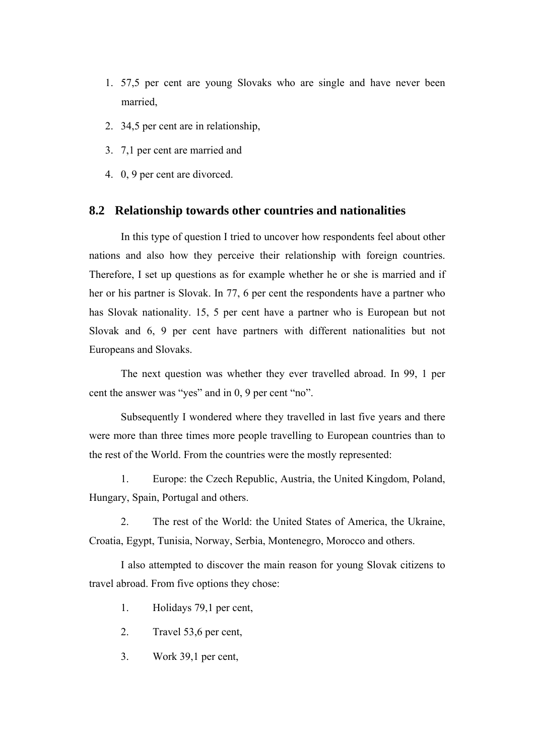- 1. 57,5 per cent are young Slovaks who are single and have never been married,
- 2. 34,5 per cent are in relationship,
- 3. 7,1 per cent are married and
- 4. 0, 9 per cent are divorced.

### **8.2 Relationship towards other countries and nationalities**

In this type of question I tried to uncover how respondents feel about other nations and also how they perceive their relationship with foreign countries. Therefore, I set up questions as for example whether he or she is married and if her or his partner is Slovak. In 77, 6 per cent the respondents have a partner who has Slovak nationality. 15, 5 per cent have a partner who is European but not Slovak and 6, 9 per cent have partners with different nationalities but not Europeans and Slovaks.

The next question was whether they ever travelled abroad. In 99, 1 per cent the answer was "yes" and in 0, 9 per cent "no".

Subsequently I wondered where they travelled in last five years and there were more than three times more people travelling to European countries than to the rest of the World. From the countries were the mostly represented:

1. Europe: the Czech Republic, Austria, the United Kingdom, Poland, Hungary, Spain, Portugal and others.

2. The rest of the World: the United States of America, the Ukraine, Croatia, Egypt, Tunisia, Norway, Serbia, Montenegro, Morocco and others.

I also attempted to discover the main reason for young Slovak citizens to travel abroad. From five options they chose:

1. Holidays 79,1 per cent,

- 2. Travel 53,6 per cent,
- 3. Work 39,1 per cent,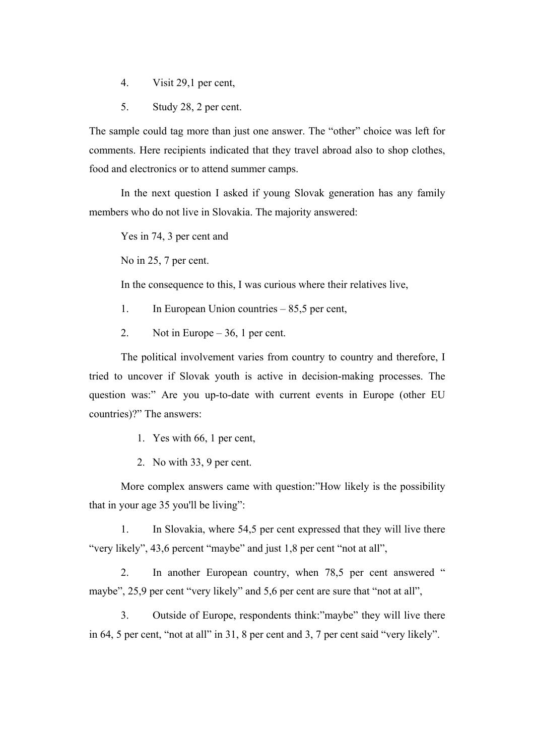- 4. Visit 29,1 per cent,
- 5. Study 28, 2 per cent.

The sample could tag more than just one answer. The "other" choice was left for comments. Here recipients indicated that they travel abroad also to shop clothes, food and electronics or to attend summer camps.

In the next question I asked if young Slovak generation has any family members who do not live in Slovakia. The majority answered:

Yes in 74, 3 per cent and

No in 25, 7 per cent.

In the consequence to this, I was curious where their relatives live,

- 1. In European Union countries 85,5 per cent,
- 2. Not in Europe 36, 1 per cent.

The political involvement varies from country to country and therefore, I tried to uncover if Slovak youth is active in decision-making processes. The question was:" Are you up-to-date with current events in Europe (other EU countries)?" The answers:

- 1. Yes with 66, 1 per cent,
- 2. No with 33, 9 per cent.

More complex answers came with question:"How likely is the possibility that in your age 35 you'll be living":

1. In Slovakia, where 54,5 per cent expressed that they will live there "very likely", 43,6 percent "maybe" and just 1,8 per cent "not at all",

2. In another European country, when 78,5 per cent answered " maybe", 25,9 per cent "very likely" and 5,6 per cent are sure that "not at all",

3. Outside of Europe, respondents think:"maybe" they will live there in 64, 5 per cent, "not at all" in 31, 8 per cent and 3, 7 per cent said "very likely".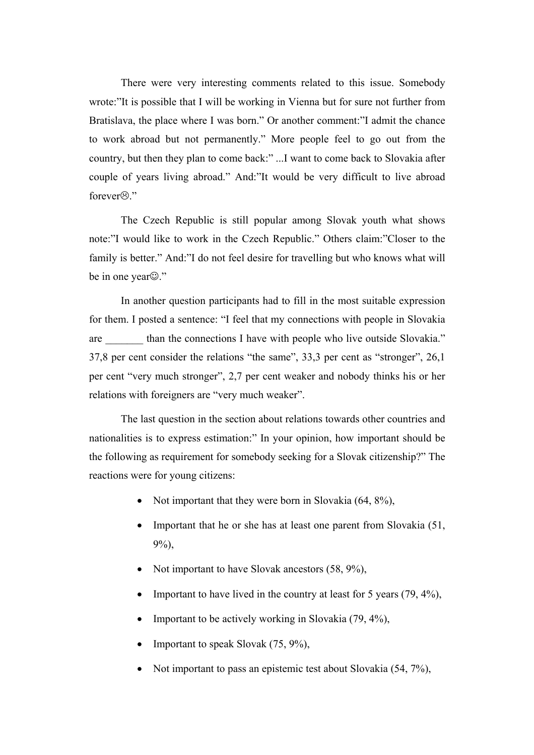There were very interesting comments related to this issue. Somebody wrote:"It is possible that I will be working in Vienna but for sure not further from Bratislava, the place where I was born." Or another comment:"I admit the chance to work abroad but not permanently." More people feel to go out from the country, but then they plan to come back:" ...I want to come back to Slovakia after couple of years living abroad." And:"It would be very difficult to live abroad forever $\odot$ "

The Czech Republic is still popular among Slovak youth what shows note:"I would like to work in the Czech Republic." Others claim:"Closer to the family is better." And:"I do not feel desire for travelling but who knows what will be in one year**☺**."

In another question participants had to fill in the most suitable expression for them. I posted a sentence: "I feel that my connections with people in Slovakia are than the connections I have with people who live outside Slovakia." 37,8 per cent consider the relations "the same", 33,3 per cent as "stronger", 26,1 per cent "very much stronger", 2,7 per cent weaker and nobody thinks his or her relations with foreigners are "very much weaker".

The last question in the section about relations towards other countries and nationalities is to express estimation:" In your opinion, how important should be the following as requirement for somebody seeking for a Slovak citizenship?" The reactions were for young citizens:

- Not important that they were born in Slovakia (64, 8%),
- Important that he or she has at least one parent from Slovakia (51, 9%),
- Not important to have Slovak ancestors (58, 9%),
- Important to have lived in the country at least for 5 years  $(79, 4\%)$ ,
- Important to be actively working in Slovakia (79, 4%),
- Important to speak Slovak (75, 9%),
- Not important to pass an epistemic test about Slovakia (54, 7%),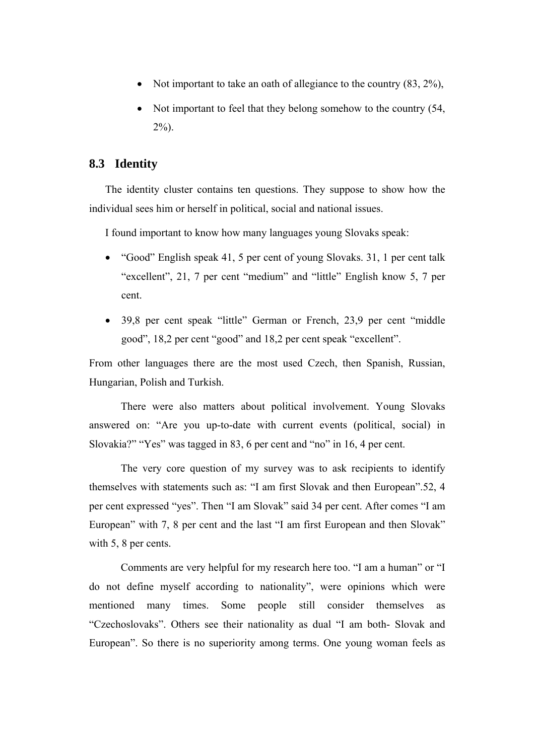- Not important to take an oath of allegiance to the country (83, 2%),
- Not important to feel that they belong somehow to the country (54, 2%).

## **8.3 Identity**

The identity cluster contains ten questions. They suppose to show how the individual sees him or herself in political, social and national issues.

I found important to know how many languages young Slovaks speak:

- "Good" English speak 41, 5 per cent of young Slovaks. 31, 1 per cent talk "excellent", 21, 7 per cent "medium" and "little" English know 5, 7 per cent.
- 39,8 per cent speak "little" German or French, 23,9 per cent "middle good", 18,2 per cent "good" and 18,2 per cent speak "excellent".

From other languages there are the most used Czech, then Spanish, Russian, Hungarian, Polish and Turkish.

There were also matters about political involvement. Young Slovaks answered on: "Are you up-to-date with current events (political, social) in Slovakia?" "Yes" was tagged in 83, 6 per cent and "no" in 16, 4 per cent.

The very core question of my survey was to ask recipients to identify themselves with statements such as: "I am first Slovak and then European".52, 4 per cent expressed "yes". Then "I am Slovak" said 34 per cent. After comes "I am European" with 7, 8 per cent and the last "I am first European and then Slovak" with 5, 8 per cents.

Comments are very helpful for my research here too. "I am a human" or "I do not define myself according to nationality", were opinions which were mentioned many times. Some people still consider themselves as "Czechoslovaks". Others see their nationality as dual "I am both- Slovak and European". So there is no superiority among terms. One young woman feels as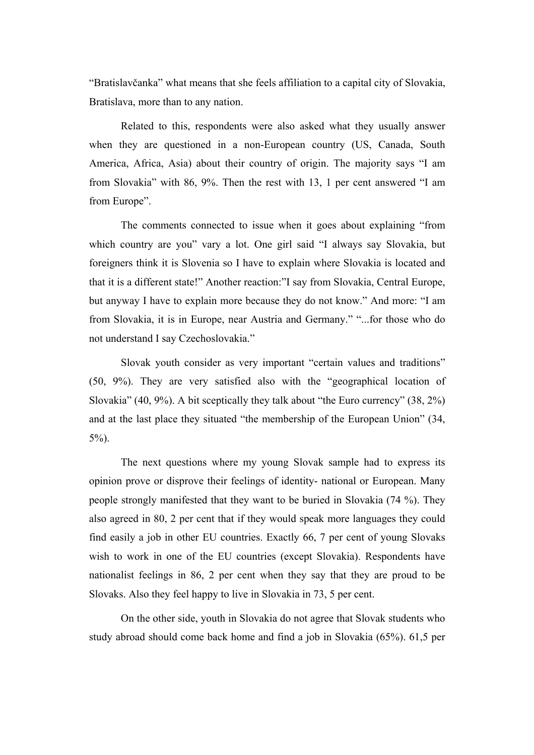"Bratislavčanka" what means that she feels affiliation to a capital city of Slovakia, Bratislava, more than to any nation.

Related to this, respondents were also asked what they usually answer when they are questioned in a non-European country (US, Canada, South America, Africa, Asia) about their country of origin. The majority says "I am from Slovakia" with 86, 9%. Then the rest with 13, 1 per cent answered "I am from Europe".

The comments connected to issue when it goes about explaining "from which country are you" vary a lot. One girl said "I always say Slovakia, but foreigners think it is Slovenia so I have to explain where Slovakia is located and that it is a different state!" Another reaction:"I say from Slovakia, Central Europe, but anyway I have to explain more because they do not know." And more: "I am from Slovakia, it is in Europe, near Austria and Germany." "...for those who do not understand I say Czechoslovakia."

Slovak youth consider as very important "certain values and traditions" (50, 9%). They are very satisfied also with the "geographical location of Slovakia" (40, 9%). A bit sceptically they talk about "the Euro currency" (38, 2%) and at the last place they situated "the membership of the European Union" (34, 5%).

The next questions where my young Slovak sample had to express its opinion prove or disprove their feelings of identity- national or European. Many people strongly manifested that they want to be buried in Slovakia (74 %). They also agreed in 80, 2 per cent that if they would speak more languages they could find easily a job in other EU countries. Exactly 66, 7 per cent of young Slovaks wish to work in one of the EU countries (except Slovakia). Respondents have nationalist feelings in 86, 2 per cent when they say that they are proud to be Slovaks. Also they feel happy to live in Slovakia in 73, 5 per cent.

On the other side, youth in Slovakia do not agree that Slovak students who study abroad should come back home and find a job in Slovakia (65%). 61,5 per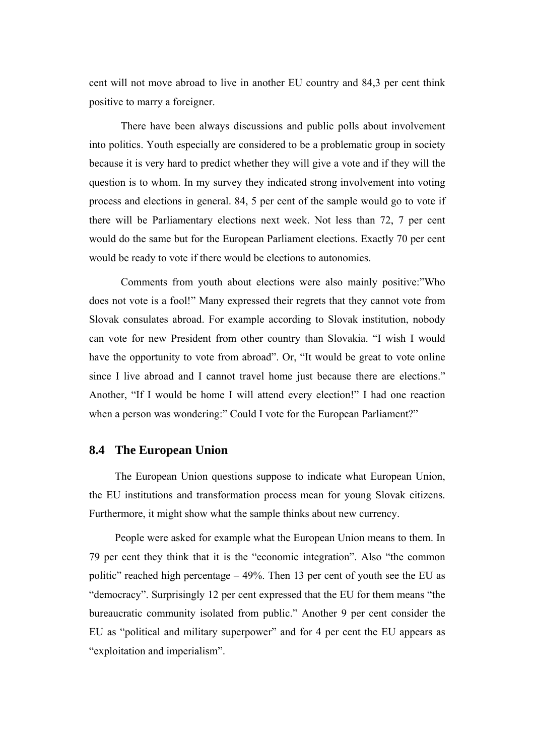cent will not move abroad to live in another EU country and 84,3 per cent think positive to marry a foreigner.

There have been always discussions and public polls about involvement into politics. Youth especially are considered to be a problematic group in society because it is very hard to predict whether they will give a vote and if they will the question is to whom. In my survey they indicated strong involvement into voting process and elections in general. 84, 5 per cent of the sample would go to vote if there will be Parliamentary elections next week. Not less than 72, 7 per cent would do the same but for the European Parliament elections. Exactly 70 per cent would be ready to vote if there would be elections to autonomies.

Comments from youth about elections were also mainly positive:"Who does not vote is a fool!" Many expressed their regrets that they cannot vote from Slovak consulates abroad. For example according to Slovak institution, nobody can vote for new President from other country than Slovakia. "I wish I would have the opportunity to vote from abroad". Or, "It would be great to vote online since I live abroad and I cannot travel home just because there are elections." Another, "If I would be home I will attend every election!" I had one reaction when a person was wondering:" Could I vote for the European Parliament?"

## **8.4 The European Union**

The European Union questions suppose to indicate what European Union, the EU institutions and transformation process mean for young Slovak citizens. Furthermore, it might show what the sample thinks about new currency.

People were asked for example what the European Union means to them. In 79 per cent they think that it is the "economic integration". Also "the common politic" reached high percentage – 49%. Then 13 per cent of youth see the EU as "democracy". Surprisingly 12 per cent expressed that the EU for them means "the bureaucratic community isolated from public." Another 9 per cent consider the EU as "political and military superpower" and for 4 per cent the EU appears as "exploitation and imperialism".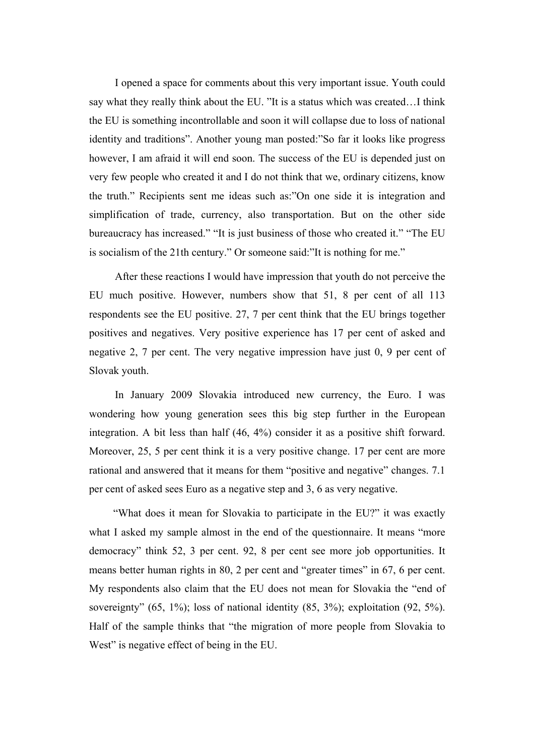I opened a space for comments about this very important issue. Youth could say what they really think about the EU. "It is a status which was created…I think the EU is something incontrollable and soon it will collapse due to loss of national identity and traditions". Another young man posted:"So far it looks like progress however, I am afraid it will end soon. The success of the EU is depended just on very few people who created it and I do not think that we, ordinary citizens, know the truth." Recipients sent me ideas such as:"On one side it is integration and simplification of trade, currency, also transportation. But on the other side bureaucracy has increased." "It is just business of those who created it." "The EU is socialism of the 21th century." Or someone said:"It is nothing for me."

After these reactions I would have impression that youth do not perceive the EU much positive. However, numbers show that 51, 8 per cent of all 113 respondents see the EU positive. 27, 7 per cent think that the EU brings together positives and negatives. Very positive experience has 17 per cent of asked and negative 2, 7 per cent. The very negative impression have just 0, 9 per cent of Slovak youth.

In January 2009 Slovakia introduced new currency, the Euro. I was wondering how young generation sees this big step further in the European integration. A bit less than half (46, 4%) consider it as a positive shift forward. Moreover, 25, 5 per cent think it is a very positive change. 17 per cent are more rational and answered that it means for them "positive and negative" changes. 7.1 per cent of asked sees Euro as a negative step and 3, 6 as very negative.

 "What does it mean for Slovakia to participate in the EU?" it was exactly what I asked my sample almost in the end of the questionnaire. It means "more democracy" think 52, 3 per cent. 92, 8 per cent see more job opportunities. It means better human rights in 80, 2 per cent and "greater times" in 67, 6 per cent. My respondents also claim that the EU does not mean for Slovakia the "end of sovereignty" (65, 1%); loss of national identity (85, 3%); exploitation (92, 5%). Half of the sample thinks that "the migration of more people from Slovakia to West" is negative effect of being in the EU.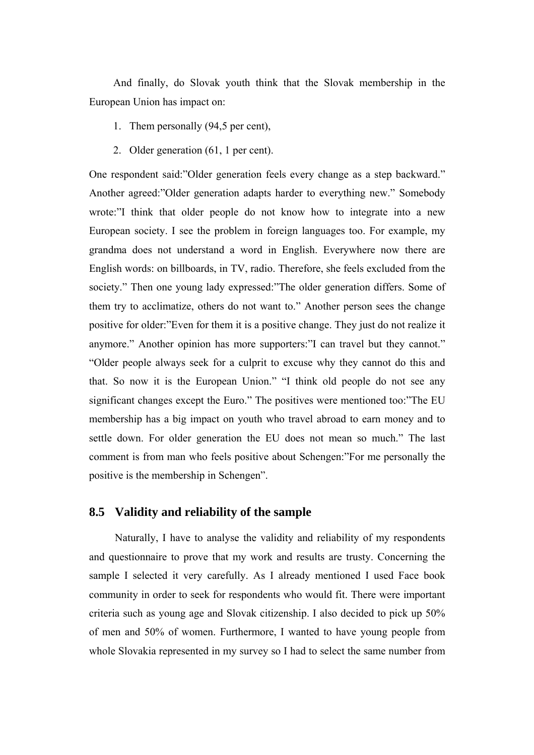And finally, do Slovak youth think that the Slovak membership in the European Union has impact on:

- 1. Them personally (94,5 per cent),
- 2. Older generation (61, 1 per cent).

One respondent said:"Older generation feels every change as a step backward." Another agreed:"Older generation adapts harder to everything new." Somebody wrote:"I think that older people do not know how to integrate into a new European society. I see the problem in foreign languages too. For example, my grandma does not understand a word in English. Everywhere now there are English words: on billboards, in TV, radio. Therefore, she feels excluded from the society." Then one young lady expressed:"The older generation differs. Some of them try to acclimatize, others do not want to." Another person sees the change positive for older:"Even for them it is a positive change. They just do not realize it anymore." Another opinion has more supporters:"I can travel but they cannot." "Older people always seek for a culprit to excuse why they cannot do this and that. So now it is the European Union." "I think old people do not see any significant changes except the Euro." The positives were mentioned too:"The EU membership has a big impact on youth who travel abroad to earn money and to settle down. For older generation the EU does not mean so much." The last comment is from man who feels positive about Schengen:"For me personally the positive is the membership in Schengen".

### **8.5 Validity and reliability of the sample**

Naturally, I have to analyse the validity and reliability of my respondents and questionnaire to prove that my work and results are trusty. Concerning the sample I selected it very carefully. As I already mentioned I used Face book community in order to seek for respondents who would fit. There were important criteria such as young age and Slovak citizenship. I also decided to pick up 50% of men and 50% of women. Furthermore, I wanted to have young people from whole Slovakia represented in my survey so I had to select the same number from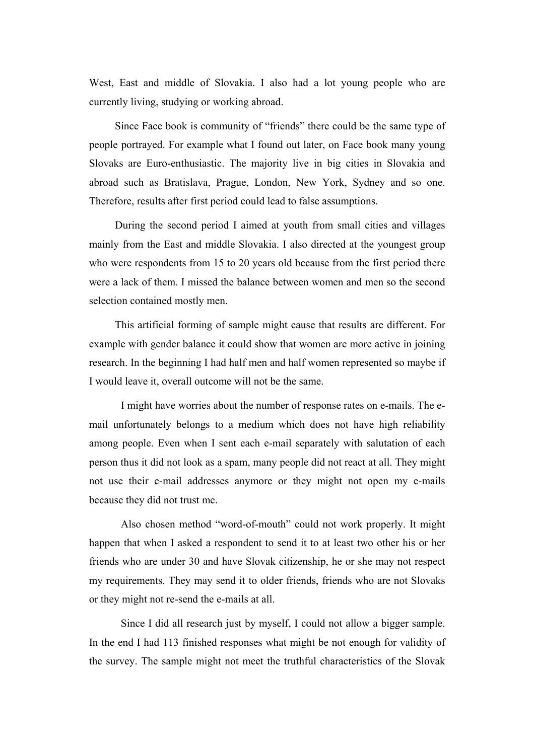West, East and middle of Slovakia. I also had a lot young people who are currently living, studying or working abroad.

Since Face book is community of "friends" there could be the same type of people portrayed. For example what I found out later, on Face book many young Slovaks are Euro-enthusiastic. The majority live in big cities in Slovakia and abroad such as Bratislava, Prague, London, New York, Sydney and so one. Therefore, results after first period could lead to false assumptions.

During the second period I aimed at youth from small cities and villages mainly from the East and middle Slovakia. I also directed at the youngest group who were respondents from 15 to 20 years old because from the first period there were a lack of them. I missed the balance between women and men so the second selection contained mostly men.

This artificial forming of sample might cause that results are different. For example with gender balance it could show that women are more active in joining research. In the beginning I had half men and half women represented so maybe if I would leave it, overall outcome will not be the same.

I might have worries about the number of response rates on e-mails. The email unfortunately belongs to a medium which does not have high reliability among people. Even when I sent each e-mail separately with salutation of each person thus it did not look as a spam, many people did not react at all. They might not use their e-mail addresses anymore or they might not open my e-mails because they did not trust me.

Also chosen method "word-of-mouth" could not work properly. It might happen that when I asked a respondent to send it to at least two other his or her friends who are under 30 and have Slovak citizenship, he or she may not respect my requirements. They may send it to older friends, friends who are not Slovaks or they might not re-send the e-mails at all.

Since I did all research just by myself, I could not allow a bigger sample. In the end I had 113 finished responses what might be not enough for validity of the survey. The sample might not meet the truthful characteristics of the Slovak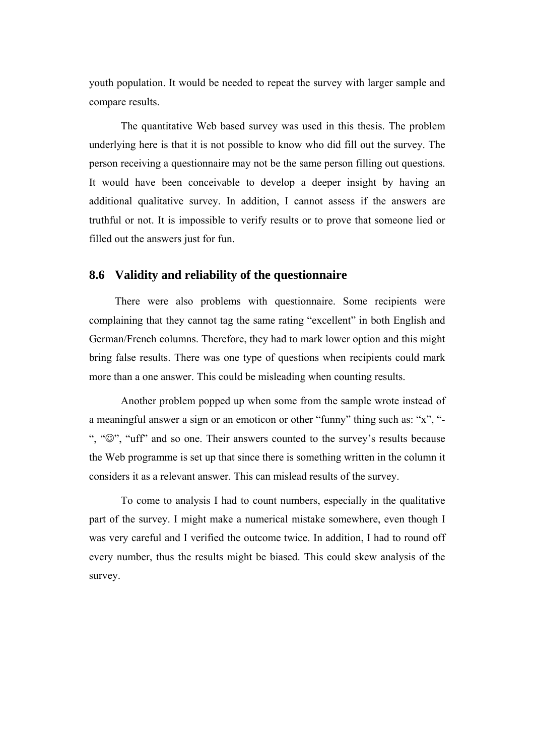youth population. It would be needed to repeat the survey with larger sample and compare results.

The quantitative Web based survey was used in this thesis. The problem underlying here is that it is not possible to know who did fill out the survey. The person receiving a questionnaire may not be the same person filling out questions. It would have been conceivable to develop a deeper insight by having an additional qualitative survey. In addition, I cannot assess if the answers are truthful or not. It is impossible to verify results or to prove that someone lied or filled out the answers just for fun.

### **8.6 Validity and reliability of the questionnaire**

There were also problems with questionnaire. Some recipients were complaining that they cannot tag the same rating "excellent" in both English and German/French columns. Therefore, they had to mark lower option and this might bring false results. There was one type of questions when recipients could mark more than a one answer. This could be misleading when counting results.

Another problem popped up when some from the sample wrote instead of a meaningful answer a sign or an emoticon or other "funny" thing such as: "x", "- ", "☺", "uff" and so one. Their answers counted to the survey's results because the Web programme is set up that since there is something written in the column it considers it as a relevant answer. This can mislead results of the survey.

To come to analysis I had to count numbers, especially in the qualitative part of the survey. I might make a numerical mistake somewhere, even though I was very careful and I verified the outcome twice. In addition, I had to round off every number, thus the results might be biased. This could skew analysis of the survey.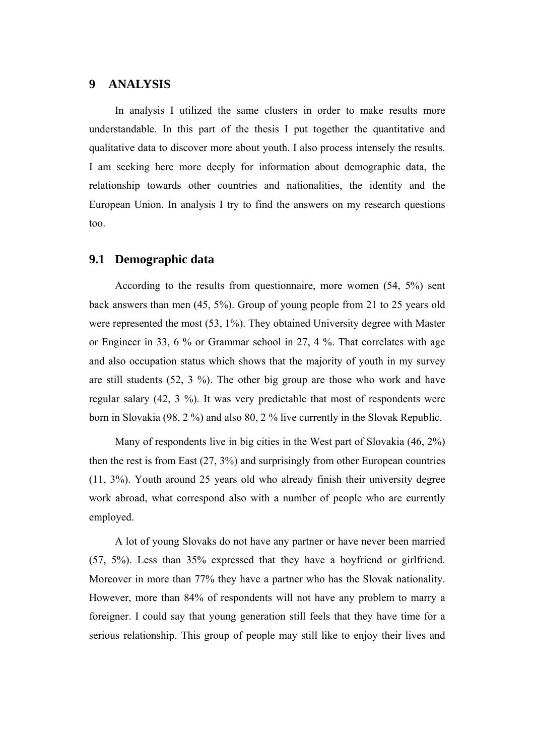## **9 ANALYSIS**

In analysis I utilized the same clusters in order to make results more understandable. In this part of the thesis I put together the quantitative and qualitative data to discover more about youth. I also process intensely the results. I am seeking here more deeply for information about demographic data, the relationship towards other countries and nationalities, the identity and the European Union. In analysis I try to find the answers on my research questions too.

### **9.1 Demographic data**

According to the results from questionnaire, more women (54, 5%) sent back answers than men (45, 5%). Group of young people from 21 to 25 years old were represented the most (53, 1%). They obtained University degree with Master or Engineer in 33, 6 % or Grammar school in 27, 4 %. That correlates with age and also occupation status which shows that the majority of youth in my survey are still students (52, 3 %). The other big group are those who work and have regular salary (42, 3 %). It was very predictable that most of respondents were born in Slovakia (98, 2 %) and also 80, 2 % live currently in the Slovak Republic.

Many of respondents live in big cities in the West part of Slovakia (46, 2%) then the rest is from East (27, 3%) and surprisingly from other European countries (11, 3%). Youth around 25 years old who already finish their university degree work abroad, what correspond also with a number of people who are currently employed.

A lot of young Slovaks do not have any partner or have never been married (57, 5%). Less than 35% expressed that they have a boyfriend or girlfriend. Moreover in more than 77% they have a partner who has the Slovak nationality. However, more than 84% of respondents will not have any problem to marry a foreigner. I could say that young generation still feels that they have time for a serious relationship. This group of people may still like to enjoy their lives and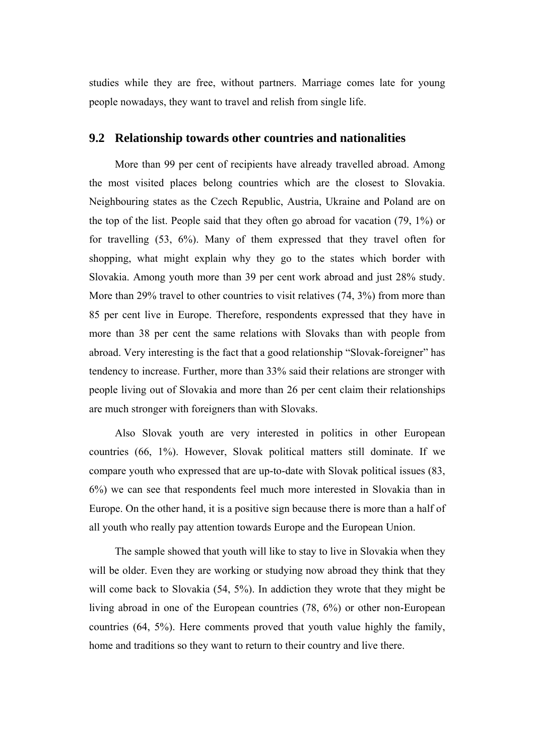studies while they are free, without partners. Marriage comes late for young people nowadays, they want to travel and relish from single life.

### **9.2 Relationship towards other countries and nationalities**

More than 99 per cent of recipients have already travelled abroad. Among the most visited places belong countries which are the closest to Slovakia. Neighbouring states as the Czech Republic, Austria, Ukraine and Poland are on the top of the list. People said that they often go abroad for vacation (79, 1%) or for travelling (53, 6%). Many of them expressed that they travel often for shopping, what might explain why they go to the states which border with Slovakia. Among youth more than 39 per cent work abroad and just 28% study. More than 29% travel to other countries to visit relatives (74, 3%) from more than 85 per cent live in Europe. Therefore, respondents expressed that they have in more than 38 per cent the same relations with Slovaks than with people from abroad. Very interesting is the fact that a good relationship "Slovak-foreigner" has tendency to increase. Further, more than 33% said their relations are stronger with people living out of Slovakia and more than 26 per cent claim their relationships are much stronger with foreigners than with Slovaks.

Also Slovak youth are very interested in politics in other European countries (66, 1%). However, Slovak political matters still dominate. If we compare youth who expressed that are up-to-date with Slovak political issues (83, 6%) we can see that respondents feel much more interested in Slovakia than in Europe. On the other hand, it is a positive sign because there is more than a half of all youth who really pay attention towards Europe and the European Union.

The sample showed that youth will like to stay to live in Slovakia when they will be older. Even they are working or studying now abroad they think that they will come back to Slovakia (54, 5%). In addiction they wrote that they might be living abroad in one of the European countries (78, 6%) or other non-European countries (64, 5%). Here comments proved that youth value highly the family, home and traditions so they want to return to their country and live there.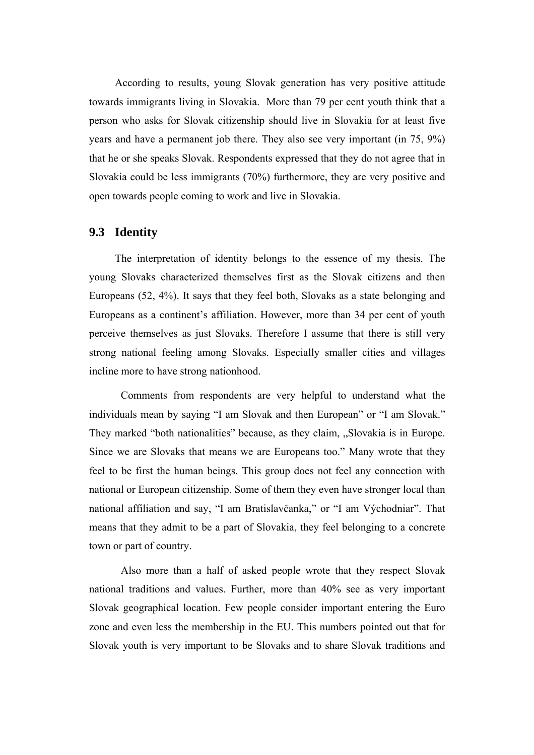According to results, young Slovak generation has very positive attitude towards immigrants living in Slovakia. More than 79 per cent youth think that a person who asks for Slovak citizenship should live in Slovakia for at least five years and have a permanent job there. They also see very important (in 75, 9%) that he or she speaks Slovak. Respondents expressed that they do not agree that in Slovakia could be less immigrants (70%) furthermore, they are very positive and open towards people coming to work and live in Slovakia.

### **9.3 Identity**

The interpretation of identity belongs to the essence of my thesis. The young Slovaks characterized themselves first as the Slovak citizens and then Europeans (52, 4%). It says that they feel both, Slovaks as a state belonging and Europeans as a continent's affiliation. However, more than 34 per cent of youth perceive themselves as just Slovaks. Therefore I assume that there is still very strong national feeling among Slovaks. Especially smaller cities and villages incline more to have strong nationhood.

Comments from respondents are very helpful to understand what the individuals mean by saying "I am Slovak and then European" or "I am Slovak." They marked "both nationalities" because, as they claim, "Slovakia is in Europe. Since we are Slovaks that means we are Europeans too." Many wrote that they feel to be first the human beings. This group does not feel any connection with national or European citizenship. Some of them they even have stronger local than national affiliation and say, "I am Bratislavčanka," or "I am Východniar". That means that they admit to be a part of Slovakia, they feel belonging to a concrete town or part of country.

Also more than a half of asked people wrote that they respect Slovak national traditions and values. Further, more than 40% see as very important Slovak geographical location. Few people consider important entering the Euro zone and even less the membership in the EU. This numbers pointed out that for Slovak youth is very important to be Slovaks and to share Slovak traditions and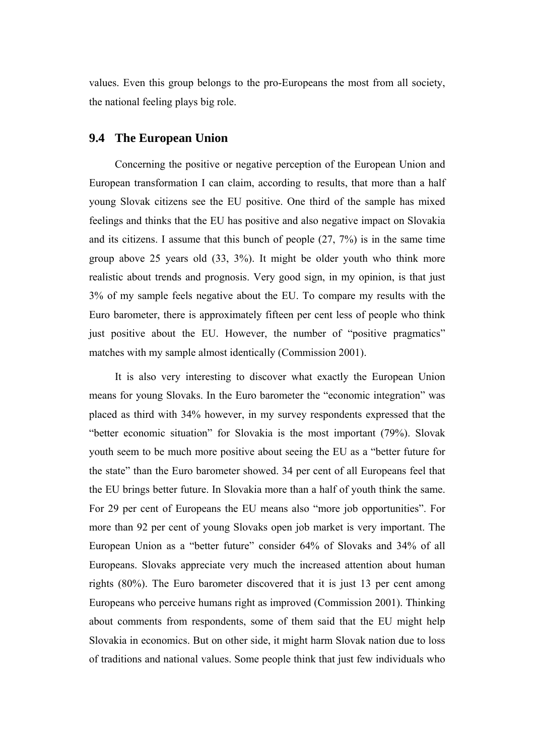values. Even this group belongs to the pro-Europeans the most from all society, the national feeling plays big role.

### **9.4 The European Union**

Concerning the positive or negative perception of the European Union and European transformation I can claim, according to results, that more than a half young Slovak citizens see the EU positive. One third of the sample has mixed feelings and thinks that the EU has positive and also negative impact on Slovakia and its citizens. I assume that this bunch of people (27, 7%) is in the same time group above 25 years old (33, 3%). It might be older youth who think more realistic about trends and prognosis. Very good sign, in my opinion, is that just 3% of my sample feels negative about the EU. To compare my results with the Euro barometer, there is approximately fifteen per cent less of people who think just positive about the EU. However, the number of "positive pragmatics" matches with my sample almost identically (Commission 2001).

It is also very interesting to discover what exactly the European Union means for young Slovaks. In the Euro barometer the "economic integration" was placed as third with 34% however, in my survey respondents expressed that the "better economic situation" for Slovakia is the most important (79%). Slovak youth seem to be much more positive about seeing the EU as a "better future for the state" than the Euro barometer showed. 34 per cent of all Europeans feel that the EU brings better future. In Slovakia more than a half of youth think the same. For 29 per cent of Europeans the EU means also "more job opportunities". For more than 92 per cent of young Slovaks open job market is very important. The European Union as a "better future" consider 64% of Slovaks and 34% of all Europeans. Slovaks appreciate very much the increased attention about human rights (80%). The Euro barometer discovered that it is just 13 per cent among Europeans who perceive humans right as improved (Commission 2001). Thinking about comments from respondents, some of them said that the EU might help Slovakia in economics. But on other side, it might harm Slovak nation due to loss of traditions and national values. Some people think that just few individuals who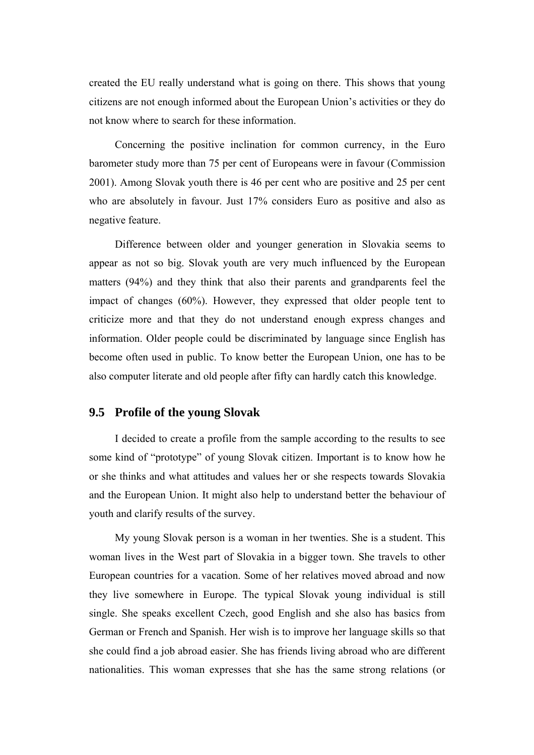created the EU really understand what is going on there. This shows that young citizens are not enough informed about the European Union's activities or they do not know where to search for these information.

Concerning the positive inclination for common currency, in the Euro barometer study more than 75 per cent of Europeans were in favour (Commission 2001). Among Slovak youth there is 46 per cent who are positive and 25 per cent who are absolutely in favour. Just 17% considers Euro as positive and also as negative feature.

Difference between older and younger generation in Slovakia seems to appear as not so big. Slovak youth are very much influenced by the European matters (94%) and they think that also their parents and grandparents feel the impact of changes (60%). However, they expressed that older people tent to criticize more and that they do not understand enough express changes and information. Older people could be discriminated by language since English has become often used in public. To know better the European Union, one has to be also computer literate and old people after fifty can hardly catch this knowledge.

### **9.5 Profile of the young Slovak**

I decided to create a profile from the sample according to the results to see some kind of "prototype" of young Slovak citizen. Important is to know how he or she thinks and what attitudes and values her or she respects towards Slovakia and the European Union. It might also help to understand better the behaviour of youth and clarify results of the survey.

My young Slovak person is a woman in her twenties. She is a student. This woman lives in the West part of Slovakia in a bigger town. She travels to other European countries for a vacation. Some of her relatives moved abroad and now they live somewhere in Europe. The typical Slovak young individual is still single. She speaks excellent Czech, good English and she also has basics from German or French and Spanish. Her wish is to improve her language skills so that she could find a job abroad easier. She has friends living abroad who are different nationalities. This woman expresses that she has the same strong relations (or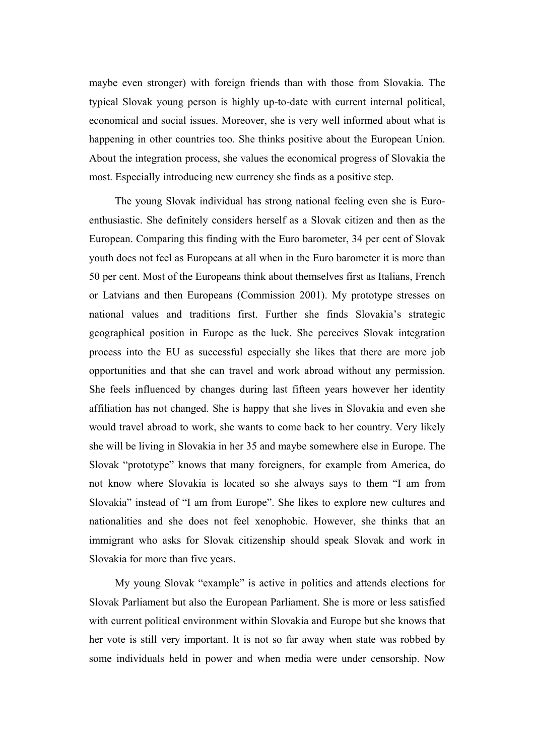maybe even stronger) with foreign friends than with those from Slovakia. The typical Slovak young person is highly up-to-date with current internal political, economical and social issues. Moreover, she is very well informed about what is happening in other countries too. She thinks positive about the European Union. About the integration process, she values the economical progress of Slovakia the most. Especially introducing new currency she finds as a positive step.

The young Slovak individual has strong national feeling even she is Euroenthusiastic. She definitely considers herself as a Slovak citizen and then as the European. Comparing this finding with the Euro barometer, 34 per cent of Slovak youth does not feel as Europeans at all when in the Euro barometer it is more than 50 per cent. Most of the Europeans think about themselves first as Italians, French or Latvians and then Europeans (Commission 2001). My prototype stresses on national values and traditions first. Further she finds Slovakia's strategic geographical position in Europe as the luck. She perceives Slovak integration process into the EU as successful especially she likes that there are more job opportunities and that she can travel and work abroad without any permission. She feels influenced by changes during last fifteen years however her identity affiliation has not changed. She is happy that she lives in Slovakia and even she would travel abroad to work, she wants to come back to her country. Very likely she will be living in Slovakia in her 35 and maybe somewhere else in Europe. The Slovak "prototype" knows that many foreigners, for example from America, do not know where Slovakia is located so she always says to them "I am from Slovakia" instead of "I am from Europe". She likes to explore new cultures and nationalities and she does not feel xenophobic. However, she thinks that an immigrant who asks for Slovak citizenship should speak Slovak and work in Slovakia for more than five years.

My young Slovak "example" is active in politics and attends elections for Slovak Parliament but also the European Parliament. She is more or less satisfied with current political environment within Slovakia and Europe but she knows that her vote is still very important. It is not so far away when state was robbed by some individuals held in power and when media were under censorship. Now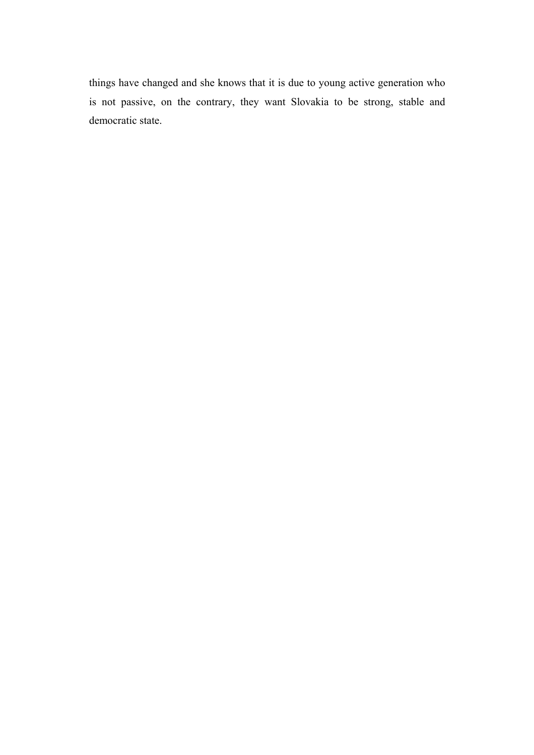things have changed and she knows that it is due to young active generation who is not passive, on the contrary, they want Slovakia to be strong, stable and democratic state.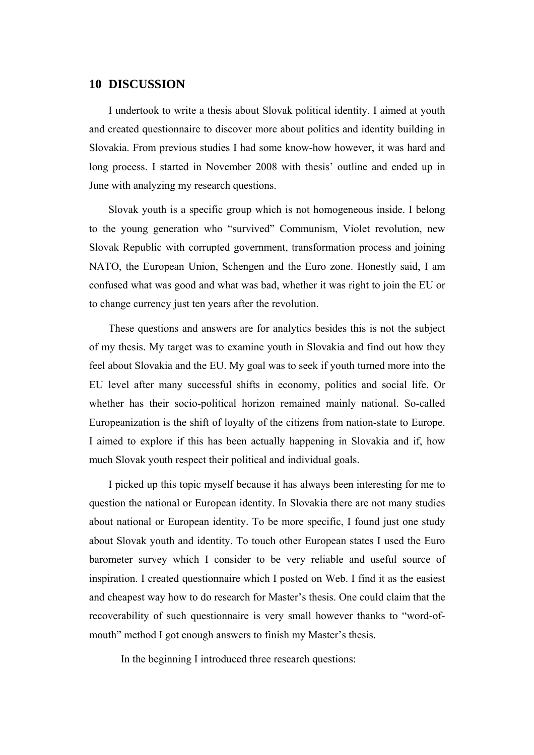## **10 DISCUSSION**

I undertook to write a thesis about Slovak political identity. I aimed at youth and created questionnaire to discover more about politics and identity building in Slovakia. From previous studies I had some know-how however, it was hard and long process. I started in November 2008 with thesis' outline and ended up in June with analyzing my research questions.

Slovak youth is a specific group which is not homogeneous inside. I belong to the young generation who "survived" Communism, Violet revolution, new Slovak Republic with corrupted government, transformation process and joining NATO, the European Union, Schengen and the Euro zone. Honestly said, I am confused what was good and what was bad, whether it was right to join the EU or to change currency just ten years after the revolution.

These questions and answers are for analytics besides this is not the subject of my thesis. My target was to examine youth in Slovakia and find out how they feel about Slovakia and the EU. My goal was to seek if youth turned more into the EU level after many successful shifts in economy, politics and social life. Or whether has their socio-political horizon remained mainly national. So-called Europeanization is the shift of loyalty of the citizens from nation-state to Europe. I aimed to explore if this has been actually happening in Slovakia and if, how much Slovak youth respect their political and individual goals.

I picked up this topic myself because it has always been interesting for me to question the national or European identity. In Slovakia there are not many studies about national or European identity. To be more specific, I found just one study about Slovak youth and identity. To touch other European states I used the Euro barometer survey which I consider to be very reliable and useful source of inspiration. I created questionnaire which I posted on Web. I find it as the easiest and cheapest way how to do research for Master's thesis. One could claim that the recoverability of such questionnaire is very small however thanks to "word-ofmouth" method I got enough answers to finish my Master's thesis.

In the beginning I introduced three research questions: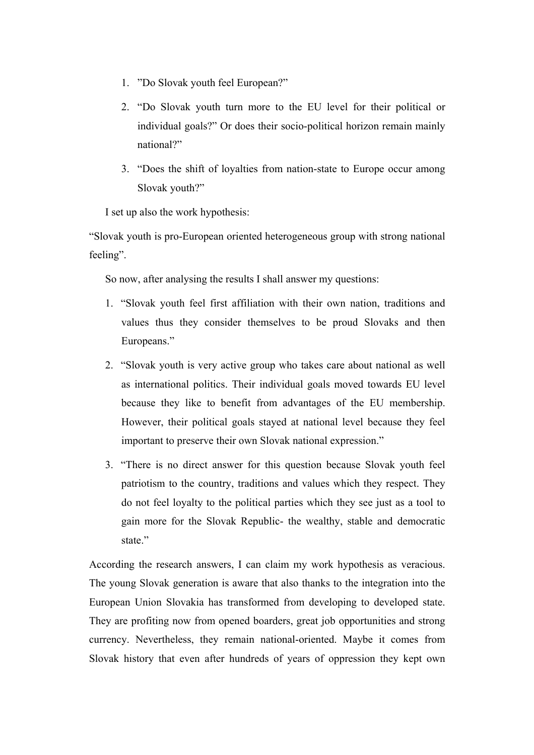- 1. "Do Slovak youth feel European?"
- 2. "Do Slovak youth turn more to the EU level for their political or individual goals?" Or does their socio-political horizon remain mainly national?"
- 3. "Does the shift of loyalties from nation-state to Europe occur among Slovak youth?"

I set up also the work hypothesis:

"Slovak youth is pro-European oriented heterogeneous group with strong national feeling".

So now, after analysing the results I shall answer my questions:

- 1. "Slovak youth feel first affiliation with their own nation, traditions and values thus they consider themselves to be proud Slovaks and then Europeans."
- 2. "Slovak youth is very active group who takes care about national as well as international politics. Their individual goals moved towards EU level because they like to benefit from advantages of the EU membership. However, their political goals stayed at national level because they feel important to preserve their own Slovak national expression."
- 3. "There is no direct answer for this question because Slovak youth feel patriotism to the country, traditions and values which they respect. They do not feel loyalty to the political parties which they see just as a tool to gain more for the Slovak Republic- the wealthy, stable and democratic state."

According the research answers, I can claim my work hypothesis as veracious. The young Slovak generation is aware that also thanks to the integration into the European Union Slovakia has transformed from developing to developed state. They are profiting now from opened boarders, great job opportunities and strong currency. Nevertheless, they remain national-oriented. Maybe it comes from Slovak history that even after hundreds of years of oppression they kept own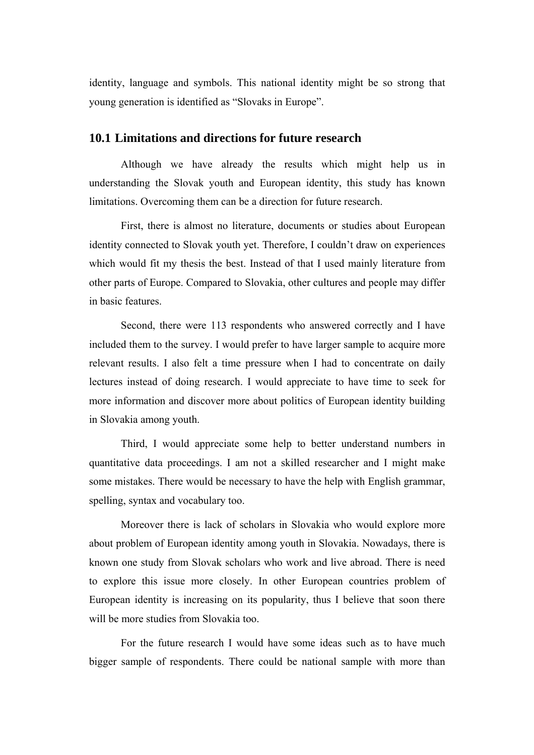identity, language and symbols. This national identity might be so strong that young generation is identified as "Slovaks in Europe".

### **10.1 Limitations and directions for future research**

Although we have already the results which might help us in understanding the Slovak youth and European identity, this study has known limitations. Overcoming them can be a direction for future research.

First, there is almost no literature, documents or studies about European identity connected to Slovak youth yet. Therefore, I couldn't draw on experiences which would fit my thesis the best. Instead of that I used mainly literature from other parts of Europe. Compared to Slovakia, other cultures and people may differ in basic features.

Second, there were 113 respondents who answered correctly and I have included them to the survey. I would prefer to have larger sample to acquire more relevant results. I also felt a time pressure when I had to concentrate on daily lectures instead of doing research. I would appreciate to have time to seek for more information and discover more about politics of European identity building in Slovakia among youth.

Third, I would appreciate some help to better understand numbers in quantitative data proceedings. I am not a skilled researcher and I might make some mistakes. There would be necessary to have the help with English grammar, spelling, syntax and vocabulary too.

Moreover there is lack of scholars in Slovakia who would explore more about problem of European identity among youth in Slovakia. Nowadays, there is known one study from Slovak scholars who work and live abroad. There is need to explore this issue more closely. In other European countries problem of European identity is increasing on its popularity, thus I believe that soon there will be more studies from Slovakia too.

For the future research I would have some ideas such as to have much bigger sample of respondents. There could be national sample with more than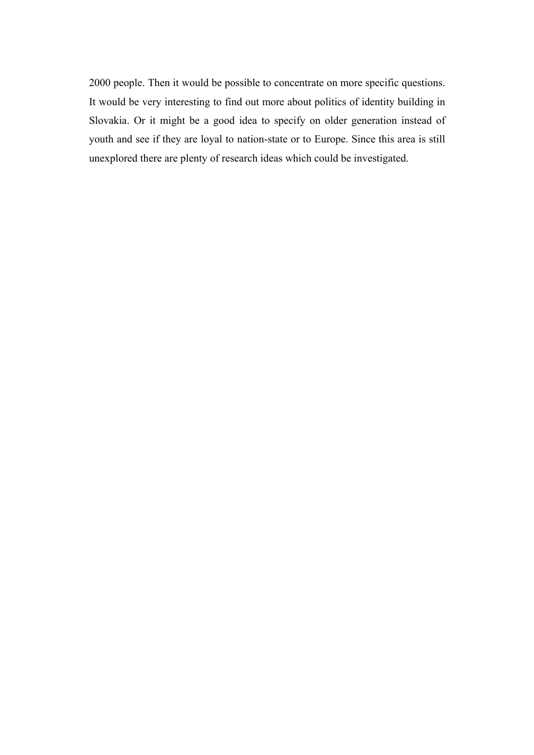2000 people. Then it would be possible to concentrate on more specific questions. It would be very interesting to find out more about politics of identity building in Slovakia. Or it might be a good idea to specify on older generation instead of youth and see if they are loyal to nation-state or to Europe. Since this area is still unexplored there are plenty of research ideas which could be investigated.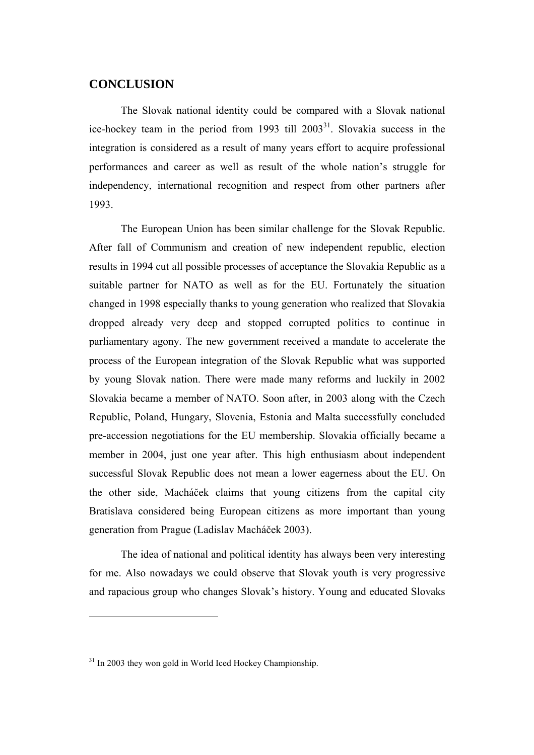## **CONCLUSION**

The Slovak national identity could be compared with a Slovak national ice-hockey team in the period from 1993 till  $2003<sup>31</sup>$ . Slovakia success in the integration is considered as a result of many years effort to acquire professional performances and career as well as result of the whole nation's struggle for independency, international recognition and respect from other partners after 1993.

The European Union has been similar challenge for the Slovak Republic. After fall of Communism and creation of new independent republic, election results in 1994 cut all possible processes of acceptance the Slovakia Republic as a suitable partner for NATO as well as for the EU. Fortunately the situation changed in 1998 especially thanks to young generation who realized that Slovakia dropped already very deep and stopped corrupted politics to continue in parliamentary agony. The new government received a mandate to accelerate the process of the European integration of the Slovak Republic what was supported by young Slovak nation. There were made many reforms and luckily in 2002 Slovakia became a member of NATO. Soon after, in 2003 along with the Czech Republic, Poland, Hungary, Slovenia, Estonia and Malta successfully concluded pre-accession negotiations for the EU membership. Slovakia officially became a member in 2004, just one year after. This high enthusiasm about independent successful Slovak Republic does not mean a lower eagerness about the EU. On the other side, Macháček claims that young citizens from the capital city Bratislava considered being European citizens as more important than young generation from Prague (Ladislav Macháček 2003).

The idea of national and political identity has always been very interesting for me. Also nowadays we could observe that Slovak youth is very progressive and rapacious group who changes Slovak's history. Young and educated Slovaks

 $\overline{a}$ 

<sup>&</sup>lt;sup>31</sup> In 2003 they won gold in World Iced Hockey Championship.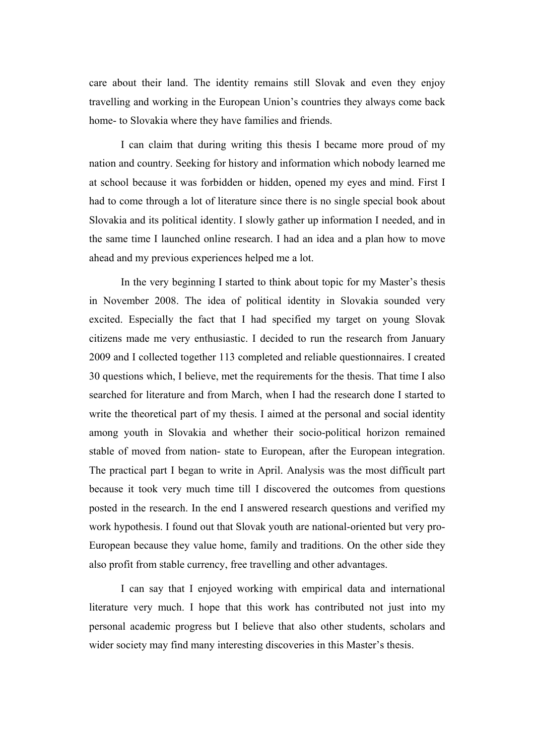care about their land. The identity remains still Slovak and even they enjoy travelling and working in the European Union's countries they always come back home- to Slovakia where they have families and friends.

I can claim that during writing this thesis I became more proud of my nation and country. Seeking for history and information which nobody learned me at school because it was forbidden or hidden, opened my eyes and mind. First I had to come through a lot of literature since there is no single special book about Slovakia and its political identity. I slowly gather up information I needed, and in the same time I launched online research. I had an idea and a plan how to move ahead and my previous experiences helped me a lot.

In the very beginning I started to think about topic for my Master's thesis in November 2008. The idea of political identity in Slovakia sounded very excited. Especially the fact that I had specified my target on young Slovak citizens made me very enthusiastic. I decided to run the research from January 2009 and I collected together 113 completed and reliable questionnaires. I created 30 questions which, I believe, met the requirements for the thesis. That time I also searched for literature and from March, when I had the research done I started to write the theoretical part of my thesis. I aimed at the personal and social identity among youth in Slovakia and whether their socio-political horizon remained stable of moved from nation- state to European, after the European integration. The practical part I began to write in April. Analysis was the most difficult part because it took very much time till I discovered the outcomes from questions posted in the research. In the end I answered research questions and verified my work hypothesis. I found out that Slovak youth are national-oriented but very pro-European because they value home, family and traditions. On the other side they also profit from stable currency, free travelling and other advantages.

I can say that I enjoyed working with empirical data and international literature very much. I hope that this work has contributed not just into my personal academic progress but I believe that also other students, scholars and wider society may find many interesting discoveries in this Master's thesis.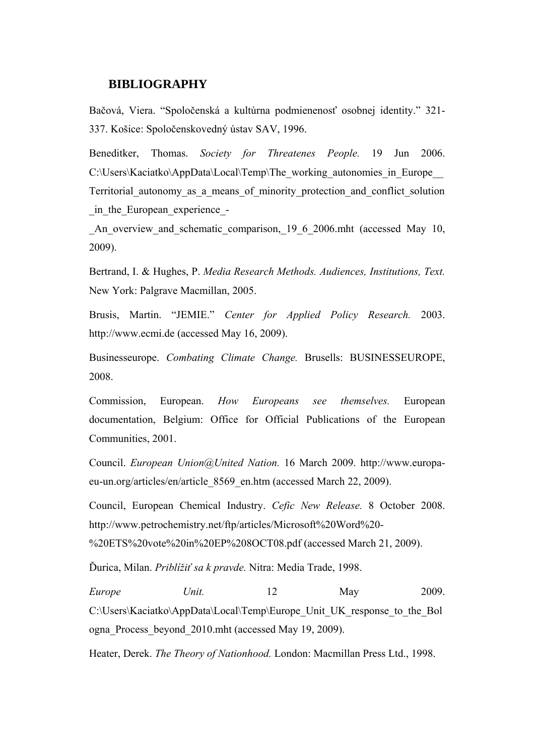## **BIBLIOGRAPHY**

Bačová, Viera. "Spoločenská a kultúrna podmienenosť osobnej identity." 321- 337. Košice: Spoločenskovedný ústav SAV, 1996.

Beneditker, Thomas. *Society for Threatenes People.* 19 Jun 2006. C:\Users\Kaciatko\AppData\Local\Temp\The\_working\_autonomies\_in\_Europe\_\_ Territorial\_autonomy\_as\_a\_means\_of\_minority\_protection\_and\_conflict\_solution \_in\_the\_European\_experience\_-

An overview and schematic comparison, 19 6 2006.mht (accessed May 10, 2009).

Bertrand, I. & Hughes, P. *Media Research Methods. Audiences, Institutions, Text.* New York: Palgrave Macmillan, 2005.

Brusis, Martin. "JEMIE." *Center for Applied Policy Research.* 2003. http://www.ecmi.de (accessed May 16, 2009).

Businesseurope. *Combating Climate Change.* Brusells: BUSINESSEUROPE, 2008.

Commission, European. *How Europeans see themselves.* European documentation, Belgium: Office for Official Publications of the European Communities, 2001.

Council. *European Union@United Nation.* 16 March 2009. http://www.europaeu-un.org/articles/en/article\_8569\_en.htm (accessed March 22, 2009).

Council, European Chemical Industry. *Cefic New Release.* 8 October 2008. http://www.petrochemistry.net/ftp/articles/Microsoft%20Word%20- %20ETS%20vote%20in%20EP%208OCT08.pdf (accessed March 21, 2009).

Ďurica, Milan. *Priblížiť sa k pravde.* Nitra: Media Trade, 1998.

*Europe Unit.* 12 May 2009. C:\Users\Kaciatko\AppData\Local\Temp\Europe\_Unit\_UK\_response\_to\_the\_Bol ogna\_Process\_beyond\_2010.mht (accessed May 19, 2009).

Heater, Derek. *The Theory of Nationhood.* London: Macmillan Press Ltd., 1998.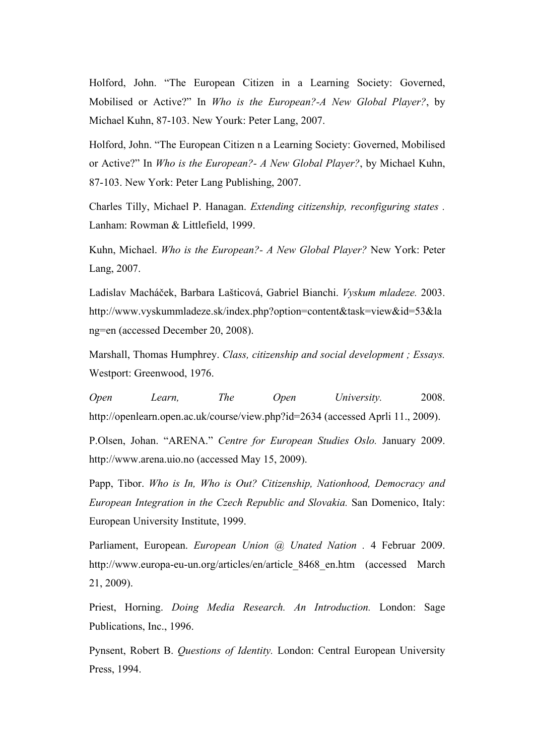Holford, John. "The European Citizen in a Learning Society: Governed, Mobilised or Active?" In *Who is the European?-A New Global Player?*, by Michael Kuhn, 87-103. New Yourk: Peter Lang, 2007.

Holford, John. "The European Citizen n a Learning Society: Governed, Mobilised or Active?" In *Who is the European?- A New Global Player?*, by Michael Kuhn, 87-103. New York: Peter Lang Publishing, 2007.

Charles Tilly, Michael P. Hanagan. *Extending citizenship, reconfiguring states .* Lanham: Rowman & Littlefield, 1999.

Kuhn, Michael. *Who is the European?- A New Global Player?* New York: Peter Lang, 2007.

Ladislav Macháček, Barbara Lašticová, Gabriel Bianchi. *Vyskum mladeze.* 2003. http://www.vyskummladeze.sk/index.php?option=content&task=view&id=53&la ng=en (accessed December 20, 2008).

Marshall, Thomas Humphrey. *Class, citizenship and social development ; Essays.* Westport: Greenwood, 1976.

*Open Learn, The Open University.* 2008. http://openlearn.open.ac.uk/course/view.php?id=2634 (accessed Aprli 11., 2009).

P.Olsen, Johan. "ARENA." *Centre for European Studies Oslo.* January 2009. http://www.arena.uio.no (accessed May 15, 2009).

Papp, Tibor. *Who is In, Who is Out? Citizenship, Nationhood, Democracy and European Integration in the Czech Republic and Slovakia.* San Domenico, Italy: European University Institute, 1999.

Parliament, European. *European Union @ Unated Nation .* 4 Februar 2009. http://www.europa-eu-un.org/articles/en/article\_8468\_en.htm (accessed March 21, 2009).

Priest, Horning. *Doing Media Research. An Introduction.* London: Sage Publications, Inc., 1996.

Pynsent, Robert B. *Questions of Identity.* London: Central European University Press, 1994.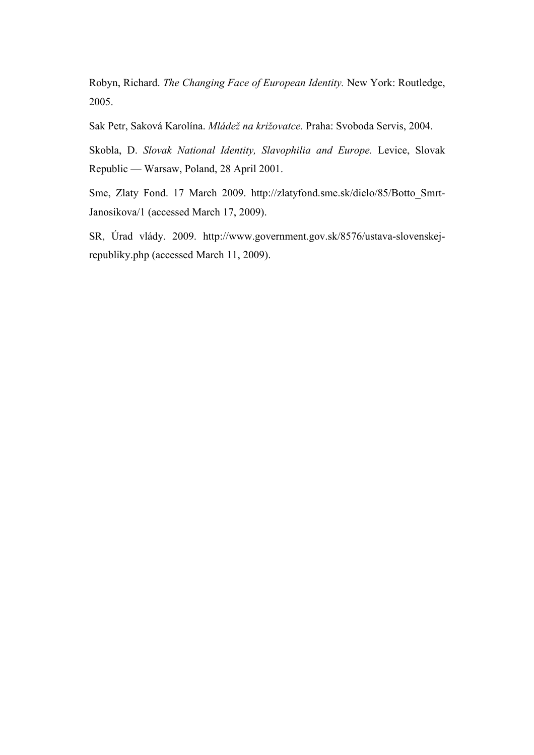Robyn, Richard. *The Changing Face of European Identity.* New York: Routledge, 2005.

Sak Petr, Saková Karolína. *Mládež na križovatce.* Praha: Svoboda Servis, 2004.

Skobla, D. *Slovak National Identity, Slavophilia and Europe.* Levice, Slovak Republic — Warsaw, Poland, 28 April 2001.

Sme, Zlaty Fond. 17 March 2009. http://zlatyfond.sme.sk/dielo/85/Botto\_Smrt-Janosikova/1 (accessed March 17, 2009).

SR, Úrad vlády. 2009. http://www.government.gov.sk/8576/ustava-slovenskejrepubliky.php (accessed March 11, 2009).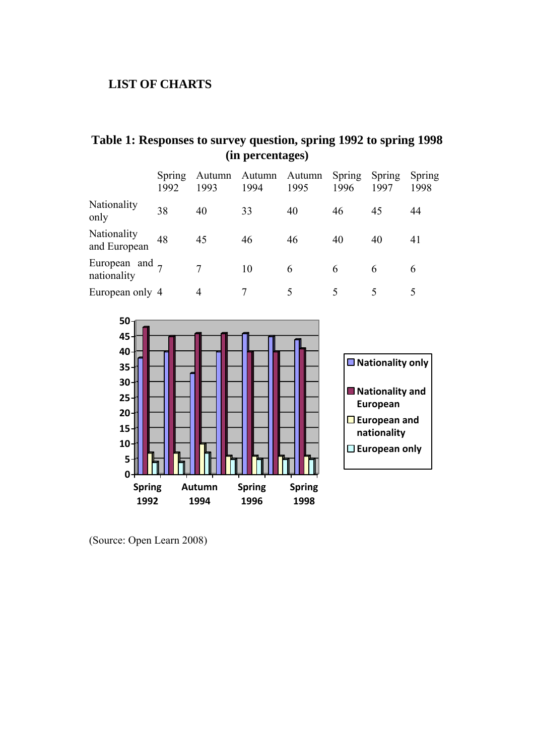## **LIST OF CHARTS**

|                                  | Spring<br>1992 | 1993 | Autumn Autumn Autumn<br>1994 | 1995 | Spring<br>1996 | Spring<br>1997 | Spring<br>1998 |
|----------------------------------|----------------|------|------------------------------|------|----------------|----------------|----------------|
| Nationality<br>only              | 38             | 40   | 33                           | 40   | 46             | 45             | 44             |
| Nationality<br>and European      | 48             | 45   | 46                           | 46   | 40             | 40             | 41             |
| European and $_7$<br>nationality |                |      | 10                           | 6    | 6              | 6              | 6              |
| European only 4                  |                |      |                              |      |                |                |                |

## **Table 1: Responses to survey question, spring 1992 to spring 1998 (in percentages)**



(Source: Open Learn 2008)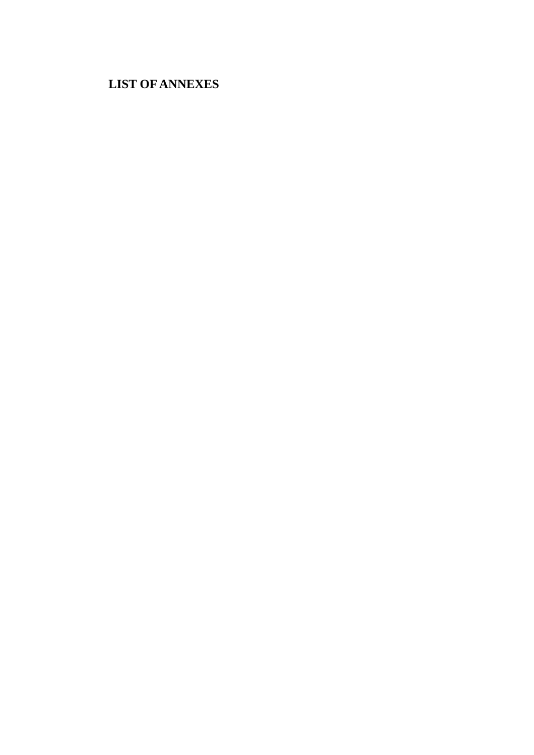# **LIST OF ANNEXES**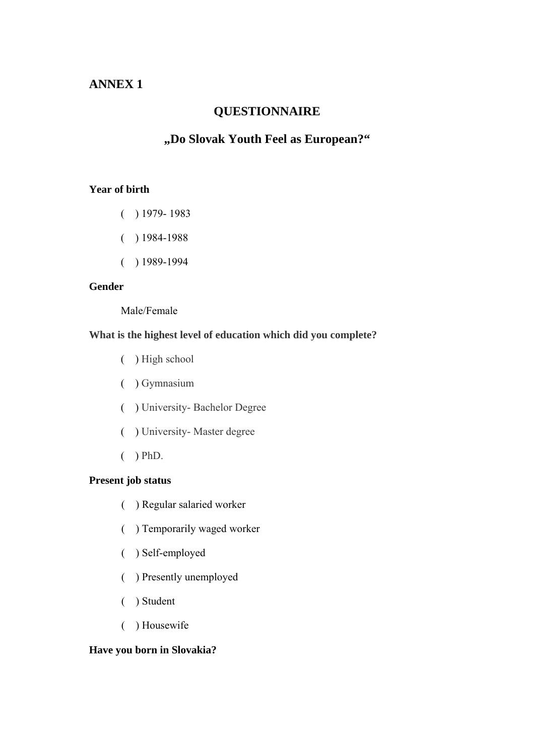## **ANNEX 1**

## **QUESTIONNAIRE**

## **"Do Slovak Youth Feel as European?"**

### **Year of birth**

- ( ) 1979- 1983
- $( ) 1984-1988$
- $( ) 1989-1994$

## **Gender**

Male/Female

### **What is the highest level of education which did you complete?**

- ( ) High school
- ( ) Gymnasium
- ( ) University- Bachelor Degree
- ( ) University- Master degree
- $( ) PhD.$

### **Present job status**

- ( ) Regular salaried worker
- ( ) Temporarily waged worker
- ( ) Self-employed
- ( ) Presently unemployed
- ( ) Student
- ( ) Housewife

### **Have you born in Slovakia?**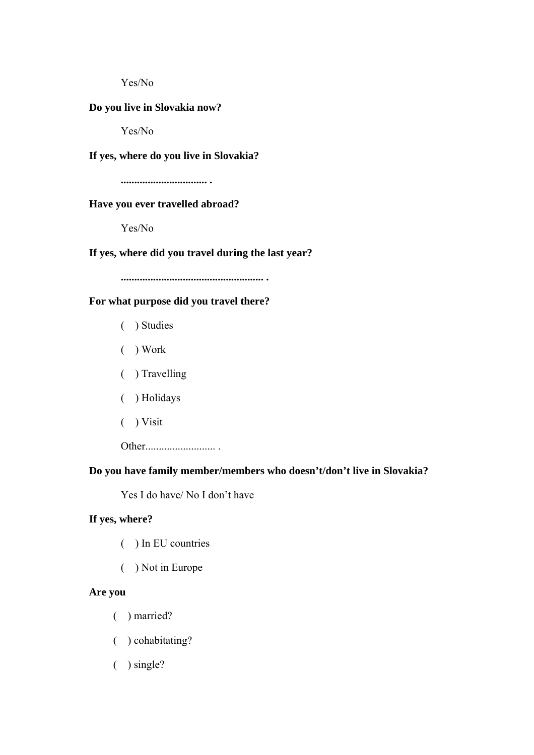Yes/No

### **Do you live in Slovakia now?**

Yes/No

#### **If yes, where do you live in Slovakia?**

**................................ .** 

#### **Have you ever travelled abroad?**

Yes/No

#### **If yes, where did you travel during the last year?**

**..................................................... .** 

### **For what purpose did you travel there?**

- ( ) Studies
- ( ) Work
- ( ) Travelling
- ( ) Holidays
- ( ) Visit

Other.......................... .

### **Do you have family member/members who doesn't/don't live in Slovakia?**

Yes I do have/ No I don't have

### **If yes, where?**

- ( ) In EU countries
- ( ) Not in Europe

#### **Are you**

- ( ) married?
- ( ) cohabitating?
- ( ) single?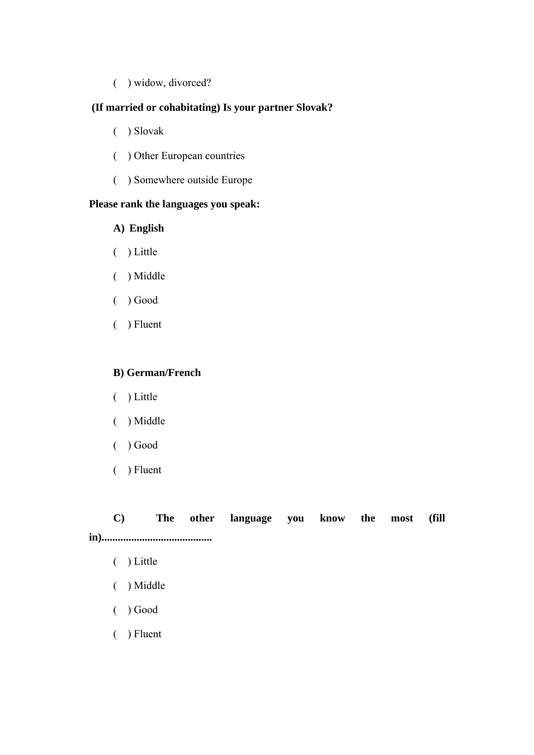( ) widow, divorced?

## **(If married or cohabitating) Is your partner Slovak?**

- ( ) Slovak
- ( ) Other European countries
- ( ) Somewhere outside Europe

### **Please rank the languages you speak:**

### **A) English**

- ( ) Little
- ( ) Middle
- ( ) Good
- ( ) Fluent

### **B) German/French**

- ( ) Little
- ( ) Middle
- ( ) Good
- ( ) Fluent

# **C) The other language you know the most (fill in).........................................**

- ( ) Little
- ( ) Middle
- ( ) Good
- ( ) Fluent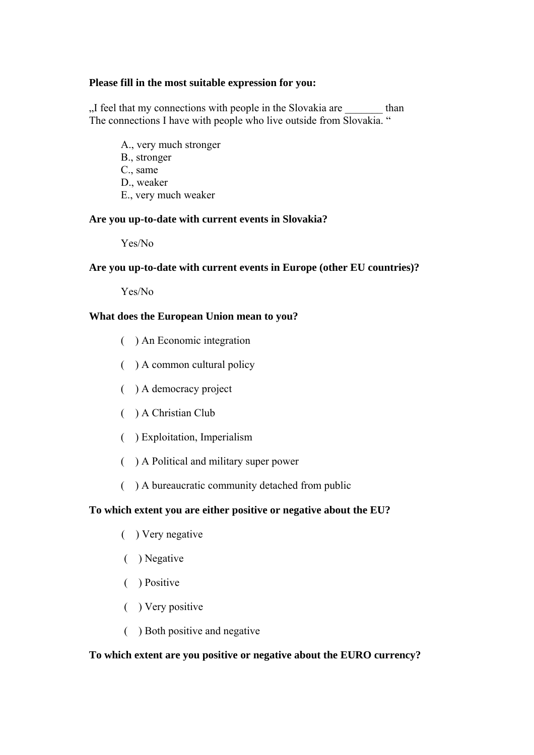### **Please fill in the most suitable expression for you:**

"I feel that my connections with people in the Slovakia are  $\qquad$  than The connections I have with people who live outside from Slovakia. "

A., very much stronger B., stronger C., same D., weaker E., very much weaker

### **Are you up-to-date with current events in Slovakia?**

Yes/No

## **Are you up-to-date with current events in Europe (other EU countries)?**

Yes/No

## **What does the European Union mean to you?**

- ( ) An Economic integration
- ( ) A common cultural policy
- ( ) A democracy project
- ( ) A Christian Club
- ( ) Exploitation, Imperialism
- ( ) A Political and military super power
- ( ) A bureaucratic community detached from public

## **To which extent you are either positive or negative about the EU?**

- ( ) Very negative
- ( ) Negative
- ( ) Positive
- ( ) Very positive
- ( ) Both positive and negative

## **To which extent are you positive or negative about the EURO currency?**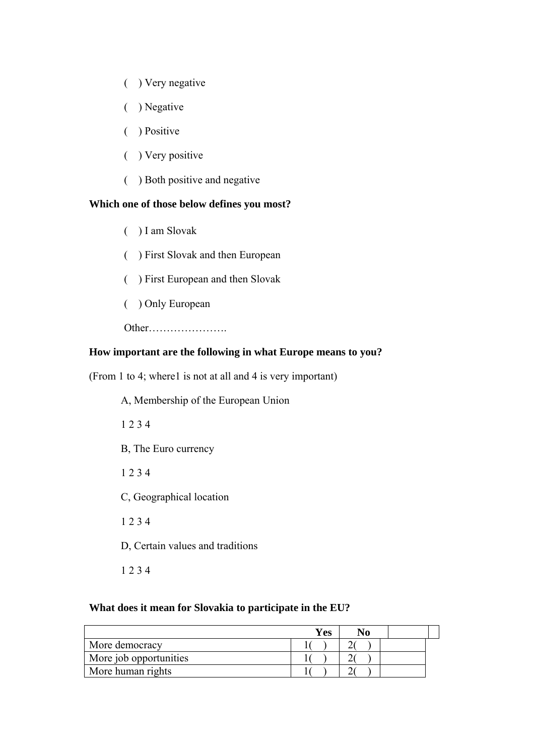- ( ) Very negative
- ( ) Negative
- ( ) Positive
- ( ) Very positive
- ( ) Both positive and negative

### **Which one of those below defines you most?**

- ( ) I am Slovak
- ( ) First Slovak and then European
- ( ) First European and then Slovak
- ( ) Only European

Other………………….

# **How important are the following in what Europe means to you?**

(From 1 to 4; where1 is not at all and 4 is very important)

A, Membership of the European Union 1 2 3 4 B, The Euro currency 1 2 3 4 C, Geographical location 1 2 3 4 D, Certain values and traditions 1 2 3 4

### **What does it mean for Slovakia to participate in the EU?**

|                        | <b>Yes</b> | No |  |
|------------------------|------------|----|--|
| More democracy         |            |    |  |
| More job opportunities |            |    |  |
| More human rights      |            |    |  |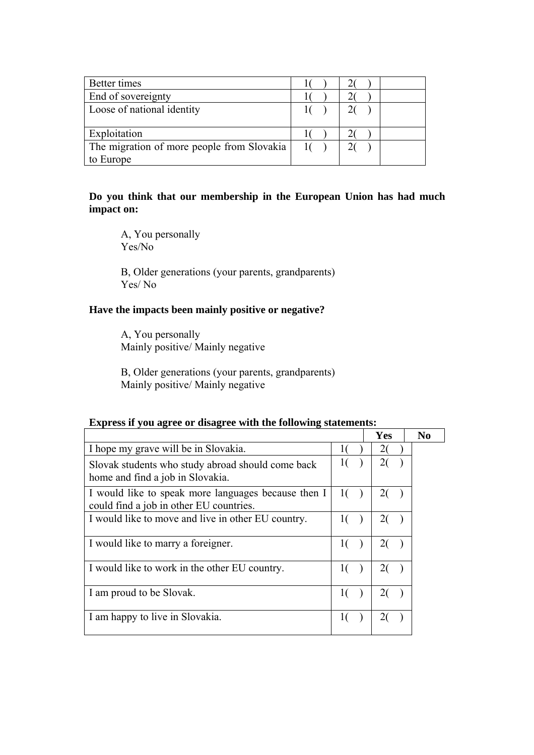| Better times                               |  |  |
|--------------------------------------------|--|--|
| End of sovereignty                         |  |  |
| Loose of national identity                 |  |  |
|                                            |  |  |
| Exploitation                               |  |  |
| The migration of more people from Slovakia |  |  |
| to Europe                                  |  |  |

## **Do you think that our membership in the European Union has had much impact on:**

A, You personally Yes/No

B, Older generations (your parents, grandparents) Yes/ No

## **Have the impacts been mainly positive or negative?**

A, You personally Mainly positive/ Mainly negative

B, Older generations (your parents, grandparents) Mainly positive/ Mainly negative

|                                                                                                |                | Yes            | No |
|------------------------------------------------------------------------------------------------|----------------|----------------|----|
| I hope my grave will be in Slovakia.                                                           |                | 20             |    |
| Slovak students who study abroad should come back<br>home and find a job in Slovakia.          | 1 <sup>1</sup> | 2(             |    |
| I would like to speak more languages because then I<br>could find a job in other EU countries. | 10             | 2(             |    |
| I would like to move and live in other EU country.                                             | 10             | 2(             |    |
| I would like to marry a foreigner.                                                             |                | 2(             |    |
| I would like to work in the other EU country.                                                  |                | $\overline{2}$ |    |
| I am proud to be Slovak.                                                                       | $\mathbf{1}$   | 2(             |    |
| I am happy to live in Slovakia.                                                                |                |                |    |

### **Express if you agree or disagree with the following statements:**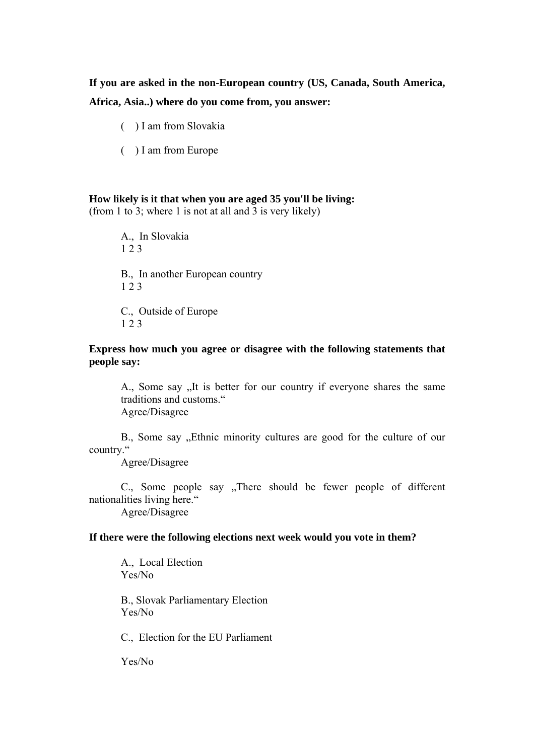**If you are asked in the non-European country (US, Canada, South America, Africa, Asia..) where do you come from, you answer:** 

( ) I am from Slovakia

( ) I am from Europe

## **How likely is it that when you are aged 35 you'll be living:**

(from 1 to 3; where 1 is not at all and 3 is very likely)

A., In Slovakia 1 2 3 B., In another European country 1 2 3 C., Outside of Europe 1 2 3

## **Express how much you agree or disagree with the following statements that people say:**

A., Some say "It is better for our country if everyone shares the same traditions and customs." Agree/Disagree

B., Some say "Ethnic minority cultures are good for the culture of our country."

Agree/Disagree

C., Some people say "There should be fewer people of different nationalities living here."

Agree/Disagree

## **If there were the following elections next week would you vote in them?**

A., Local Election Yes/No

B., Slovak Parliamentary Election Yes/No

C., Election for the EU Parliament

Yes/No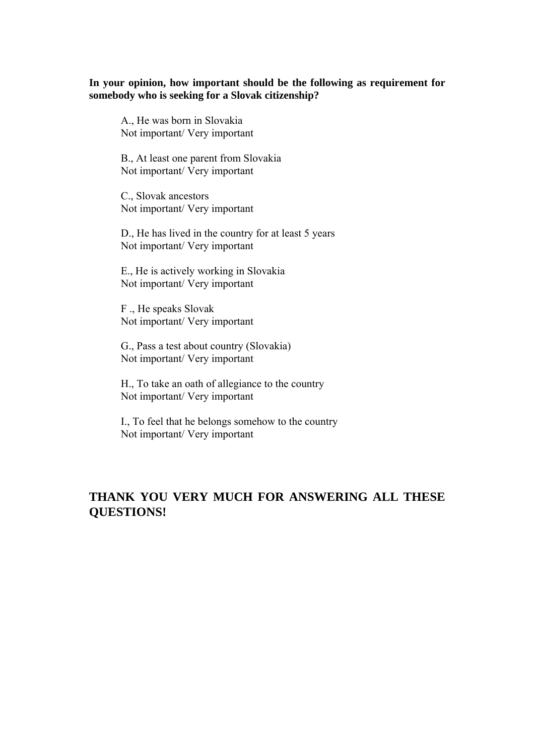## **In your opinion, how important should be the following as requirement for somebody who is seeking for a Slovak citizenship?**

A., He was born in Slovakia Not important/ Very important

B., At least one parent from Slovakia Not important/ Very important

C., Slovak ancestors Not important/ Very important

D., He has lived in the country for at least 5 years Not important/ Very important

E., He is actively working in Slovakia Not important/ Very important

F ., He speaks Slovak Not important/ Very important

G., Pass a test about country (Slovakia) Not important/ Very important

H., To take an oath of allegiance to the country Not important/ Very important

I., To feel that he belongs somehow to the country Not important/ Very important

## **THANK YOU VERY MUCH FOR ANSWERING ALL THESE QUESTIONS!**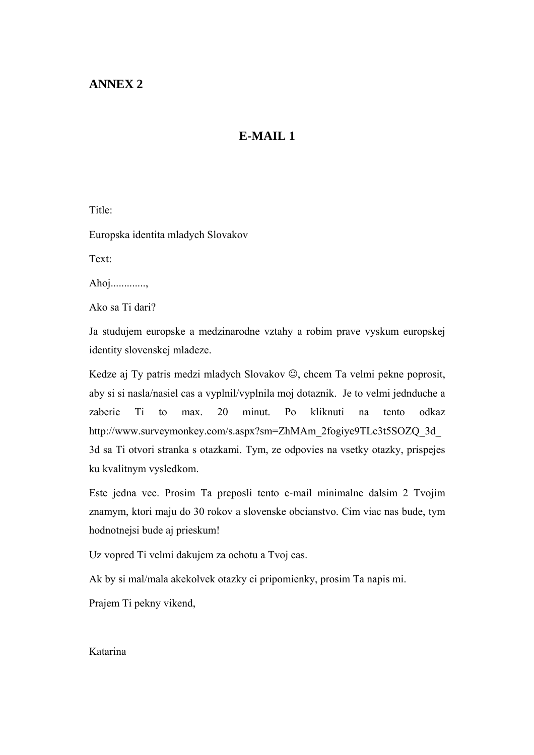## **ANNEX 2**

## **E-MAIL 1**

Title:

Europska identita mladych Slovakov

Text:

Ahoj.............,

Ako sa Ti dari?

Ja studujem europske a medzinarodne vztahy a robim prave vyskum europskej identity slovenskej mladeze.

Kedze aj Ty patris medzi mladych Slovakov ☺, chcem Ta velmi pekne poprosit, aby si si nasla/nasiel cas a vyplnil/vyplnila moj dotaznik. Je to velmi jednduche a zaberie Ti to max. 20 minut. Po kliknuti na tento odkaz http://www.surveymonkey.com/s.aspx?sm=ZhMAm\_2fogiye9TLc3t5SOZQ\_3d\_ 3d sa Ti otvori stranka s otazkami. Tym, ze odpovies na vsetky otazky, prispejes ku kvalitnym vysledkom.

Este jedna vec. Prosim Ta preposli tento e-mail minimalne dalsim 2 Tvojim znamym, ktori maju do 30 rokov a slovenske obcianstvo. Cim viac nas bude, tym hodnotnejsi bude aj prieskum!

Uz vopred Ti velmi dakujem za ochotu a Tvoj cas.

Ak by si mal/mala akekolvek otazky ci pripomienky, prosim Ta napis mi.

Prajem Ti pekny vikend,

#### Katarina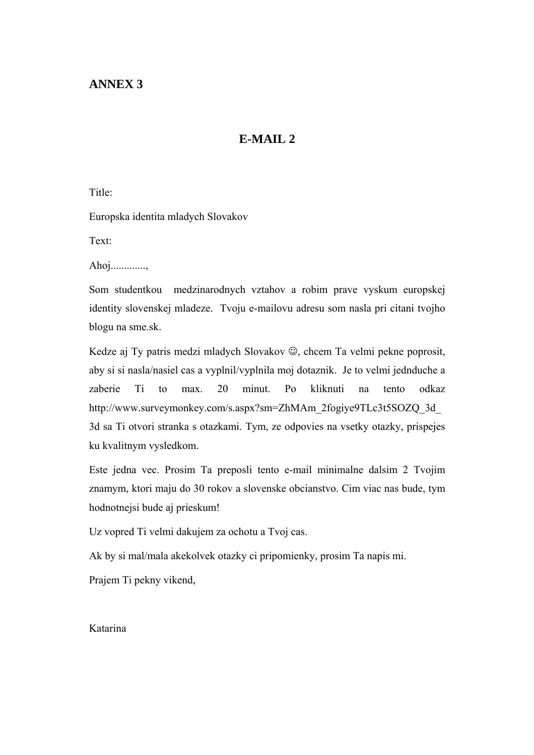## **ANNEX 3**

## **E-MAIL 2**

Title:

Europska identita mladych Slovakov

Text:

Ahoj.............,

Som studentkou medzinarodnych vztahov a robim prave vyskum europskej identity slovenskej mladeze. Tvoju e-mailovu adresu som nasla pri citani tvojho blogu na sme.sk.

Kedze aj Ty patris medzi mladych Slovakov ☺, chcem Ta velmi pekne poprosit, aby si si nasla/nasiel cas a vyplnil/vyplnila moj dotaznik. Je to velmi jednduche a zaberie Ti to max. 20 minut. Po kliknuti na tento odkaz http://www.surveymonkey.com/s.aspx?sm=ZhMAm\_2fogiye9TLc3t5SOZQ\_3d\_ 3d sa Ti otvori stranka s otazkami. Tym, ze odpovies na vsetky otazky, prispejes ku kvalitnym vysledkom.

Este jedna vec. Prosim Ta preposli tento e-mail minimalne dalsim 2 Tvojim znamym, ktori maju do 30 rokov a slovenske obcianstvo. Cim viac nas bude, tym hodnotnejsi bude aj prieskum!

Uz vopred Ti velmi dakujem za ochotu a Tvoj cas.

Ak by si mal/mala akekolvek otazky ci pripomienky, prosim Ta napis mi.

Prajem Ti pekny vikend,

Katarina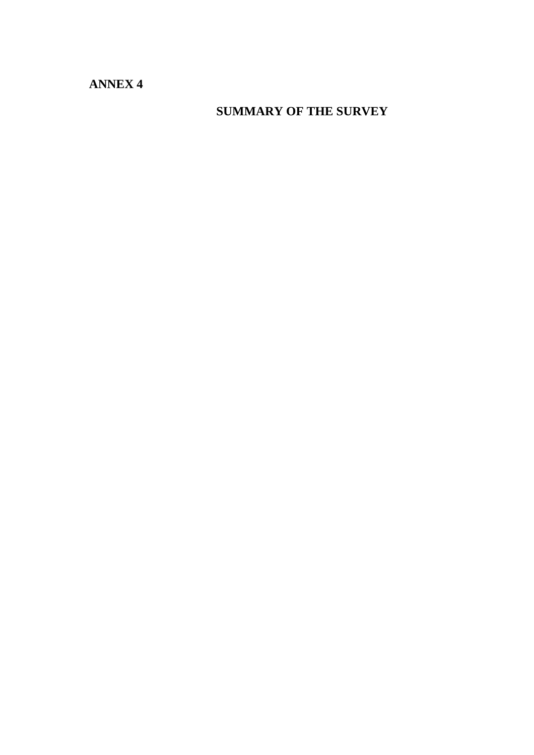**ANNEX 4** 

**SUMMARY OF THE SURVEY**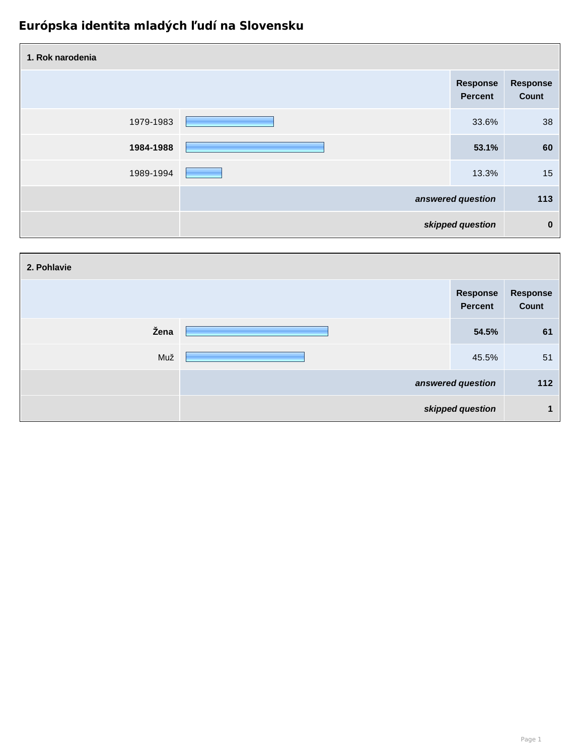| 1. Rok narodenia |                                   |                          |
|------------------|-----------------------------------|--------------------------|
|                  | <b>Response</b><br><b>Percent</b> | <b>Response</b><br>Count |
| 1979-1983        | 33.6%                             | 38                       |
| 1984-1988        | 53.1%                             | 60                       |
| 1989-1994        | 13.3%                             | 15                       |
|                  | answered question                 | 113                      |
|                  | skipped question                  | $\mathbf 0$              |

| 2. Pohlavie |                                   |                          |
|-------------|-----------------------------------|--------------------------|
|             | <b>Response</b><br><b>Percent</b> | <b>Response</b><br>Count |
| Žena        | 54.5%                             | 61                       |
| Muž         | 45.5%                             | 51                       |
|             | answered question                 | 112                      |
|             | skipped question                  |                          |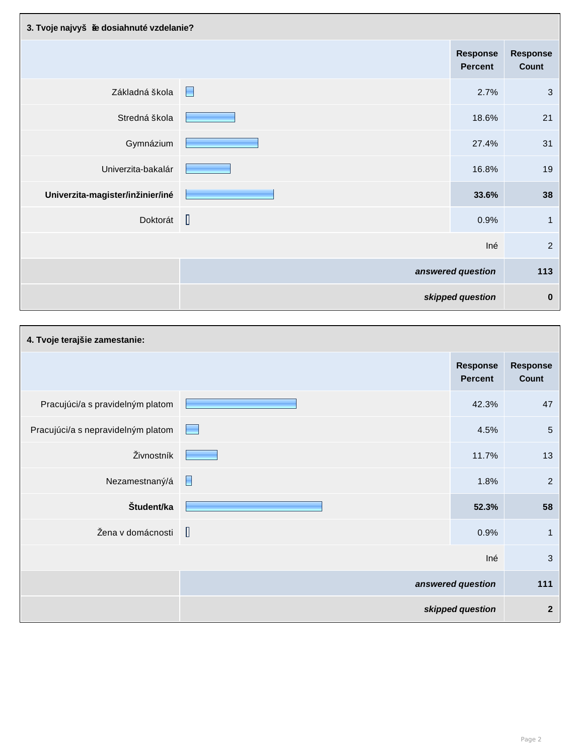| 3. Tvoje najvyš ie dosiahnuté vzdelanie? |        |                                   |                          |
|------------------------------------------|--------|-----------------------------------|--------------------------|
|                                          |        | <b>Response</b><br><b>Percent</b> | <b>Response</b><br>Count |
| Základná škola                           | E      | 2.7%                              | 3                        |
| Stredná škola                            |        | 18.6%                             | 21                       |
| Gymnázium                                |        | 27.4%                             | 31                       |
| Univerzita-bakalár                       |        | 16.8%                             | 19                       |
| Univerzita-magister/inžinier/iné         |        | 33.6%                             | 38                       |
| Doktorát                                 | $\Box$ | 0.9%                              | $\mathbf{1}$             |
|                                          |        | Iné                               | $\overline{2}$           |
|                                          |        | answered question                 | 113                      |
|                                          |        | skipped question                  | $\boldsymbol{0}$         |

| 4. Tvoje terajšie zamestanie:      |                                   |                                   |                          |
|------------------------------------|-----------------------------------|-----------------------------------|--------------------------|
|                                    |                                   | <b>Response</b><br><b>Percent</b> | <b>Response</b><br>Count |
| Pracujúci/a s pravidelným platom   |                                   | 42.3%                             | 47                       |
| Pracujúci/a s nepravidelným platom | <b>Contract Contract Contract</b> | 4.5%                              | $\overline{5}$           |
| Živnostník                         |                                   | 11.7%                             | 13                       |
| Nezamestnaný/á                     | H                                 | 1.8%                              | $\overline{2}$           |
| Študent/ka                         |                                   | 52.3%                             | 58                       |
| Žena v domácnosti                  | $\mathbb{I}$                      | 0.9%                              | 1                        |
|                                    |                                   | Iné                               | 3                        |
|                                    |                                   | answered question                 | 111                      |
|                                    |                                   | skipped question                  | $\mathbf{2}$             |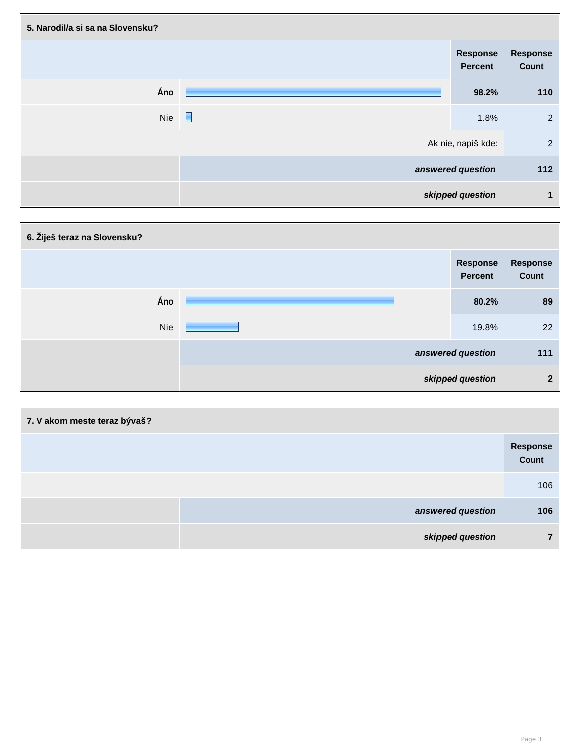| 5. Narodil/a si sa na Slovensku? |   |                                   |                          |
|----------------------------------|---|-----------------------------------|--------------------------|
|                                  |   | <b>Response</b><br><b>Percent</b> | <b>Response</b><br>Count |
| Áno                              |   | 98.2%                             | 110                      |
| Nie                              | E | 1.8%                              | $\overline{2}$           |
|                                  |   | Ak nie, napíš kde:                | $\overline{2}$           |
|                                  |   | answered question                 | 112                      |
|                                  |   | skipped question                  | $\mathbf 1$              |

| 6. Žiješ teraz na Slovensku? |                                   |                   |
|------------------------------|-----------------------------------|-------------------|
|                              | <b>Response</b><br><b>Percent</b> | Response<br>Count |
| Áno                          | 80.2%                             | 89                |
| <b>Nie</b>                   | 19.8%                             | 22                |
|                              | answered question                 | 111               |
|                              | skipped question                  | $\mathbf{2}$      |

| 7. V akom meste teraz bývaš? |                   |  |
|------------------------------|-------------------|--|
|                              | Response<br>Count |  |
|                              | 106               |  |
| answered question            | 106               |  |
| skipped question             | ⇁                 |  |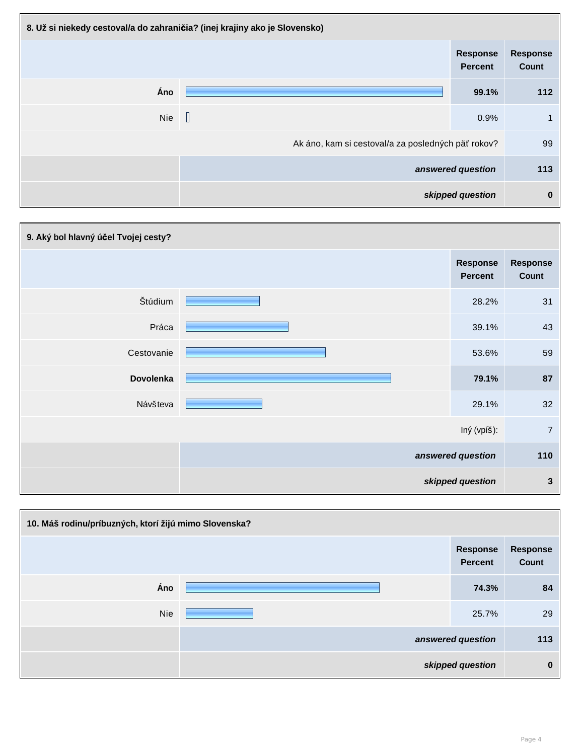| 8. Už si niekedy cestoval/a do zahraničia? (inej krajiny ako je Slovensko) |                                                    |                                   |                          |
|----------------------------------------------------------------------------|----------------------------------------------------|-----------------------------------|--------------------------|
|                                                                            |                                                    | <b>Response</b><br><b>Percent</b> | <b>Response</b><br>Count |
| Áno                                                                        |                                                    | 99.1%                             | 112                      |
| <b>Nie</b>                                                                 | $\begin{bmatrix} \end{bmatrix}$                    | 0.9%                              | 1                        |
|                                                                            | Ak áno, kam si cestoval/a za posledných päť rokov? |                                   | 99                       |
|                                                                            |                                                    | answered question                 | 113                      |
|                                                                            |                                                    | skipped question                  | $\boldsymbol{0}$         |

| 9. Aký bol hlavný účel Tvojej cesty? |  |                                   |                          |
|--------------------------------------|--|-----------------------------------|--------------------------|
|                                      |  | <b>Response</b><br><b>Percent</b> | <b>Response</b><br>Count |
| Štúdium                              |  | 28.2%                             | 31                       |
| Práca                                |  | 39.1%                             | 43                       |
| Cestovanie                           |  | 53.6%                             | 59                       |
| Dovolenka                            |  | 79.1%                             | 87                       |
| Návšteva                             |  | 29.1%                             | 32                       |
|                                      |  | Iný (vpíš):                       | $\overline{7}$           |
|                                      |  | answered question                 | 110                      |
|                                      |  | skipped question                  | $\mathbf{3}$             |

| 10. Máš rodinu/príbuzných, ktorí žijú mimo Slovenska? |                                   |                          |
|-------------------------------------------------------|-----------------------------------|--------------------------|
|                                                       | <b>Response</b><br><b>Percent</b> | <b>Response</b><br>Count |
| Áno                                                   | 74.3%                             | 84                       |
| <b>Nie</b>                                            | 25.7%                             | 29                       |
|                                                       | answered question                 | 113                      |
|                                                       | skipped question                  | $\bf{0}$                 |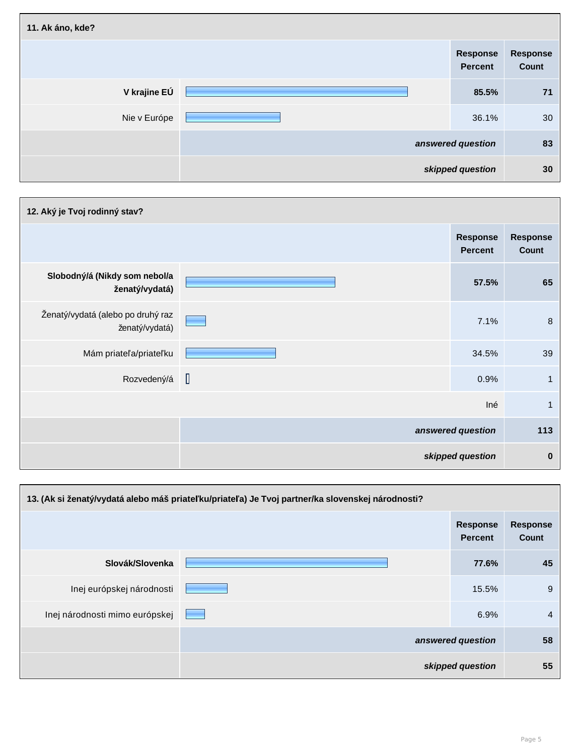| 11. Ak áno, kde? |                            |                                 |
|------------------|----------------------------|---------------------------------|
|                  | Response<br><b>Percent</b> | <b>Response</b><br><b>Count</b> |
| V krajine EÚ     | 85.5%                      | 71                              |
| Nie v Európe     | 36.1%                      | 30                              |
|                  | answered question          | 83                              |
|                  | skipped question           | 30                              |

| 12. Aký je Tvoj rodinný stav?                       |        |                                   |                          |
|-----------------------------------------------------|--------|-----------------------------------|--------------------------|
|                                                     |        | <b>Response</b><br><b>Percent</b> | <b>Response</b><br>Count |
| Slobodný/á (Nikdy som nebol/a<br>ženatý/vydatá)     |        | 57.5%                             | 65                       |
| Ženatý/vydatá (alebo po druhý raz<br>ženatý/vydatá) |        | 7.1%                              | $\bf 8$                  |
| Mám priateľa/priateľku                              |        | 34.5%                             | 39                       |
| Rozvedený/á                                         | $\Box$ | 0.9%                              | $\mathbf{1}$             |
|                                                     |        | Iné                               | $\mathbf{1}$             |
|                                                     |        | answered question                 | 113                      |
|                                                     |        | skipped question                  | $\mathbf 0$              |

| 13. (Ak si ženatý/vydatá alebo máš priateľku/priateľa) Je Tvoj partner/ka slovenskej národnosti? |  |                                   |                                 |  |
|--------------------------------------------------------------------------------------------------|--|-----------------------------------|---------------------------------|--|
|                                                                                                  |  | <b>Response</b><br><b>Percent</b> | <b>Response</b><br><b>Count</b> |  |
| Slovák/Slovenka                                                                                  |  | 77.6%                             | 45                              |  |
| Inej európskej národnosti                                                                        |  | 15.5%                             | 9                               |  |
| Inej národnosti mimo európskej                                                                   |  | 6.9%                              | $\overline{4}$                  |  |
|                                                                                                  |  | answered question                 | 58                              |  |
|                                                                                                  |  | skipped question                  | 55                              |  |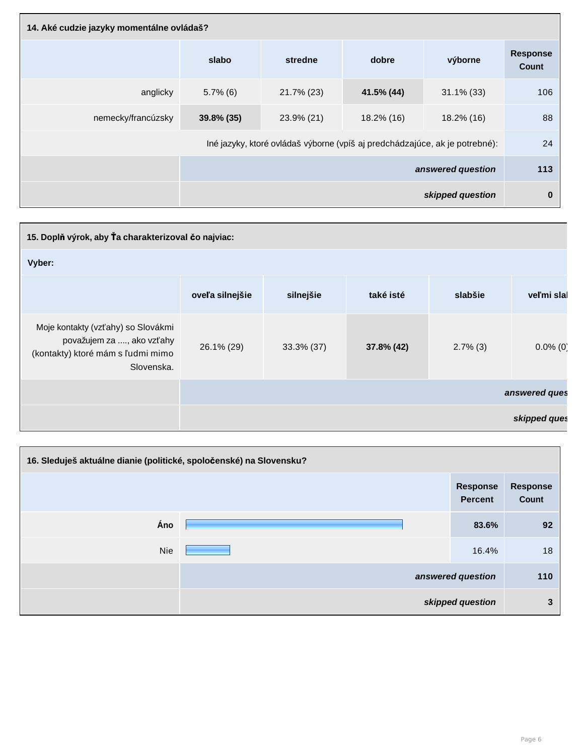| 14. Aké cudzie jazyky momentálne ovládaš? |               |                                                                             |            |                   |                                 |
|-------------------------------------------|---------------|-----------------------------------------------------------------------------|------------|-------------------|---------------------------------|
|                                           | slabo         | stredne                                                                     | dobre      | výborne           | <b>Response</b><br><b>Count</b> |
| anglicky                                  | $5.7\%$ (6)   | 21.7% (23)                                                                  | 41.5% (44) | $31.1\%$ (33)     | 106                             |
| nemecky/francúzsky                        | $39.8\%$ (35) | 23.9% (21)                                                                  | 18.2% (16) | 18.2% (16)        | 88                              |
|                                           |               | Iné jazyky, ktoré ovládaš výborne (vpíš aj predchádzajúce, ak je potrebné): |            |                   | 24                              |
|                                           |               |                                                                             |            | answered question | 113                             |
|                                           |               |                                                                             |            | skipped question  | $\bf{0}$                        |

| 15. Doplň výrok, aby Ťa charakterizoval čo najviac:                                                                |                                                                    |            |            |             |               |  |  |
|--------------------------------------------------------------------------------------------------------------------|--------------------------------------------------------------------|------------|------------|-------------|---------------|--|--|
| Vyber:                                                                                                             |                                                                    |            |            |             |               |  |  |
|                                                                                                                    | také isté<br>veľmi slal<br>oveľa silnejšie<br>silnejšie<br>slabšie |            |            |             |               |  |  |
| Moje kontakty (vzťahy) so Slovákmi<br>považujem za , ako vzťahy<br>(kontakty) ktoré mám s ľudmi mimo<br>Slovenska. | 26.1% (29)                                                         | 33.3% (37) | 37.8% (42) | $2.7\%$ (3) | $0.0\%$ (0)   |  |  |
|                                                                                                                    |                                                                    |            |            |             | answered ques |  |  |
|                                                                                                                    |                                                                    |            |            |             | skipped ques  |  |  |

| 16. Sleduješ aktuálne dianie (politické, spoločenské) na Slovensku? |  |                                   |                                 |  |
|---------------------------------------------------------------------|--|-----------------------------------|---------------------------------|--|
|                                                                     |  | <b>Response</b><br><b>Percent</b> | <b>Response</b><br><b>Count</b> |  |
| Áno                                                                 |  | 83.6%                             | 92                              |  |
| <b>Nie</b>                                                          |  | 16.4%                             | 18                              |  |
|                                                                     |  | answered question                 | 110                             |  |
|                                                                     |  | skipped question                  | 3                               |  |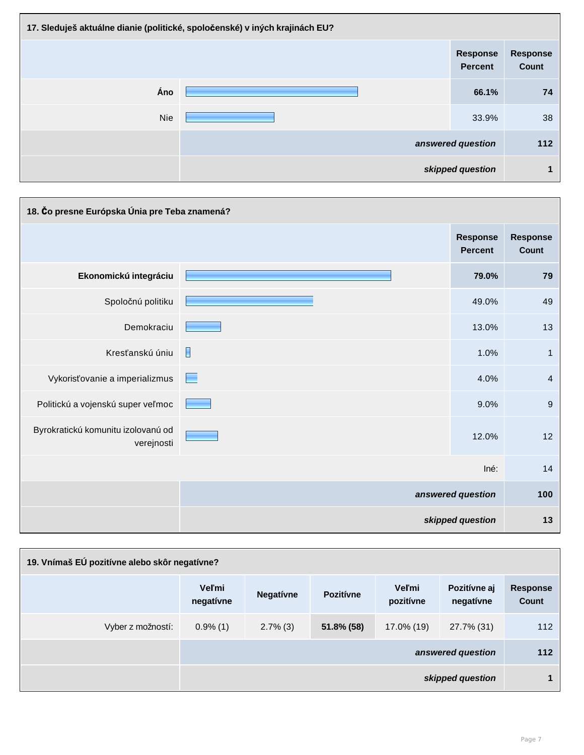| 17. Sleduješ aktuálne dianie (politické, spoločenské) v iných krajinách EU? |  |                                   |                          |  |
|-----------------------------------------------------------------------------|--|-----------------------------------|--------------------------|--|
|                                                                             |  | <b>Response</b><br><b>Percent</b> | <b>Response</b><br>Count |  |
| Áno                                                                         |  | 66.1%                             | 74                       |  |
| <b>Nie</b>                                                                  |  | 33.9%                             | 38                       |  |
|                                                                             |  | answered question                 | 112                      |  |
|                                                                             |  | skipped question                  | 1                        |  |

| 18. Čo presne Európska Únia pre Teba znamená?    |   |                                   |                                 |  |
|--------------------------------------------------|---|-----------------------------------|---------------------------------|--|
|                                                  |   | <b>Response</b><br><b>Percent</b> | <b>Response</b><br><b>Count</b> |  |
| Ekonomickú integráciu                            |   | 79.0%                             | 79                              |  |
| Spoločnú politiku                                |   | 49.0%                             | 49                              |  |
| Demokraciu                                       |   | 13.0%                             | 13                              |  |
| Kresťanskú úniu                                  | H | 1.0%                              | $\mathbf{1}$                    |  |
| Vykorisťovanie a imperializmus                   | E | 4.0%                              | $\overline{4}$                  |  |
| Politickú a vojenskú super veľmoc                |   | 9.0%                              | $9\,$                           |  |
| Byrokratickú komunitu izolovanú od<br>verejnosti |   | 12.0%                             | 12                              |  |
|                                                  |   | Iné:                              | 14                              |  |
|                                                  |   | answered question                 | 100                             |  |
|                                                  |   | skipped question                  | 13                              |  |

| 19. Vnímaš EÚ pozitívne alebo skôr negatívne? |                           |                  |                  |                           |                           |                                 |
|-----------------------------------------------|---------------------------|------------------|------------------|---------------------------|---------------------------|---------------------------------|
|                                               | <b>Veľmi</b><br>negativne | <b>Negativne</b> | <b>Pozitívne</b> | <b>Veľmi</b><br>pozitívne | Pozitívne aj<br>negativne | <b>Response</b><br><b>Count</b> |
| Vyber z možností:                             | $0.9\%$ (1)               | $2.7\%$ (3)      | 51.8% (58)       | 17.0% (19)                | 27.7% (31)                | 112                             |
|                                               |                           |                  |                  |                           | answered question         | $112$                           |
|                                               |                           |                  |                  |                           | skipped question          | 1                               |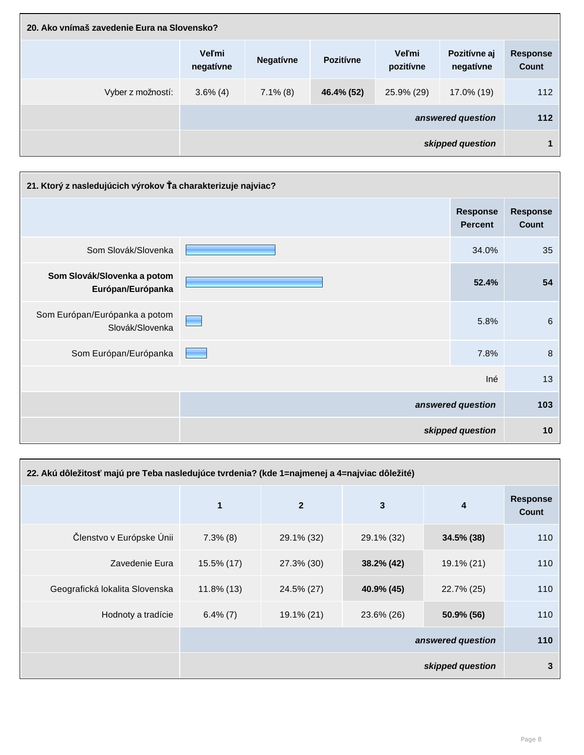| 20. Ako vnímaš zavedenie Eura na Slovensko? |                           |                                                                                                |            |            |                   |                      |  |
|---------------------------------------------|---------------------------|------------------------------------------------------------------------------------------------|------------|------------|-------------------|----------------------|--|
|                                             | <b>Veľmi</b><br>negativne | <b>Veľmi</b><br>Pozitívne aj<br><b>Pozitívne</b><br><b>Negativne</b><br>pozitívne<br>negativne |            |            |                   |                      |  |
| Vyber z možností:                           | $3.6\%$ (4)               | $7.1\%$ (8)                                                                                    | 46.4% (52) | 25.9% (29) | 17.0% (19)        | 112                  |  |
|                                             |                           |                                                                                                |            |            | answered question | 112                  |  |
|                                             |                           |                                                                                                |            |            | skipped question  | $\blacktriangleleft$ |  |

| 21. Ktorý z nasledujúcich výrokov Ťa charakterizuje najviac? |                                   |                                 |
|--------------------------------------------------------------|-----------------------------------|---------------------------------|
|                                                              | <b>Response</b><br><b>Percent</b> | <b>Response</b><br><b>Count</b> |
| Som Slovák/Slovenka                                          | 34.0%                             | 35                              |
| Som Slovák/Slovenka a potom<br>Európan/Európanka             | 52.4%                             | 54                              |
| Som Európan/Európanka a potom<br>Slovák/Slovenka             | 5.8%                              | $6\phantom{1}6$                 |
| Som Európan/Európanka                                        | 7.8%                              | 8                               |
|                                                              | Iné                               | 13                              |
|                                                              | answered question                 | 103                             |
|                                                              | skipped question                  | 10                              |

| 22. Akú dôležitosť majú pre Teba nasledujúce tvrdenia? (kde 1=najmenej a 4=najviac dôležité) |                         |                  |               |                         |                          |
|----------------------------------------------------------------------------------------------|-------------------------|------------------|---------------|-------------------------|--------------------------|
|                                                                                              | $\overline{\mathbf{1}}$ | $\boldsymbol{2}$ | $\mathbf{3}$  | $\overline{\mathbf{4}}$ | <b>Response</b><br>Count |
| Členstvo v Európske Únii                                                                     | $7.3\%$ (8)             | 29.1% (32)       | 29.1% (32)    | $34.5\%$ (38)           | 110                      |
| Zavedenie Eura                                                                               | $15.5\%$ (17)           | 27.3% (30)       | $38.2\%$ (42) | $19.1\% (21)$           | 110                      |
| Geografická lokalita Slovenska                                                               | $11.8\%$ (13)           | 24.5% (27)       | 40.9% (45)    | 22.7% (25)              | 110                      |
| Hodnoty a tradície                                                                           | $6.4\% (7)$             | 19.1% (21)       | 23.6% (26)    | 50.9% (56)              | 110                      |
|                                                                                              | answered question       |                  |               | 110                     |                          |
|                                                                                              |                         |                  |               | skipped question        | $\mathbf{3}$             |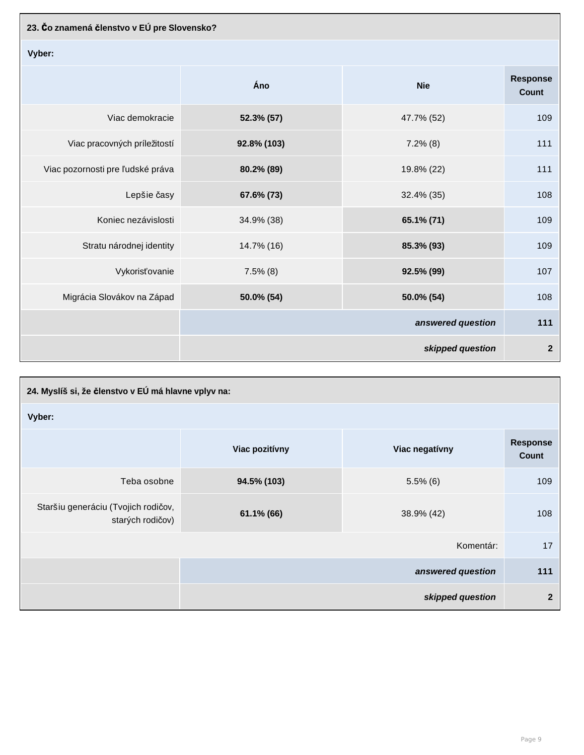| 23. Čo znamená členstvo v EÚ pre Slovensko? |             |                   |                                 |
|---------------------------------------------|-------------|-------------------|---------------------------------|
| Vyber:                                      |             |                   |                                 |
|                                             | Áno         | <b>Nie</b>        | <b>Response</b><br><b>Count</b> |
| Viac demokracie                             | 52.3% (57)  | 47.7% (52)        | 109                             |
| Viac pracovných príležitostí                | 92.8% (103) | $7.2\%$ (8)       | 111                             |
| Viac pozornosti pre ľudské práva            | 80.2% (89)  | 19.8% (22)        | 111                             |
| Lepšie časy                                 | 67.6% (73)  | 32.4% (35)        | 108                             |
| Koniec nezávislosti                         | 34.9% (38)  | 65.1% (71)        | 109                             |
| Stratu národnej identity                    | 14.7% (16)  | 85.3% (93)        | 109                             |
| Vykorisťovanie                              | $7.5\%$ (8) | 92.5% (99)        | 107                             |
| Migrácia Slovákov na Západ                  | 50.0% (54)  | 50.0% (54)        | 108                             |
|                                             |             | answered question | 111                             |
|                                             |             | skipped question  | $\boldsymbol{2}$                |

| 24. Myslíš si, že členstvo v EÚ má hlavne vplyv na:     |                |                   |                          |
|---------------------------------------------------------|----------------|-------------------|--------------------------|
| Vyber:                                                  |                |                   |                          |
|                                                         | Viac pozitívny | Viac negatívny    | <b>Response</b><br>Count |
| Teba osobne                                             | 94.5% (103)    | $5.5\%$ (6)       | 109                      |
| Staršiu generáciu (Tvojich rodičov,<br>starých rodičov) | $61.1\%$ (66)  | 38.9% (42)        | 108                      |
|                                                         |                | Komentár:         | 17                       |
|                                                         |                | answered question | 111                      |
|                                                         |                | skipped question  | $\overline{2}$           |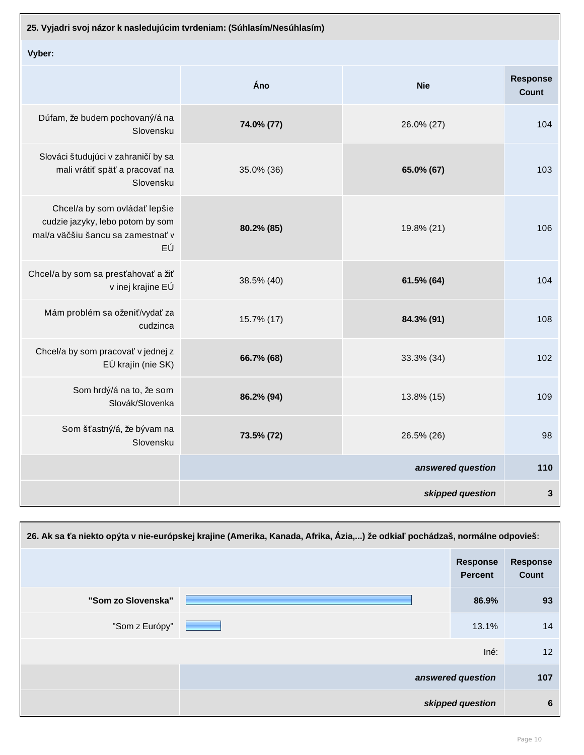| 25. Vyjadri svoj názor k nasledujúcim tvrdeniam: (Súhlasím/Nesúhlasím)                                       |            |                   |                                 |
|--------------------------------------------------------------------------------------------------------------|------------|-------------------|---------------------------------|
| Vyber:                                                                                                       |            |                   |                                 |
|                                                                                                              | Áno        | <b>Nie</b>        | <b>Response</b><br><b>Count</b> |
| Dúfam, že budem pochovaný/á na<br>Slovensku                                                                  | 74.0% (77) | 26.0% (27)        | 104                             |
| Slováci študujúci v zahraničí by sa<br>mali vrátiť späť a pracovať na<br>Slovensku                           | 35.0% (36) | 65.0% (67)        | 103                             |
| Chcel/a by som ovládať lepšie<br>cudzie jazyky, lebo potom by som<br>mal/a väčšiu šancu sa zamestnať v<br>EÚ | 80.2% (85) | 19.8% (21)        | 106                             |
| Chcel/a by som sa presťahovať a žiť<br>v inej krajine EÚ                                                     | 38.5% (40) | 61.5% (64)        | 104                             |
| Mám problém sa oženiť/vydať za<br>cudzinca                                                                   | 15.7% (17) | 84.3% (91)        | 108                             |
| Chcel/a by som pracovať v jednej z<br>EÚ krajín (nie SK)                                                     | 66.7% (68) | 33.3% (34)        | 102 <sub>2</sub>                |
| Som hrdý/á na to, že som<br>Slovák/Slovenka                                                                  | 86.2% (94) | 13.8% (15)        | 109                             |
| Som šťastný/á, že bývam na<br>Slovensku                                                                      | 73.5% (72) | 26.5% (26)        | 98                              |
|                                                                                                              |            | answered question | 110                             |
|                                                                                                              |            | skipped question  | $\mathbf{3}$                    |

| 26. Ak sa ťa niekto opýta v nie-európskej krajine (Amerika, Kanada, Afrika, Ázia,) že odkiaľ pochádzaš, normálne odpovieš: |  |                                   |                                 |
|----------------------------------------------------------------------------------------------------------------------------|--|-----------------------------------|---------------------------------|
|                                                                                                                            |  | <b>Response</b><br><b>Percent</b> | <b>Response</b><br><b>Count</b> |
| "Som zo Slovenska"                                                                                                         |  | 86.9%                             | 93                              |
| "Som z Európy"                                                                                                             |  | 13.1%                             | 14                              |
|                                                                                                                            |  | Iné:                              | 12                              |
|                                                                                                                            |  | answered question                 | 107                             |
|                                                                                                                            |  | skipped question                  | $6\phantom{1}6$                 |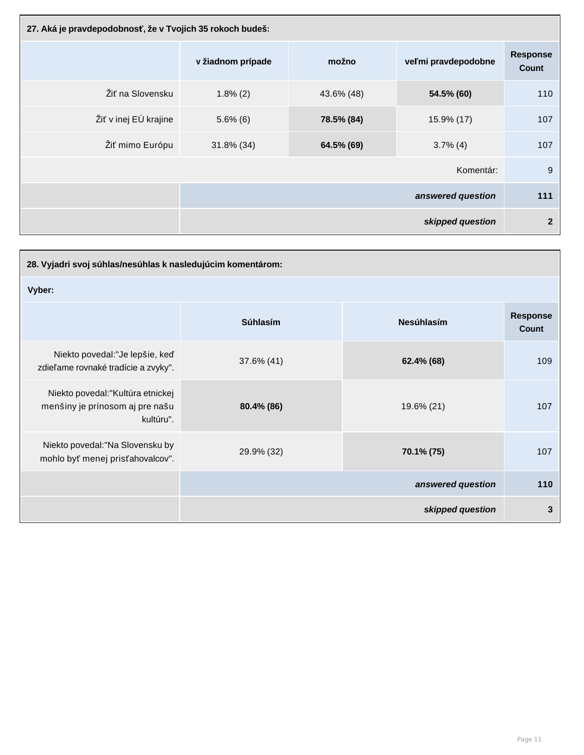| 27. Aká je pravdepodobnosť, že v Tvojich 35 rokoch budeš: |                   |            |                     |                                 |
|-----------------------------------------------------------|-------------------|------------|---------------------|---------------------------------|
|                                                           | v žiadnom prípade | možno      | veľmi pravdepodobne | <b>Response</b><br><b>Count</b> |
| Žiť na Slovensku                                          | $1.8\%$ (2)       | 43.6% (48) | 54.5% (60)          | 110                             |
| Žiť v inej EÚ krajine                                     | $5.6\%$ (6)       | 78.5% (84) | 15.9% (17)          | 107                             |
| Žiť mimo Európu                                           | 31.8% (34)        | 64.5% (69) | $3.7\%$ (4)         | 107                             |
| Komentár:                                                 |                   |            |                     | 9                               |
|                                                           |                   |            | answered question   | 111                             |
|                                                           |                   |            | skipped question    | $\overline{2}$                  |

| 28. Vyjadri svoj súhlas/nesúhlas k nasledujúcim komentárom:                       |                 |                   |                                 |
|-----------------------------------------------------------------------------------|-----------------|-------------------|---------------------------------|
| Vyber:                                                                            |                 |                   |                                 |
|                                                                                   | <b>Súhlasím</b> | <b>Nesúhlasím</b> | <b>Response</b><br><b>Count</b> |
| Niekto povedal: "Je lepšie, keď<br>zdieľame rovnaké tradície a zvyky".            | 37.6% (41)      | 62.4% (68)        | 109                             |
| Niekto povedal: "Kultúra etnickej<br>menšiny je prínosom aj pre našu<br>kultúru". | 80.4% (86)      | 19.6% (21)        | 107                             |
| Niekto povedal: "Na Slovensku by<br>mohlo byť menej prisťahovalcov".              | 29.9% (32)      | 70.1% (75)        | 107                             |
|                                                                                   |                 | answered question | 110                             |
|                                                                                   |                 | skipped question  | $\mathbf{3}$                    |